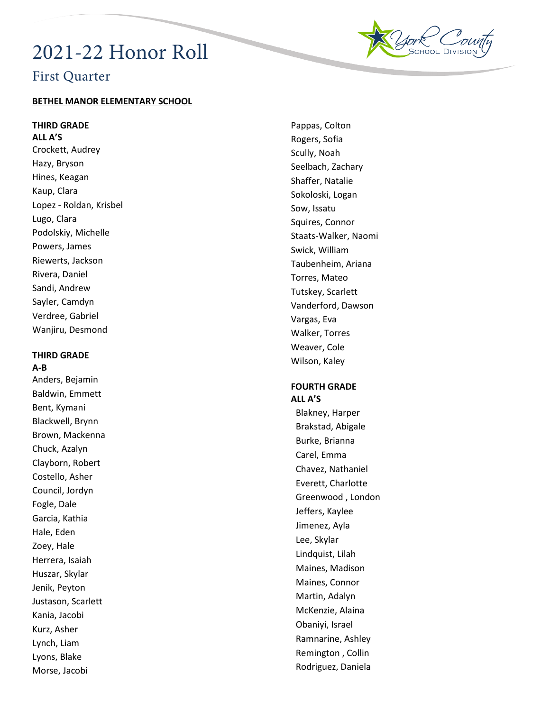# 2021 -22 Honor Roll



## First Quarter

## **BETHEL MANOR ELEMENTARY SCHOOL**

**THIRD GRADE**

**ALL A'S** Crockett, Audrey Hazy, Bryson Hines, Keagan Kaup, Clara Lopez - Roldan, Krisbel Lugo, Clara Podolskiy, Michelle Powers, James Riewerts, Jackson Rivera, Daniel Sandi, Andrew Sayler, Camdyn Verdree, Gabriel Wanjiru, Desmond

## **THIRD GRADE A-B**

Anders, Bejamin Baldwin, Emmett Bent, Kymani Blackwell, Brynn Brown, Mackenna Chuck, Azalyn Clayborn, Robert Costello, Asher Council, Jordyn Fogle, Dale Garcia, Kathia Hale, Eden Zoey, Hale Herrera, Isaiah Huszar, Skylar Jenik, Peyton Justason, Scarlett Kania, Jacobi Kurz, Asher Lynch, Liam Lyons, Blake Morse, Jacobi

Pappas, Colton Rogers, Sofia Scully, Noah Seelbach, Zachary Shaffer, Natalie Sokoloski, Logan Sow, Issatu Squires, Connor Staats -Walker, Naomi Swick, William Taubenheim, Ariana Torres, Mateo Tutskey, Scarlett Vanderford, Dawson Vargas, Eva Walker, Torres Weaver, Cole Wilson, Kaley

## **FOURTH GRADE ALL A'S**

Blakney, Harper Brakstad, Abigale Burke, Brianna Carel, Emma Chavez, Nathaniel Everett, Charlotte Greenwood , London Jeffers, Kaylee Jimenez, Ayla Lee, Skylar Lindquist, Lilah Maines, Madison Maines, Connor Martin, Adalyn McKenzie, Alaina Obaniyi, Israel Ramnarine, Ashley Remington , Collin Rodriguez, Daniela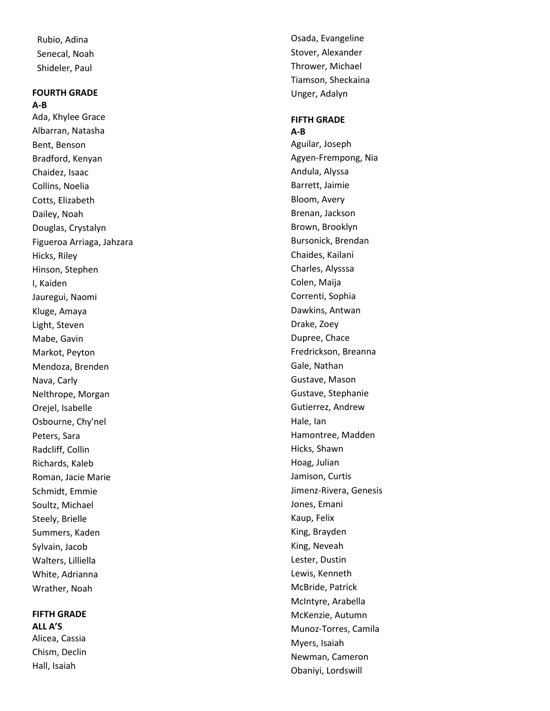Rubio, Adina Senecal, Noah Shideler, Paul

## **FOURTH GRADE**

**A-B** Ada, Khylee Grace Albarran, Natasha Bent, Benson Bradford, Kenyan Chaidez, Isaac Collins, Noelia Cotts, Elizabeth Dailey, Noah Douglas, Crystalyn Figueroa Arriaga, Jahzara Hicks, Riley Hinson, Stephen I, Kaiden Jauregui, Naomi Kluge, Amaya Light, Steven Mabe, Gavin Markot, Peyton Mendoza, Brenden Nava, Carly Nelthrope, Morgan Orejel, Isabelle Osbourne, Chy'nel Peters, Sara Radcliff, Collin Richards, Kaleb Roman, Jacie Marie Schmidt, Emmie Soultz, Michael Steely, Brielle Summers, Kaden Sylvain, Jacob Walters, Lilliella White, Adrianna Wrather, Noah

## **FIFTH GRADE ALL A'S**

Alicea, Cassia Chism, Declin Hall, Isaiah

Osada, Evangeline Stover, Alexander Thrower, Michael Tiamson, Sheckaina Unger, Adalyn

## **FIFTH GRADE**

**A-B** Aguilar, Joseph Agyen -Frempong, Nia Andula, Alyssa Barrett, Jaimie Bloom, Avery Brenan, Jackson Brown, Brooklyn Bursonick, Brendan Chaides, Kailani Charles, Alysssa Colen, Maija Correnti, Sophia Dawkins, Antwan Drake, Zoey Dupree, Chace Fredrickson, Breanna Gale, Nathan Gustave, Mason Gustave, Stephanie Gutierrez, Andrew Hale, Ian Hamontree, Madden Hicks, Shawn Hoag, Julian Jamison, Curtis Jimenz -Rivera, Genesis Jones, Emani Kaup, Felix King, Brayden King, Neveah Lester, Dustin Lewis, Kenneth McBride, Patrick McIntyre, Arabella McKenzie, Autumn Munoz -Torres, Camila Myers, Isaiah Newman, Cameron Obaniyi, Lordswill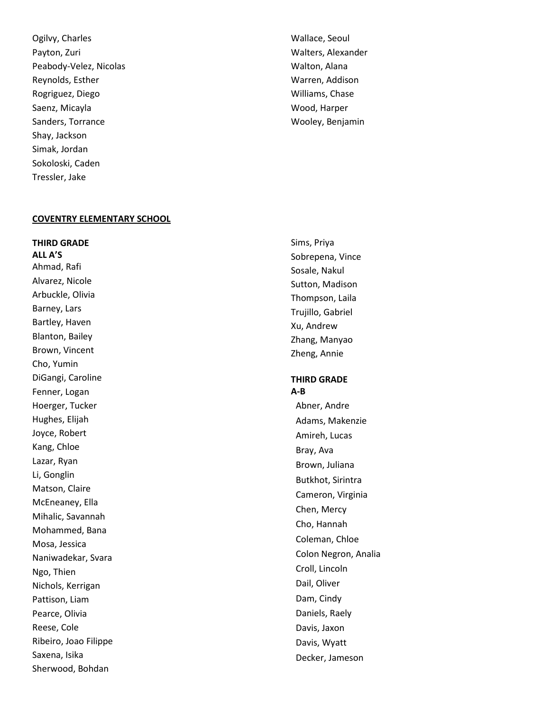Ogilvy, Charles Payton, Zuri Peabody -Velez, Nicolas Reynolds, Esther Rogriguez, Diego Saenz, Micayla Sanders, Torrance Shay, Jackson Simak, Jordan Sokoloski, Caden Tressler, Jake

## Wallace, Seoul Walters, Alexander Walton, Alana Warren, Addison Williams, Chase Wood, Harper Wooley, Benjamin

#### **COVENTRY ELEMENTARY SCHOOL**

**THIRD GRADE ALL A'S** Ahmad, Rafi Alvarez, Nicole Arbuckle, Olivia Barney, Lars Bartley, Haven Blanton, Bailey Brown, Vincent Cho, Yumin DiGangi, Caroline Fenner, Logan Hoerger, Tucker Hughes, Elijah Joyce, Robert Kang, Chloe Lazar, Ryan Li, Gonglin Matson, Claire McEneaney, Ella Mihalic, Savannah Mohammed, Bana Mosa, Jessica Naniwadekar, Svara Ngo, Thien Nichols, Kerrigan Pattison, Liam Pearce, Olivia Reese, Cole Ribeiro, Joao Filippe Saxena, Isika Sherwood, Bohdan

Sims, Priya Sobrepena, Vince Sosale, Nakul Sutton, Madison Thompson, Laila Trujillo, Gabriel Xu, Andrew Zhang, Manyao Zheng, Annie

## **THIRD GRADE A-B**

Abner, Andre Adams, Makenzie Amireh, Lucas Bray, Ava Brown, Juliana Butkhot, Sirintra Cameron, Virginia Chen, Mercy Cho, Hannah Coleman, Chloe Colon Negron, Analia Croll, Lincoln Dail, Oliver Dam, Cindy Daniels, Raely Davis, Jaxon Davis, Wyatt Decker, Jameson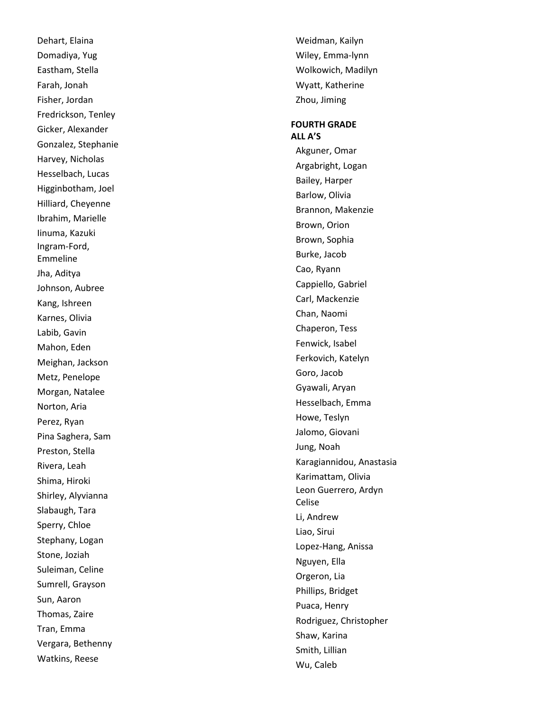Dehart, Elaina Domadiya, Yug Eastham, Stella Farah, Jonah Fisher, Jordan Fredrickson, Tenley Gicker, Alexander Gonzalez, Stephanie Harvey, Nicholas Hesselbach, Lucas Higginbotham, Joel Hilliard, Cheyenne Ibrahim, Marielle Iinuma, Kazuki Ingram -Ford, Emmeline Jha, Aditya Johnson, Aubree Kang, Ishreen Karnes, Olivia Labib, Gavin Mahon, Eden Meighan, Jackson Metz, Penelope Morgan, Natalee Norton, Aria Perez, Ryan Pina Saghera, Sam Preston, Stella Rivera, Leah Shima, Hiroki Shirley, Alyvianna Slabaugh, Tara Sperry, Chloe Stephany, Logan Stone, Joziah Suleiman, Celine Sumrell, Grayson Sun, Aaron Thomas, Zaire Tran, Emma Vergara, Bethenny Watkins, Reese

Weidman, Kailyn Wiley, Emma -lynn Wolkowich, Madilyn Wyatt, Katherine Zhou, Jiming

### **FOURTH GRADE ALL A'S**

Akguner, Omar Argabright, Logan Bailey, Harper Barlow, Olivia Brannon, Makenzie Brown, Orion Brown, Sophia Burke, Jacob Cao, Ryann Cappiello, Gabriel Carl, Mackenzie Chan, Naomi Chaperon, Tess Fenwick, Isabel Ferkovich, Katelyn Goro, Jacob Gyawali, Aryan Hesselbach, Emma Howe, Teslyn Jalomo, Giovani Jung, Noah Karagiannidou, Anastasia Karimattam, Olivia Leon Guerrero, Ardyn Celise Li, Andrew Liao, Sirui Lopez -Hang, Anissa Nguyen, Ella Orgeron, Lia Phillips, Bridget Puaca, Henry Rodriguez, Christopher Shaw, Karina Smith, Lillian Wu, Caleb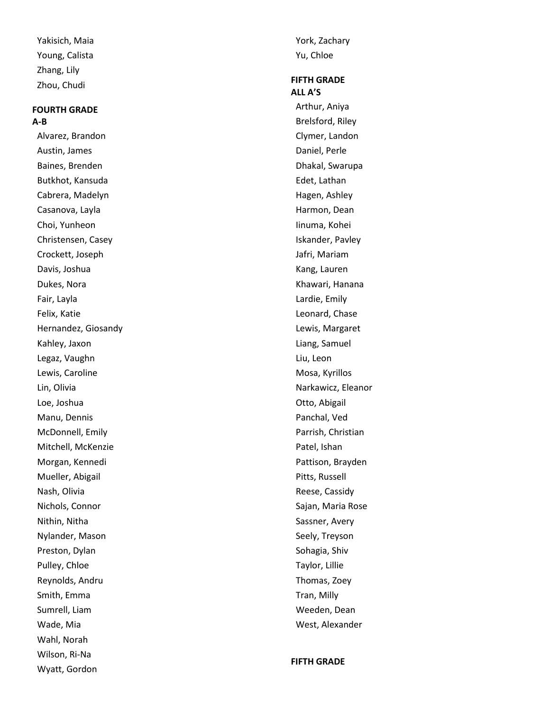Yakisich, Maia Young, Calista Zhang, Lily Zhou, Chudi

## **FOURTH GRADE A-B**

Alvarez, Brandon Austin, James Baines, Brenden Butkhot, Kansuda Cabrera, Madelyn Casanova, Layla Choi, Yunheon Christensen, Casey Crockett, Joseph Davis, Joshua Dukes, Nora Fair, Layla Felix, Katie Hernandez, Giosandy Kahley, Jaxon Legaz, Vaughn Lewis, Caroline Lin, Olivia Loe, Joshua Manu, Dennis McDonnell, Emily Mitchell, McKenzie Morgan, Kennedi Mueller, Abigail Nash, Olivia Nichols, Connor Nithin, Nitha Nylander, Mason Preston, Dylan Pulley, Chloe Reynolds, Andru Smith, Emma Sumrell, Liam Wade, Mia Wahl, Norah Wilson, Ri -Na Wyatt, Gordon

York, Zachary Yu, Chloe

## **FIFTH GRADE ALL A'S**

Arthur, Aniya Brelsford, Riley Clymer, Landon Daniel, Perle Dhakal, Swarupa Edet, Lathan Hagen, Ashley Harmon, Dean Iinuma, Kohei Iskander, Pavley Jafri, Mariam Kang, Lauren Khawari, Hanana Lardie, Emily Leonard, Chase Lewis, Margaret Liang, Samuel Liu, Leon Mosa, Kyrillos Narkawicz, Eleanor Otto, Abigail Panchal, Ved Parrish, Christian Patel, Ishan Pattison, Brayden Pitts, Russell Reese, Cassidy Sajan, Maria Rose Sassner, Avery Seely, Treyson Sohagia, Shiv Taylor, Lillie Thomas, Zoey Tran, Milly Weeden, Dean West, Alexander

**FIFTH GRADE**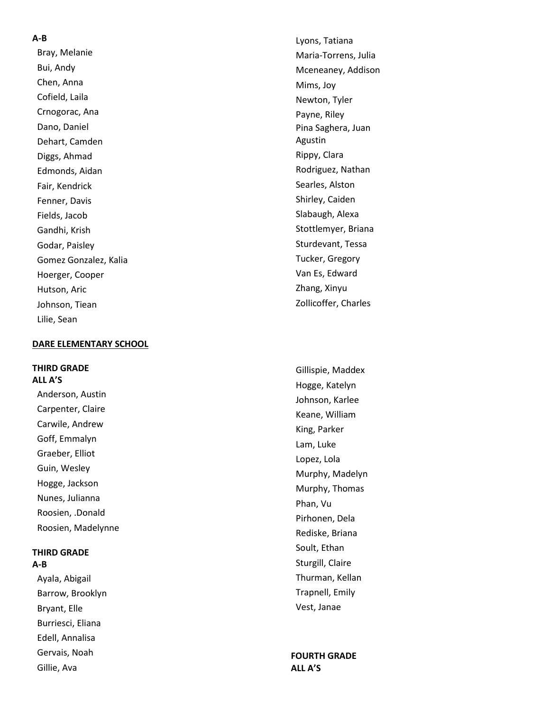#### **A - B**

Bray, Melanie Bui, Andy Chen, Anna Cofield, Laila Crnogorac, Ana Dano, Daniel Dehart, Camden Diggs, Ahmad Edmonds, Aidan Fair, Kendrick Fenner, Davis Fields, Jacob Gandhi, Krish Godar, Paisley Gomez Gonzalez, Kalia Hoerger, Cooper Hutson, Aric Johnson, Tiean Lilie, Sean

#### **DARE ELEMENTARY SCHOOL**

## **THIRD GRADE**

**ALL A'S** Anderson, Austin Carpenter, Claire Carwile, Andrew Goff, Emmalyn Graeber, Elliot Guin, Wesley Hogge, Jackson Nunes, Julianna Roosien, .Donald Roosien, Madelynne

#### **THIRD GRADE A-B**

Ayala, Abigail Barrow, Brooklyn Bryant, Elle Burriesci, Eliana Edell, Annalisa Gervais, Noah Gillie, Ava

Lyons, Tatiana Maria -Torrens, Julia Mceneaney, Addison Mims, Joy Newton, Tyler Payne, Riley Pina Saghera, Juan Agustin Rippy, Clara Rodriguez, Nathan Searles, Alston Shirley, Caiden Slabaugh, Alexa Stottlemyer, Briana Sturdevant, Tessa Tucker, Gregory Van Es, Edward Zhang, Xinyu Zollicoffer, Charles

Gillispie, Maddex Hogge, Katelyn Johnson, Karlee Keane, William King, Parker Lam, Luke Lopez, Lola Murphy, Madelyn Murphy, Thomas Phan, Vu Pirhonen, Dela Rediske, Briana Soult, Ethan Sturgill, Claire Thurman, Kellan Trapnell, Emily Vest, Janae

**FOURTH GRADE ALL A'S**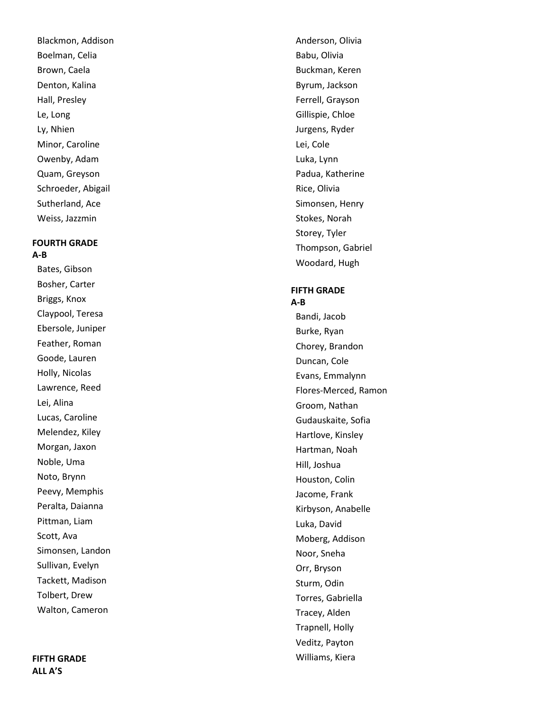Blackmon, Addison Boelman, Celia Brown, Caela Denton, Kalina Hall, Presley Le, Long Ly, Nhien Minor, Caroline Owenby, Adam Quam, Greyson Schroeder, Abigail Sutherland, Ace Weiss, Jazzmin

## **FOURTH GRADE A-B**

Bates, Gibson Bosher, Carter Briggs, Knox Claypool, Teresa Ebersole, Juniper Feather, Roman Goode, Lauren Holly, Nicolas Lawrence, Reed Lei, Alina Lucas, Caroline Melendez, Kiley Morgan, Jaxon Noble, Uma Noto, Brynn Peevy, Memphis Peralta, Daianna Pittman, Liam Scott, Ava Simonsen, Landon Sullivan, Evelyn Tackett, Madison Tolbert, Drew Walton, Cameron

## **FIFTH GRADE ALL A'S**

Anderson, Olivia Babu, Olivia Buckman, Keren Byrum, Jackson Ferrell, Grayson Gillispie, Chloe Jurgens, Ryder Lei, Cole Luka, Lynn Padua, Katherine Rice, Olivia Simonsen, Henry Stokes, Norah Storey, Tyler Thompson, Gabriel Woodard, Hugh

## **FIFTH GRADE**

#### **A-B**

Bandi, Jacob Burke, Ryan Chorey, Brandon Duncan, Cole Evans, Emmalynn Flores -Merced, Ramon Groom, Nathan Gudauskaite, Sofia Hartlove, Kinsley Hartman, Noah Hill, Joshua Houston, Colin Jacome, Frank Kirbyson, Anabelle Luka, David Moberg, Addison Noor, Sneha Orr, Bryson Sturm, Odin Torres, Gabriella Tracey, Alden Trapnell, Holly Veditz, Payton Williams, Kiera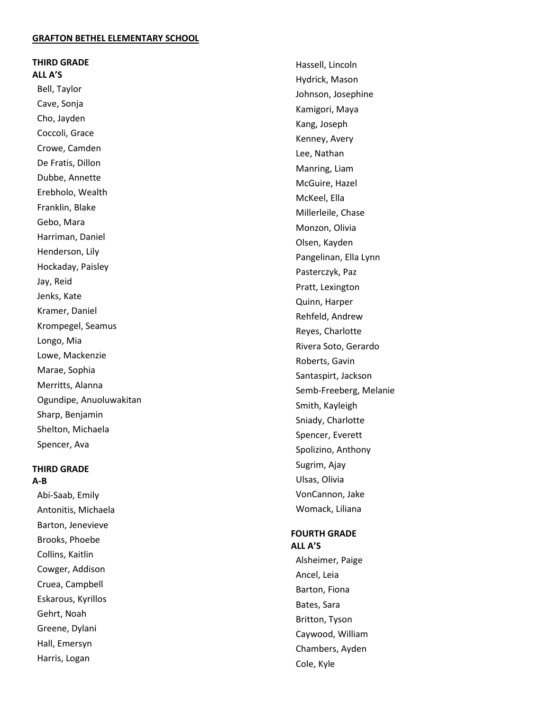#### **GRAFTON BETHEL ELEMENTARY SCHOOL**

### **THIRD GRADE ALL A'S**

Bell, Taylor Cave, Sonja Cho, Jayden Coccoli, Grace Crowe, Camden De Fratis, Dillon Dubbe, Annette Erebholo, Wealth Franklin, Blake Gebo, Mara Harriman, Daniel Henderson, Lily Hockaday, Paisley Jay, Reid Jenks, Kate Kramer, Daniel Krompegel, Seamus Longo, Mia Lowe, Mackenzie Marae, Sophia Merritts, Alanna Ogundipe, Anuoluwakitan Sharp, Benjamin Shelton, Michaela Spencer, Ava

#### **THIRD GRADE A-B**

Abi -Saab, Emily Antonitis, Michaela Barton, Jenevieve Brooks, Phoebe Collins, Kaitlin Cowger, Addison Cruea, Campbell Eskarous, Kyrillos Gehrt, Noah Greene, Dylani Hall, Emersyn Harris, Logan

Hassell, Lincoln Hydrick, Mason Johnson, Josephine Kamigori, Maya Kang, Joseph Kenney, Avery Lee, Nathan Manring, Liam McGuire, Hazel McKeel, Ella Millerleile, Chase Monzon, Olivia Olsen, Kayden Pangelinan, Ella Lynn Pasterczyk, Paz Pratt, Lexington Quinn, Harper Rehfeld, Andrew Reyes, Charlotte Rivera Soto, Gerardo Roberts, Gavin Santaspirt, Jackson Semb -Freeberg, Melanie Smith, Kayleigh Sniady, Charlotte Spencer, Everett Spolizino, Anthony Sugrim, Ajay Ulsas, Olivia VonCannon, Jake Womack, Liliana

## **FOURTH GRADE**

**ALL A'S** Alsheimer, Paige Ancel, Leia Barton, Fiona Bates, Sara Britton, Tyson Caywood, William Chambers, Ayden Cole, Kyle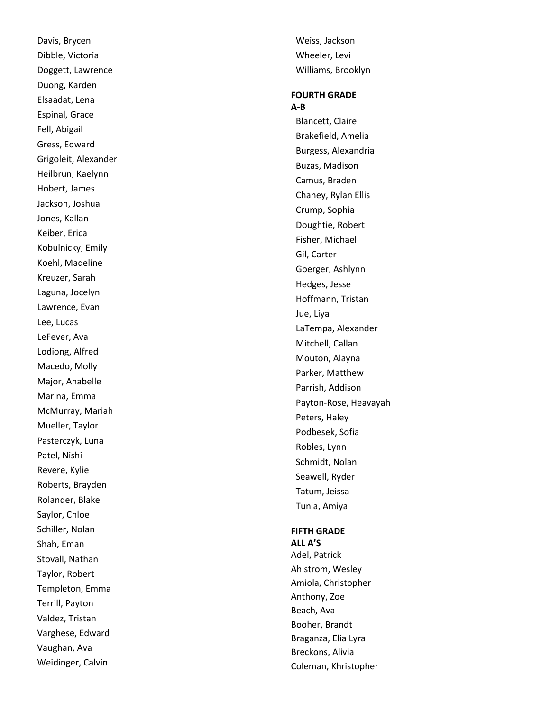Davis, Brycen Dibble, Victoria Doggett, Lawrence Duong, Karden Elsaadat, Lena Espinal, Grace Fell, Abigail Gress, Edward Grigoleit, Alexander Heilbrun, Kaelynn Hobert, James Jackson, Joshua Jones, Kallan Keiber, Erica Kobulnicky, Emily Koehl, Madeline Kreuzer, Sarah Laguna, Jocelyn Lawrence, Evan Lee, Lucas LeFever, Ava Lodiong, Alfred Macedo, Molly Major, Anabelle Marina, Emma McMurray, Mariah Mueller, Taylor Pasterczyk, Luna Patel, Nishi Revere, Kylie Roberts, Brayden Rolander, Blake Saylor, Chloe Schiller, Nolan Shah, Eman Stovall, Nathan Taylor, Robert Templeton, Emma Terrill, Payton Valdez, Tristan Varghese, Edward Vaughan, Ava Weidinger, Calvin

Weiss, Jackson Wheeler, Levi Williams, Brooklyn

#### **FOURTH GRADE A-B**

Blancett, Claire Brakefield, Amelia Burgess, Alexandria Buzas, Madison Camus, Braden Chaney, Rylan Ellis Crump, Sophia Doughtie, Robert Fisher, Michael Gil, Carter Goerger, Ashlynn Hedges, Jesse Hoffmann, Tristan Jue, Liya LaTempa, Alexander Mitchell, Callan Mouton, Alayna Parker, Matthew Parrish, Addison Payton -Rose, Heavayah Peters, Haley Podbesek, Sofia Robles, Lynn Schmidt, Nolan Seawell, Ryder Tatum, Jeissa Tunia, Amiya

#### **FIFTH GRADE**

**ALL A'S** Adel, Patrick Ahlstrom, Wesley Amiola, Christopher Anthony, Zoe Beach, Ava Booher, Brandt Braganza, Elia Lyra Breckons, Alivia Coleman, Khristopher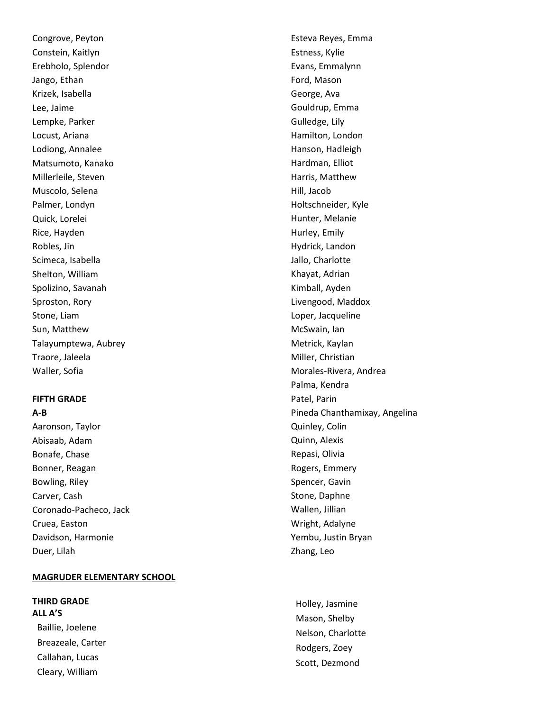Congrove, Peyton Constein, Kaitlyn Erebholo, Splendor Jango, Ethan Krizek, Isabella Lee, Jaime Lempke, Parker Locust, Ariana Lodiong, Annalee Matsumoto, Kanako Millerleile, Steven Muscolo, Selena Palmer, Londyn Quick, Lorelei Rice, Hayden Robles, Jin Scimeca, Isabella Shelton, William Spolizino, Savanah Sproston, Rory Stone, Liam Sun, Matthew Talayumptewa, Aubrey Traore, Jaleela Waller, Sofia

#### **FIFTH GRADE**

#### **A-B**

Aaronson, Taylor Abisaab, Adam Bonafe, Chase Bonner, Reagan Bowling, Riley Carver, Cash Coronado-Pacheco, Jack Cruea, Easton Davidson, Harmonie Duer, Lilah

## **MAGRUDER ELEMENTARY SCHOOL**

**THIRD GRADE ALL A'S** Baillie, Joelene Breazeale, Carter Callahan, Lucas Cleary, William

Esteva Reyes, Emma Estness, Kylie Evans, Emmalynn Ford, Mason George, Ava Gouldrup, Emma Gulledge, Lily Hamilton, London Hanson, Hadleigh Hardman, Elliot Harris, Matthew Hill, Jacob Holtschneider, Kyle Hunter, Melanie Hurley, Emily Hydrick, Landon Jallo, Charlotte Khayat, Adrian Kimball, Ayden Livengood, Maddox Loper, Jacqueline McSwain, Ian Metrick, Kaylan Miller, Christian Morales-Rivera, Andrea Palma, Kendra Patel, Parin Pineda Chanthamixay, Angelina Quinley, Colin Quinn, Alexis Repasi, Olivia Rogers, Emmery Spencer, Gavin Stone, Daphne Wallen, Jillian Wright, Adalyne Yembu, Justin Bryan Zhang, Leo

Holley, Jasmine Mason, Shelby Nelson, Charlotte Rodgers, Zoey Scott, Dezmond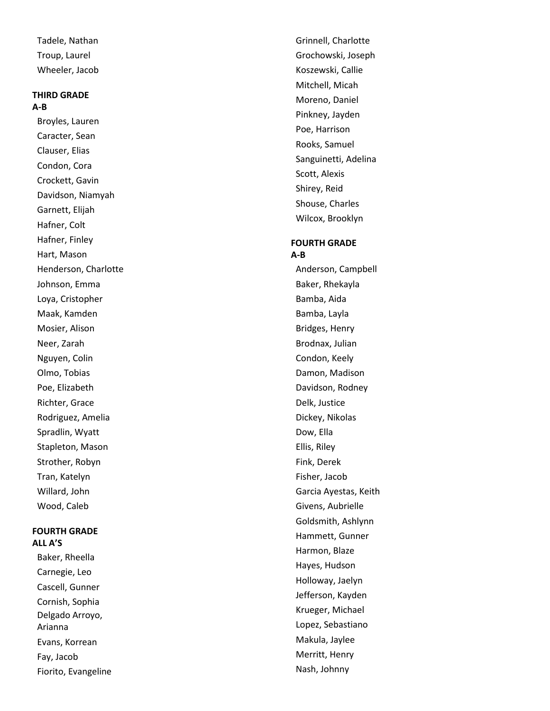Tadele, Nathan Troup, Laurel Wheeler, Jacob

## **THIRD GRADE A-B**

Broyles, Lauren Caracter, Sean Clauser, Elias Condon, Cora Crockett, Gavin Davidson, Niamyah Garnett, Elijah Hafner, Colt Hafner, Finley Hart, Mason Henderson, Charlotte Johnson, Emma Loya, Cristopher Maak, Kamden Mosier, Alison Neer, Zarah Nguyen, Colin Olmo, Tobias Poe, Elizabeth Richter, Grace Rodriguez, Amelia Spradlin, Wyatt Stapleton, Mason Strother, Robyn Tran, Katelyn Willard, John Wood, Caleb

#### **FOURTH GRADE ALL A'S**

Baker, Rheella Carnegie, Leo Cascell, Gunner Cornish, Sophia Delgado Arroyo, Arianna Evans, Korrean Fay, Jacob Fiorito, Evangeline Grinnell, Charlotte Grochowski, Joseph Koszewski, Callie Mitchell, Micah Moreno, Daniel Pinkney, Jayden Poe, Harrison Rooks, Samuel Sanguinetti, Adelina Scott, Alexis Shirey, Reid Shouse, Charles Wilcox, Brooklyn

#### **FOURTH GRADE A-B**

Anderson, Campbell Baker, Rhekayla Bamba, Aida Bamba, Layla Bridges, Henry Brodnax, Julian Condon, Keely Damon, Madison Davidson, Rodney Delk, Justice Dickey, Nikolas Dow, Ella Ellis, Riley Fink, Derek Fisher, Jacob Garcia Ayestas, Keith Givens, Aubrielle Goldsmith, Ashlynn Hammett, Gunner Harmon, Blaze Hayes, Hudson Holloway, Jaelyn Jefferson, Kayden Krueger, Michael Lopez, Sebastiano Makula, Jaylee Merritt, Henry Nash, Johnny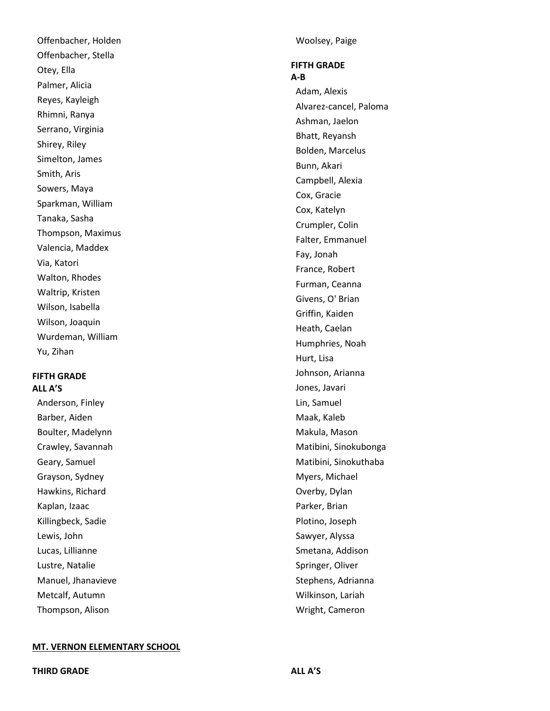Offenbacher, Holden Offenbacher, Stella Otey, Ella Palmer, Alicia Reyes, Kayleigh Rhimni, Ranya Serrano, Virginia Shirey, Riley Simelton, James Smith, Aris Sowers, Maya Sparkman, William Tanaka, Sasha Thompson, Maximus Valencia, Maddex Via, Katori Walton, Rhodes Waltrip, Kristen Wilson, Isabella Wilson, Joaquin Wurdeman, William Yu, Zihan

## **FIFTH GRADE ALL A'S**

Anderson, Finley Barber, Aiden Boulter, Madelynn Crawley, Savannah Geary, Samuel Grayson, Sydney Hawkins, Richard Kaplan, Izaac Killingbeck, Sadie Lewis, John Lucas, Lillianne Lustre, Natalie Manuel, Jhanavieve Metcalf, Autumn Thompson, Alison

Woolsey, Paige

#### **FIFTH GRADE A-B**

Adam, Alexis Alvarez -cancel, Paloma Ashman, Jaelon Bhatt, Reyansh Bolden, Marcelus Bunn, Akari Campbell, Alexia Cox, Gracie Cox, Katelyn Crumpler, Colin Falter, Emmanuel Fay, Jonah France, Robert Furman, Ceanna Givens, O' Brian Griffin, Kaiden Heath, Caelan Humphries, Noah Hurt, Lisa Johnson, Arianna Jones, Javari Lin, Samuel Maak, Kaleb Makula, Mason Matibini, Sinokubonga Matibini, Sinokuthaba Myers, Michael Overby, Dylan Parker, Brian Plotino, Joseph Sawyer, Alyssa Smetana, Addison Springer, Oliver Stephens, Adrianna Wilkinson, Lariah Wright, Cameron

## **MT. VERNON ELEMENTARY SCHOOL**

**THIRD GRADE ALL A'S**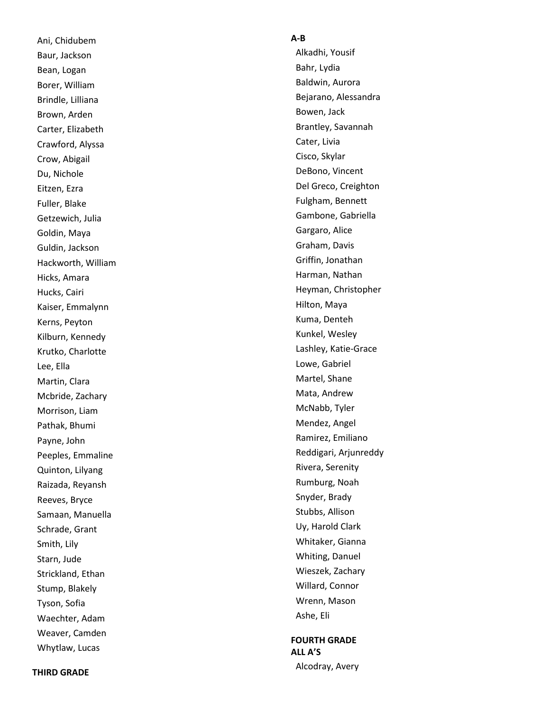Ani, Chidubem Baur, Jackson Bean, Logan Borer, William Brindle, Lilliana Brown, Arden Carter, Elizabeth Crawford, Alyssa Crow, Abigail Du, Nichole Eitzen, Ezra Fuller, Blake Getzewich, Julia Goldin, Maya Guldin, Jackson Hackworth, William Hicks, Amara Hucks, Cairi Kaiser, Emmalynn Kerns, Peyton Kilburn, Kennedy Krutko, Charlotte Lee, Ella Martin, Clara Mcbride, Zachary Morrison, Liam Pathak, Bhumi Payne, John Peeples, Emmaline Quinton, Lilyang Raizada, Reyansh Reeves, Bryce Samaan, Manuella Schrade, Grant Smith, Lily Starn, Jude Strickland, Ethan Stump, Blakely Tyson, Sofia Waechter, Adam Weaver, Camden Whytlaw, Lucas

### **A - B**

Alkadhi, Yousif Bahr, Lydia Baldwin, Aurora Bejarano, Alessandra Bowen, Jack Brantley, Savannah Cater, Livia Cisco, Skylar DeBono, Vincent Del Greco, Creighton Fulgham, Bennett Gambone, Gabriella Gargaro, Alice Graham, Davis Griffin, Jonathan Harman, Nathan Heyman, Christopher Hilton, Maya Kuma, Denteh Kunkel, Wesley Lashley, Katie -Grace Lowe, Gabriel Martel, Shane Mata, Andrew McNabb, Tyler Mendez, Angel Ramirez, Emiliano Reddigari, Arjunreddy Rivera, Serenity Rumburg, Noah Snyder, Brady Stubbs, Allison Uy, Harold Clark Whitaker, Gianna Whiting, Danuel Wieszek, Zachary Willard, Connor Wrenn, Mason Ashe, Eli

## **FOURTH GRADE ALL A'S** Alcodray, Avery

**THIRD GRADE**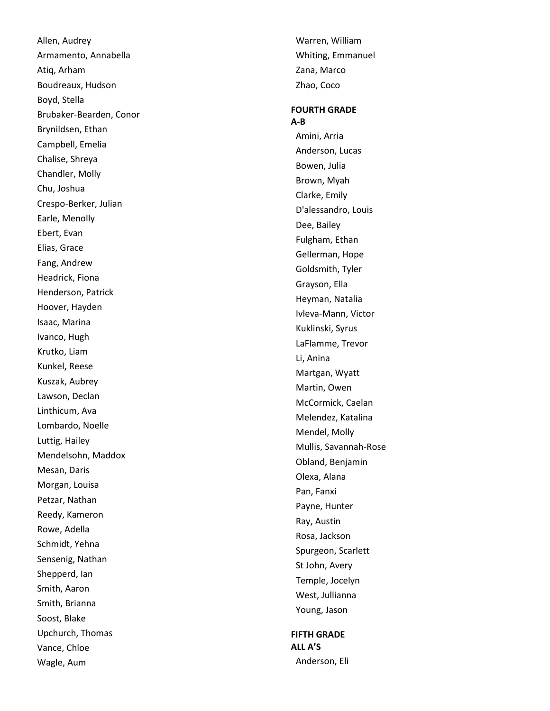Allen, Audrey Armamento, Annabella Atiq, Arham Boudreaux, Hudson Boyd, Stella Brubaker -Bearden, Conor Brynildsen, Ethan Campbell, Emelia Chalise, Shreya Chandler, Molly Chu, Joshua Crespo -Berker, Julian Earle, Menolly Ebert, Evan Elias, Grace Fang, Andrew Headrick, Fiona Henderson, Patrick Hoover, Hayden Isaac, Marina Ivanco, Hugh Krutko, Liam Kunkel, Reese Kuszak, Aubrey Lawson, Declan Linthicum, Ava Lombardo, Noelle Luttig, Hailey Mendelsohn, Maddox Mesan, Daris Morgan, Louisa Petzar, Nathan Reedy, Kameron Rowe, Adella Schmidt, Yehna Sensenig, Nathan Shepperd, Ian Smith, Aaron Smith, Brianna Soost, Blake Upchurch, Thomas Vance, Chloe Wagle, Aum

Warren, William Whiting, Emmanuel Zana, Marco Zhao, Coco

## **FOURTH GRADE A-B** Amini, Arria Anderson, Lucas Bowen, Julia Brown, Myah Clarke, Emily D'alessandro, Louis Dee, Bailey Fulgham, Ethan Gellerman, Hope Goldsmith, Tyler Grayson, Ella Heyman, Natalia Ivleva -Mann, Victor Kuklinski, Syrus LaFlamme, Trevor Li, Anina Martgan, Wyatt Martin, Owen McCormick, Caelan Melendez, Katalina Mendel, Molly Mullis, Savannah -Rose Obland, Benjamin Olexa, Alana Pan, Fanxi Payne, Hunter Ray, Austin Rosa, Jackson Spurgeon, Scarlett St John, Avery Temple, Jocelyn West, Jullianna Young, Jason

## **FIFTH GRADE ALL A'S**

Anderson, Eli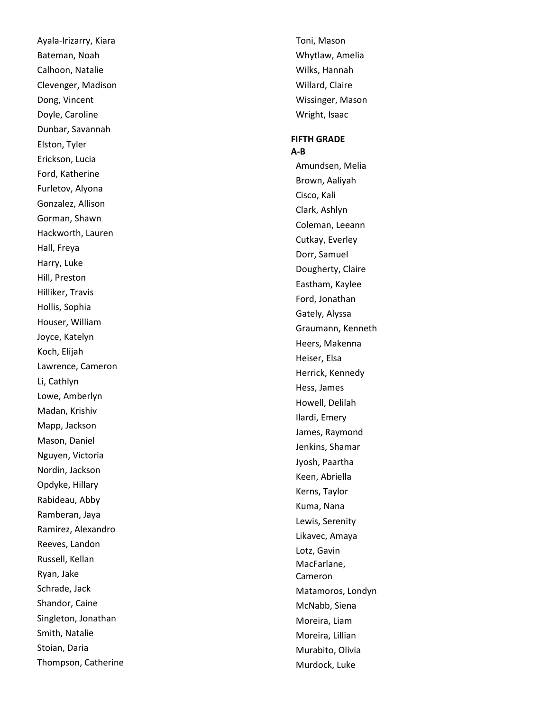Ayala -Irizarry, Kiara Bateman, Noah Calhoon, Natalie Clevenger, Madison Dong, Vincent Doyle, Caroline Dunbar, Savannah Elston, Tyler Erickson, Lucia Ford, Katherine Furletov, Alyona Gonzalez, Allison Gorman, Shawn Hackworth, Lauren Hall, Freya Harry, Luke Hill, Preston Hilliker, Travis Hollis, Sophia Houser, William Joyce, Katelyn Koch, Elijah Lawrence, Cameron Li, Cathlyn Lowe, Amberlyn Madan, Krishiv Mapp, Jackson Mason, Daniel Nguyen, Victoria Nordin, Jackson Opdyke, Hillary Rabideau, Abby Ramberan, Jaya Ramirez, Alexandro Reeves, Landon Russell, Kellan Ryan, Jake Schrade, Jack Shandor, Caine Singleton, Jonathan Smith, Natalie Stoian, Daria Thompson, Catherine Toni, Mason Whytlaw, Amelia Wilks, Hannah Willard, Claire Wissinger, Mason Wright, Isaac

#### **FIFTH GRADE A-B**

Amundsen, Melia Brown, Aaliyah Cisco, Kali Clark, Ashlyn Coleman, Leeann Cutkay, Everley Dorr, Samuel Dougherty, Claire Eastham, Kaylee Ford, Jonathan Gately, Alyssa Graumann, Kenneth Heers, Makenna Heiser, Elsa Herrick, Kennedy Hess, James Howell, Delilah Ilardi, Emery James, Raymond Jenkins, Shamar Jyosh, Paartha Keen, Abriella Kerns, Taylor Kuma, Nana Lewis, Serenity Likavec, Amaya Lotz, Gavin MacFarlane, Cameron Matamoros, Londyn McNabb, Siena Moreira, Liam Moreira, Lillian Murabito, Olivia Murdock, Luke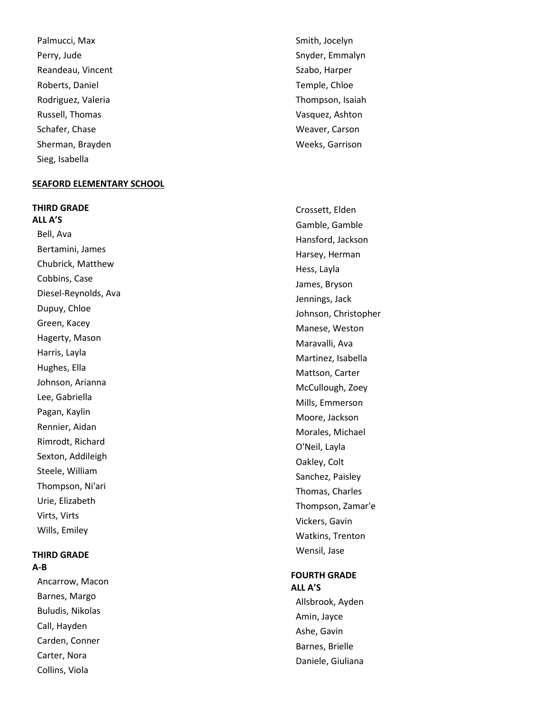Palmucci, Max Perry, Jude Reandeau, Vincent Roberts, Daniel Rodriguez, Valeria Russell, Thomas Schafer, Chase Sherman, Brayden Sieg, Isabella

#### **SEAFORD ELEMENTARY SCHOOL**

**THIRD GRADE**

**ALL A'S** Bell, Ava Bertamini, James Chubrick, Matthew Cobbins, Case Diesel -Reynolds, Ava Dupuy, Chloe Green, Kacey Hagerty, Mason Harris, Layla Hughes, Ella Johnson, Arianna Lee, Gabriella Pagan, Kaylin Rennier, Aidan Rimrodt, Richard Sexton, Addileigh Steele, William Thompson, Ni'ari Urie, Elizabeth Virts, Virts Wills, Emiley

## **THIRD GRADE A-B**

Ancarrow, Macon Barnes, Margo Buludis, Nikolas Call, Hayden Carden, Conner Carter, Nora Collins, Viola

Smith, Jocelyn Snyder, Emmalyn Szabo, Harper Temple, Chloe Thompson, Isaiah Vasquez, Ashton Weaver, Carson Weeks, Garrison

Crossett, Elden Gamble, Gamble Hansford, Jackson Harsey, Herman Hess, Layla James, Bryson Jennings, Jack Johnson, Christopher Manese, Weston Maravalli, Ava Martinez, Isabella Mattson, Carter McCullough, Zoey Mills, Emmerson Moore, Jackson Morales, Michael O'Neil, Layla Oakley, Colt Sanchez, Paisley Thomas, Charles Thompson, Zamar'e Vickers, Gavin Watkins, Trenton Wensil, Jase

#### **FOURTH GRADE ALL A'S**

Allsbrook, Ayden Amin, Jayce Ashe, Gavin Barnes, Brielle Daniele, Giuliana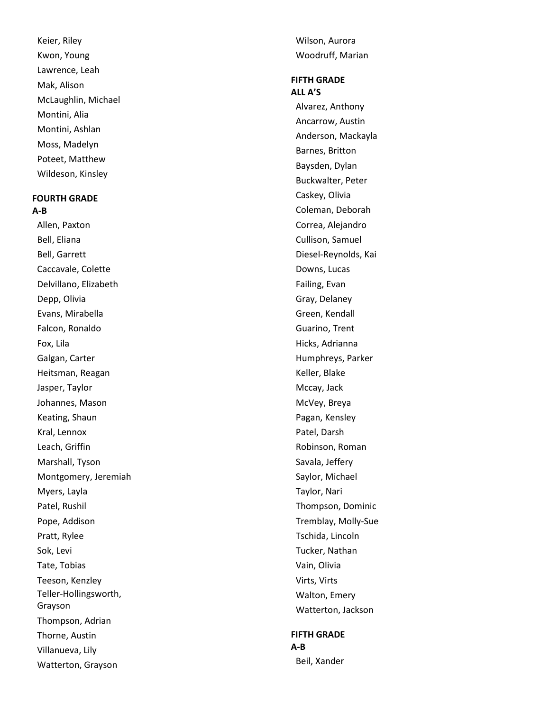Keier, Riley Kwon, Young Lawrence, Leah Mak, Alison McLaughlin, Michael Montini, Alia Montini, Ashlan Moss, Madelyn Poteet, Matthew Wildeson, Kinsley

#### **FOURTH GRADE A-B**

Allen, Paxton Bell, Eliana Bell, Garrett Caccavale, Colette Delvillano, Elizabeth Depp, Olivia Evans, Mirabella Falcon, Ronaldo Fox, Lila Galgan, Carter Heitsman, Reagan Jasper, Taylor Johannes, Mason Keating, Shaun Kral, Lennox Leach, Griffin Marshall, Tyson Montgomery, Jeremiah Myers, Layla Patel, Rushil Pope, Addison Pratt, Rylee Sok, Levi Tate, Tobias Teeson, Kenzley Teller -Hollingsworth, Grayson Thompson, Adrian Thorne, Austin Villanueva, Lily Watterton, Grayson

Wilson, Aurora Woodruff, Marian

#### **FIFTH GRADE ALL A'S**

Alvarez, Anthony Ancarrow, Austin Anderson, Mackayla Barnes, Britton Baysden, Dylan Buckwalter, Peter Caskey, Olivia Coleman, Deborah Correa, Alejandro Cullison, Samuel Diesel -Reynolds, Kai Downs, Lucas Failing, Evan Gray, Delaney Green, Kendall Guarino, Trent Hicks, Adrianna Humphreys, Parker Keller, Blake Mccay, Jack McVey, Breya Pagan, Kensley Patel, Darsh Robinson, Roman Savala, Jeffery Saylor, Michael Taylor, Nari Thompson, Dominic Tremblay, Molly -Sue Tschida, Lincoln Tucker, Nathan Vain, Olivia Virts, Virts Walton, Emery Watterton, Jackson

## **FIFTH GRADE A-B**

Beil, Xander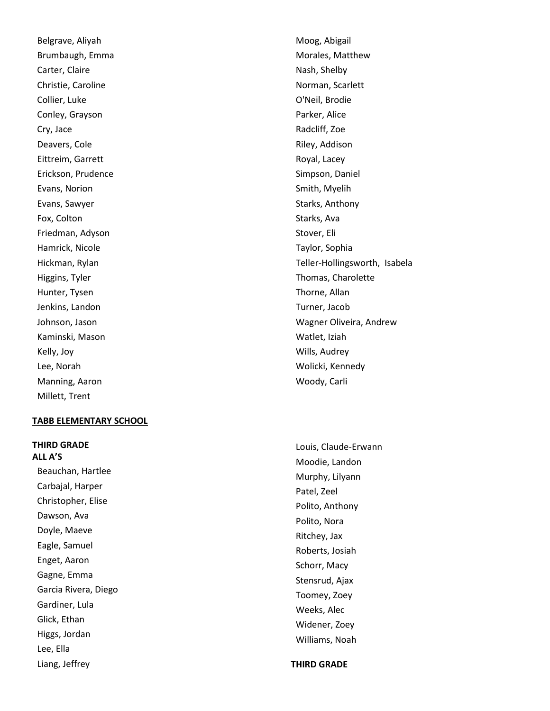Belgrave, Aliyah Brumbaugh, Emma Carter, Claire Christie, Caroline Collier, Luke Conley, Grayson Cry, Jace Deavers, Cole Eittreim, Garrett Erickson, Prudence Evans, Norion Evans, Sawyer Fox, Colton Friedman, Adyson Hamrick, Nicole Hickman, Rylan Higgins, Tyler Hunter, Tysen Jenkins, Landon Johnson, Jason Kaminski, Mason Kelly, Joy Lee, Norah Manning, Aaron Millett, Trent

#### **TABB ELEMENTARY SCHOOL**

**THIRD GRADE ALL A'S** Beauchan, Hartlee Carbajal, Harper Christopher, Elise Dawson, Ava Doyle, Maeve Eagle, Samuel Enget, Aaron Gagne, Emma Garcia Rivera, Diego Gardiner, Lula Glick, Ethan Higgs, Jordan Lee, Ella Liang, Jeffrey

Moog, Abigail Morales, Matthew Nash, Shelby Norman, Scarlett O'Neil, Brodie Parker, Alice Radcliff, Zoe Riley, Addison Royal, Lacey Simpson, Daniel Smith, Myelih Starks, Anthony Starks, Ava Stover, Eli Taylor, Sophia Teller -Hollingsworth, Isabela Thomas, Charolette Thorne, Allan Turner, Jacob Wagner Oliveira, Andrew Watlet, Iziah Wills, Audrey Wolicki, Kennedy Woody, Carli

Louis, Claude -Erwann Moodie, Landon Murphy, Lilyann Patel, Zeel Polito, Anthony Polito, Nora Ritchey, Jax Roberts, Josiah Schorr, Macy Stensrud, Ajax Toomey, Zoey Weeks, Alec Widener, Zoey Williams, Noah

**THIRD GRADE**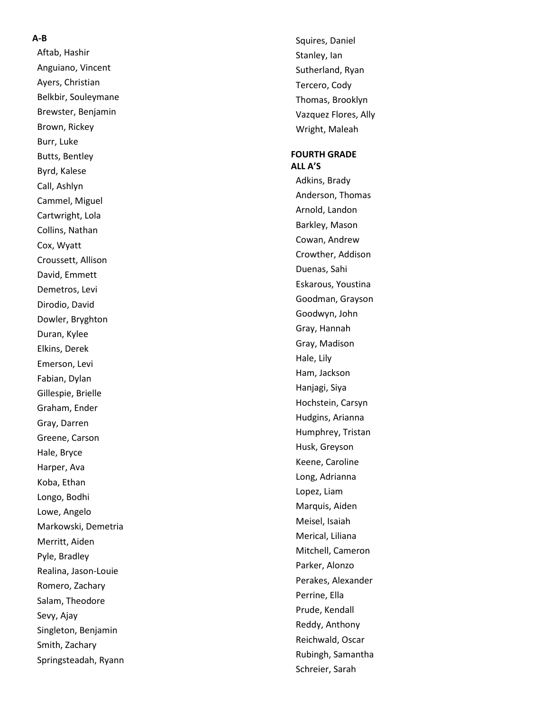#### **A - B**

Aftab, Hashir Anguiano, Vincent Ayers, Christian Belkbir, Souleymane Brewster, Benjamin Brown, Rickey Burr, Luke Butts, Bentley Byrd, Kalese Call, Ashlyn Cammel, Miguel Cartwright, Lola Collins, Nathan Cox, Wyatt Croussett, Allison David, Emmett Demetros, Levi Dirodio, David Dowler, Bryghton Duran, Kylee Elkins, Derek Emerson, Levi Fabian, Dylan Gillespie, Brielle Graham, Ender Gray, Darren Greene, Carson Hale, Bryce Harper, Ava Koba, Ethan Longo, Bodhi Lowe, Angelo Markowski, Demetria Merritt, Aiden Pyle, Bradley Realina, Jason -Louie Romero, Zachary Salam, Theodore Sevy, Ajay Singleton, Benjamin Smith, Zachary Springsteadah, Ryann Squires, Daniel Stanley, Ian Sutherland, Ryan Tercero, Cody Thomas, Brooklyn Vazquez Flores, Ally Wright, Maleah

#### **FOURTH GRADE ALL A'S**

Adkins, Brady Anderson, Thomas Arnold, Landon Barkley, Mason Cowan, Andrew Crowther, Addison Duenas, Sahi Eskarous, Youstina Goodman, Grayson Goodwyn, John Gray, Hannah Gray, Madison Hale, Lily Ham, Jackson Hanjagi, Siya Hochstein, Carsyn Hudgins, Arianna Humphrey, Tristan Husk, Greyson Keene, Caroline Long, Adrianna Lopez, Liam Marquis, Aiden Meisel, Isaiah Merical, Liliana Mitchell, Cameron Parker, Alonzo Perakes, Alexander Perrine, Ella Prude, Kendall Reddy, Anthony Reichwald, Oscar Rubingh, Samantha Schreier, Sarah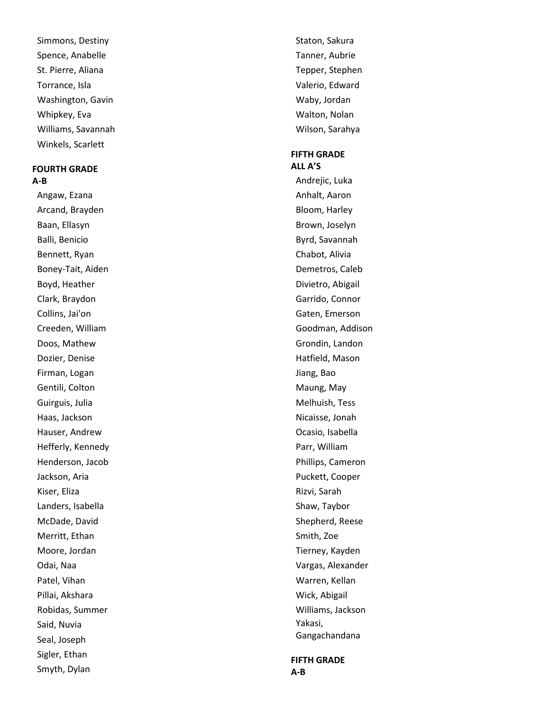Simmons, Destiny Spence, Anabelle St. Pierre, Aliana Torrance, Isla Washington, Gavin Whipkey, Eva Williams, Savannah Winkels, Scarlett

#### **FOURTH GRADE A-B**

Angaw, Ezana Arcand, Brayden Baan, Ellasyn Balli, Benicio Bennett, Ryan Boney -Tait, Aiden Boyd, Heather Clark, Braydon Collins, Jai'on Creeden, William Doos, Mathew Dozier, Denise Firman, Logan Gentili, Colton Guirguis, Julia Haas, Jackson Hauser, Andrew Hefferly, Kennedy Henderson, Jacob Jackson, Aria Kiser, Eliza Landers, Isabella McDade, David Merritt, Ethan Moore, Jordan Odai, Naa Patel, Vihan Pillai, Akshara Robidas, Summer Said, Nuvia Seal, Joseph Sigler, Ethan Smyth, Dylan

Staton, Sakura Tanner, Aubrie Tepper, Stephen Valerio, Edward Waby, Jordan Walton, Nolan Wilson, Sarahya

#### **FIFTH GRADE ALL A'S**

Andrejic, Luka Anhalt, Aaron Bloom, Harley Brown, Joselyn Byrd, Savannah Chabot, Alivia Demetros, Caleb Divietro, Abigail Garrido, Connor Gaten, Emerson Goodman, Addison Grondin, Landon Hatfield, Mason Jiang, Bao Maung, May Melhuish, Tess Nicaisse, Jonah Ocasio, Isabella Parr, William Phillips, Cameron Puckett, Cooper Rizvi, Sarah Shaw, Taybor Shepherd, Reese Smith, Zoe Tierney, Kayden Vargas, Alexander Warren, Kellan Wick, Abigail Williams, Jackson Yakasi, Gangachandana

**FIFTH GRADE A-B**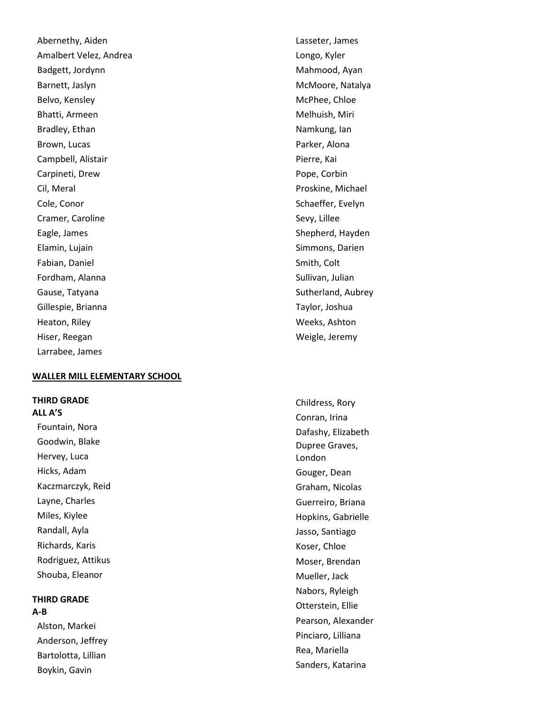Abernethy, Aiden Amalbert Velez, Andrea Badgett, Jordynn Barnett, Jaslyn Belvo, Kensley Bhatti, Armeen Bradley, Ethan Brown, Lucas Campbell, Alistair Carpineti, Drew Cil, Meral Cole, Conor Cramer, Caroline Eagle, James Elamin, Lujain Fabian, Daniel Fordham, Alanna Gause, Tatyana Gillespie, Brianna Heaton, Riley Hiser, Reegan Larrabee, James

#### **WALLER MILL ELEMENTARY SCHOOL**

#### **THIRD GRADE ALL A'S**

Fountain, Nora Goodwin, Blake Hervey, Luca Hicks, Adam Kaczmarczyk, Reid Layne, Charles Miles, Kiylee Randall, Ayla Richards, Karis Rodriguez, Attikus Shouba, Eleanor

#### **THIRD GRADE A-B**

Alston, Markei Anderson, Jeffrey Bartolotta, Lillian Boykin, Gavin

Lasseter, James Longo, Kyler Mahmood, Ayan McMoore, Natalya McPhee, Chloe Melhuish, Miri Namkung, Ian Parker, Alona Pierre, Kai Pope, Corbin Proskine, Michael Schaeffer, Evelyn Sevy, Lillee Shepherd, Hayden Simmons, Darien Smith, Colt Sullivan, Julian Sutherland, Aubrey Taylor, Joshua Weeks, Ashton Weigle, Jeremy

Childress, Rory Conran, Irina Dafashy, Elizabeth Dupree Graves, London Gouger, Dean Graham, Nicolas Guerreiro, Briana Hopkins, Gabrielle Jasso, Santiago Koser, Chloe Moser, Brendan Mueller, Jack Nabors, Ryleigh Otterstein, Ellie Pearson, Alexander Pinciaro, Lilliana Rea, Mariella Sanders, Katarina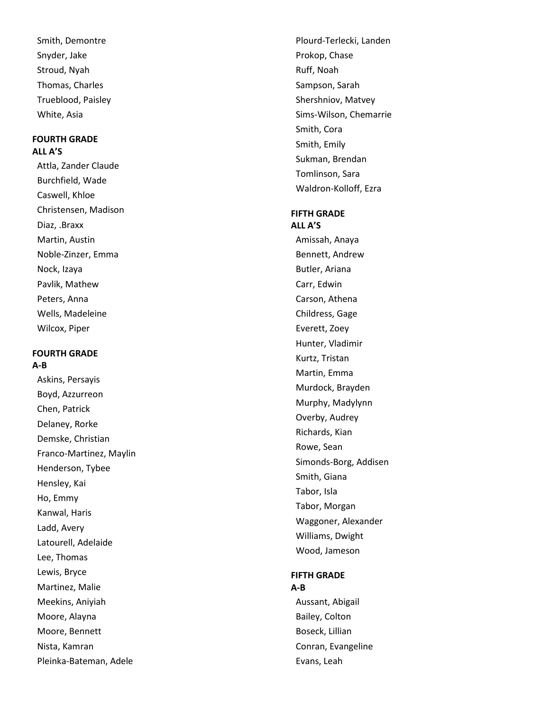Smith, Demontre Snyder, Jake Stroud, Nyah Thomas, Charles Trueblood, Paisley White, Asia

## **FOURTH GRADE ALL A'S**

Attla, Zander Claude Burchfield, Wade Caswell, Khloe Christensen, Madison Diaz, .Braxx Martin, Austin Noble -Zinzer, Emma Nock, Izaya Pavlik, Mathew Peters, Anna Wells, Madeleine Wilcox, Piper

#### **FOURTH GRADE A-B**

Askins, Persayis Boyd, Azzurreon Chen, Patrick Delaney, Rorke Demske, Christian Franco -Martinez, Maylin Henderson, Tybee Hensley, Kai Ho, Emmy Kanwal, Haris Ladd, Avery Latourell, Adelaide Lee, Thomas Lewis, Bryce Martinez, Malie Meekins, Aniyiah Moore, Alayna Moore, Bennett Nista, Kamran Pleinka -Bateman, Adele

Plourd -Terlecki, Landen Prokop, Chase Ruff, Noah Sampson, Sarah Shershniov, Matvey Sims -Wilson, Chemarrie Smith, Cora Smith, Emily Sukman, Brendan Tomlinson, Sara Waldron -Kolloff, Ezra

#### **FIFTH GRADE ALL A'S**

Amissah, Anaya Bennett, Andrew Butler, Ariana Carr, Edwin Carson, Athena Childress, Gage Everett, Zoey Hunter, Vladimir Kurtz, Tristan Martin, Emma Murdock, Brayden Murphy, Madylynn Overby, Audrey Richards, Kian Rowe, Sean Simonds -Borg, Addisen Smith, Giana Tabor, Isla Tabor, Morgan Waggoner, Alexander Williams, Dwight Wood, Jameson

#### **FIFTH GRADE A-B**

Aussant, Abigail Bailey, Colton Boseck, Lillian Conran, Evangeline Evans, Leah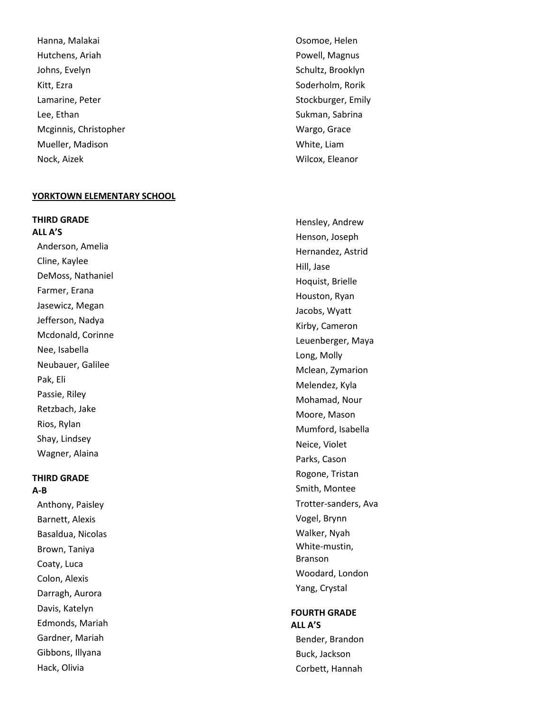Hanna, Malakai Hutchens, Ariah Johns, Evelyn Kitt, Ezra Lamarine, Peter Lee, Ethan Mcginnis, Christopher Mueller, Madison Nock, Aizek

#### **YORKTOWN ELEMENTARY SCHOOL**

**THIRD GRADE ALL A'S**

Anderson, Amelia Cline, Kaylee DeMoss, Nathaniel Farmer, Erana Jasewicz, Megan Jefferson, Nadya Mcdonald, Corinne Nee, Isabella Neubauer, Galilee Pak, Eli Passie, Riley Retzbach, Jake Rios, Rylan Shay, Lindsey Wagner, Alaina

#### **THIRD GRADE A-B**

Anthony, Paisley Barnett, Alexis Basaldua, Nicolas Brown, Taniya Coaty, Luca Colon, Alexis Darragh, Aurora Davis, Katelyn Edmonds, Mariah Gardner, Mariah Gibbons, Illyana Hack, Olivia

Osomoe, Helen Powell, Magnus Schultz, Brooklyn Soderholm, Rorik Stockburger, Emily Sukman, Sabrina Wargo, Grace White, Liam Wilcox, Eleanor

Hensley, Andrew Henson, Joseph Hernandez, Astrid Hill, Jase Hoquist, Brielle Houston, Ryan Jacobs, Wyatt Kirby, Cameron Leuenberger, Maya Long, Molly Mclean, Zymarion Melendez, Kyla Mohamad, Nour Moore, Mason Mumford, Isabella Neice, Violet Parks, Cason Rogone, Tristan Smith, Montee Trotter -sanders, Ava Vogel, Brynn Walker, Nyah White -mustin, Branson Woodard, London Yang, Crystal

## **FOURTH GRADE ALL A'S** Bender, Brandon

Buck, Jackson Corbett, Hannah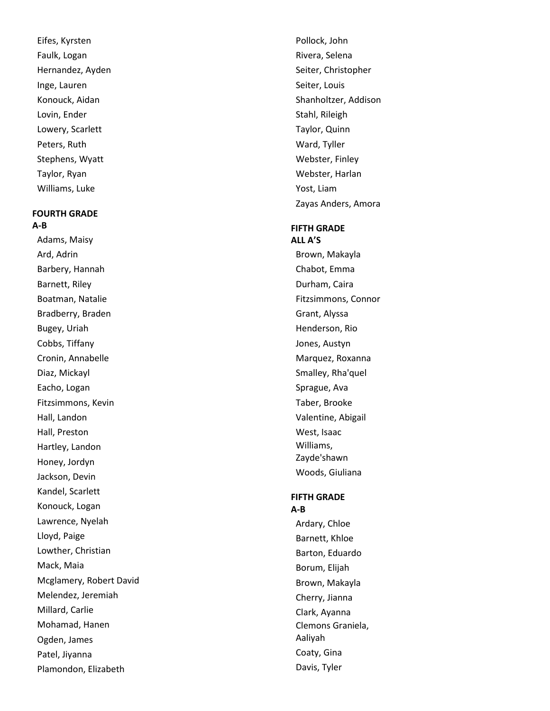Eifes, Kyrsten Faulk, Logan Hernandez, Ayden Inge, Lauren Konouck, Aidan Lovin, Ender Lowery, Scarlett Peters, Ruth Stephens, Wyatt Taylor, Ryan Williams, Luke

## **FOURTH GRADE A-B**

Adams, Maisy Ard, Adrin Barbery, Hannah Barnett, Riley Boatman, Natalie Bradberry, Braden Bugey, Uriah Cobbs, Tiffany Cronin, Annabelle Diaz, Mickayl Eacho, Logan Fitzsimmons, Kevin Hall, Landon Hall, Preston Hartley, Landon Honey, Jordyn Jackson, Devin Kandel, Scarlett Konouck, Logan Lawrence, Nyelah Lloyd, Paige Lowther, Christian Mack, Maia Mcglamery, Robert David Melendez, Jeremiah Millard, Carlie Mohamad, Hanen Ogden, James Patel, Jiyanna Plamondon, Elizabeth

Pollock, John Rivera, Selena Seiter, Christopher Seiter, Louis Shanholtzer, Addison Stahl, Rileigh Taylor, Quinn Ward, Tyller Webster, Finley Webster, Harlan Yost, Liam Zayas Anders, Amora

#### **FIFTH GRADE**

**ALL A'S** Brown, Makayla Chabot, Emma Durham, Caira Fitzsimmons, Connor Grant, Alyssa Henderson, Rio Jones, Austyn Marquez, Roxanna Smalley, Rha'quel Sprague, Ava Taber, Brooke Valentine, Abigail West, Isaac Williams, Zayde'shawn Woods, Giuliana

#### **FIFTH GRADE A-B**

Ardary, Chloe Barnett, Khloe Barton, Eduardo Borum, Elijah Brown, Makayla Cherry, Jianna Clark, Ayanna Clemons Graniela, Aaliyah Coaty, Gina Davis, Tyler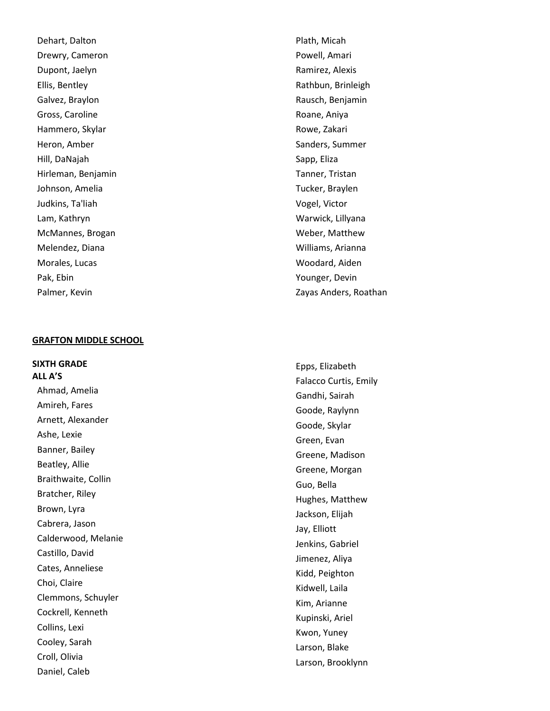Dehart, Dalton Drewry, Cameron Dupont, Jaelyn Ellis, Bentley Galvez, Braylon Gross, Caroline Hammero, Skylar Heron, Amber Hill, DaNajah Hirleman, Benjamin Johnson, Amelia Judkins, Ta'liah Lam, Kathryn McMannes, Brogan Melendez, Diana Morales, Lucas Pak, Ebin Palmer, Kevin

#### **GRAFTON MIDDLE SCHOO L**

**SIXTH GRADE ALL A'S** Ahmad, Amelia Amireh, Fares Arnett, Alexander Ashe, Lexie Banner, Bailey Beatley, Allie Braithwaite, Collin Bratcher, Riley Brown, Lyra Cabrera, Jason Calderwood, Melanie Castillo, David Cates, Anneliese Choi, Claire Clemmons, Schuyler Cockrell, Kenneth Collins, Lexi Cooley, Sarah Croll, Olivia Daniel, Caleb

Plath, Micah Powell, Amari Ramirez, Alexis Rathbun, Brinleigh Rausch, Benjamin Roane, Aniya Rowe, Zakari Sanders, Summer Sapp, Eliza Tanner, Tristan Tucker, Braylen Vogel, Victor Warwick, Lillyana Weber, Matthew Williams, Arianna Woodard, Aiden Younger, Devin Zayas Anders, Roathan

Epps, Elizabeth Falacco Curtis, Emily Gandhi, Sairah Goode, Raylynn Goode, Skylar Green, Evan Greene, Madison Greene, Morgan Guo, Bella Hughes, Matthew Jackson, Elijah Jay, Elliott Jenkins, Gabriel Jimenez, Aliya Kidd, Peighton Kidwell, Laila Kim, Arianne Kupinski, Ariel Kwon, Yuney Larson, Blake Larson, Brooklynn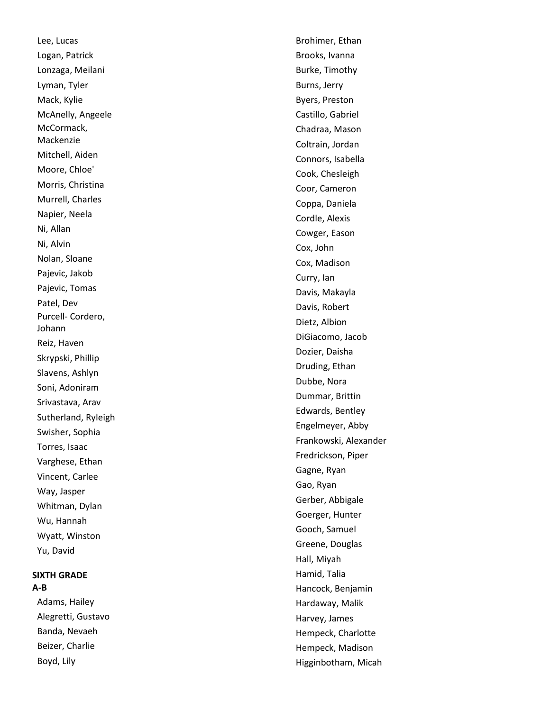Lee, Lucas Logan, Patrick Lonzaga, Meilani Lyman, Tyler Mack, Kylie McAnelly, Angeele McCormack, Mackenzie Mitchell, Aiden Moore, Chloe' Morris, Christina Murrell, Charles Napier, Neela Ni, Allan Ni, Alvin Nolan, Sloane Pajevic, Jakob Pajevic, Tomas Patel, Dev Purcell- Cordero, Johann Reiz, Haven Skrypski, Phillip Slavens, Ashlyn Soni, Adoniram Srivastava, Arav Sutherland, Ryleigh Swisher, Sophia Torres, Isaac Varghese, Ethan Vincent, Carlee Way, Jasper Whitman, Dylan Wu, Hannah Wyatt, Winston Yu, David

## **SIXTH GRADE A-B**

Adams, Hailey Alegretti, Gustavo Banda, Nevaeh Beizer, Charlie Boyd, Lily

Brohimer, Ethan Brooks, Ivanna Burke, Timothy Burns, Jerry Byers, Preston Castillo, Gabriel Chadraa, Mason Coltrain, Jordan Connors, Isabella Cook, Chesleigh Coor, Cameron Coppa, Daniela Cordle, Alexis Cowger, Eason Cox, John Cox, Madison Curry, Ian Davis, Makayla Davis, Robert Dietz, Albion DiGiacomo, Jacob Dozier, Daisha Druding, Ethan Dubbe, Nora Dummar, Brittin Edwards, Bentley Engelmeyer, Abby Frankowski, Alexander Fredrickson, Piper Gagne, Ryan Gao, Ryan Gerber, Abbigale Goerger, Hunter Gooch, Samuel Greene, Douglas Hall, Miyah Hamid, Talia Hancock, Benjamin Hardaway, Malik Harvey, James Hempeck, Charlotte Hempeck, Madison Higginbotham, Micah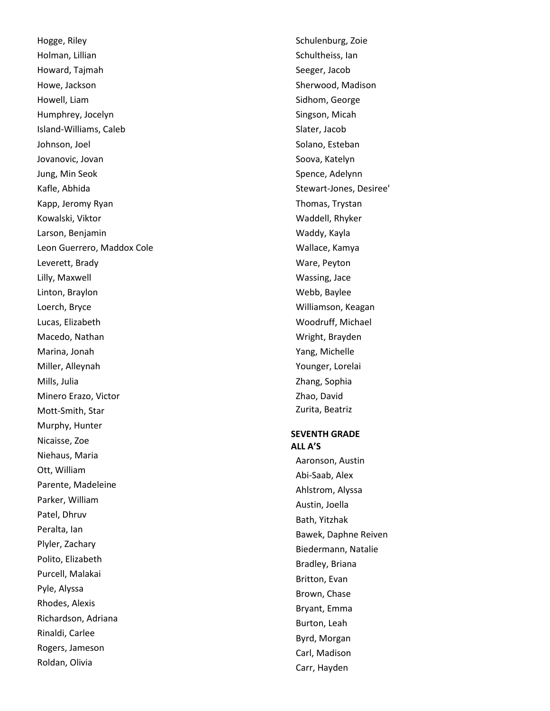Hogge, Riley Holman, Lillian Howard, Tajmah Howe, Jackson Howell, Liam Humphrey, Jocelyn Island -Williams, Caleb Johnson, Joel Jovanovic, Jovan Jung, Min Seok Kafle, Abhida Kapp, Jeromy Ryan Kowalski, Viktor Larson, Benjamin Leon Guerrero, Maddox Cole Leverett, Brady Lilly, Maxwell Linton, Braylon Loerch, Bryce Lucas, Elizabeth Macedo, Nathan Marina, Jonah Miller, Alleynah Mills, Julia Minero Erazo, Victor Mott -Smith, Star Murphy, Hunter Nicaisse, Zoe Niehaus, Maria Ott, William Parente, Madeleine Parker, William Patel, Dhruv Peralta, Ian Plyler, Zachary Polito, Elizabeth Purcell, Malakai Pyle, Alyssa Rhodes, Alexis Richardson, Adriana Rinaldi, Carlee Rogers, Jameson Roldan, Olivia

Schulenburg, Zoie Schultheiss, Ian Seeger, Jacob Sherwood, Madison Sidhom, George Singson, Micah Slater, Jacob Solano, Esteban Soova, Katelyn Spence, Adelynn Stewart -Jones, Desiree' Thomas, Trystan Waddell, Rhyker Waddy, Kayla Wallace, Kamya Ware, Peyton Wassing, Jace Webb, Baylee Williamson, Keagan Woodruff, Michael Wright, Brayden Yang, Michelle Younger, Lorelai Zhang, Sophia Zhao, David Zurita, Beatriz

#### **SEVENTH GRADE ALL A'S**

Aaronson, Austin Abi -Saab, Alex Ahlstrom, Alyssa Austin, Joella Bath, Yitzhak Bawek, Daphne Reiven Biedermann, Natalie Bradley, Briana Britton, Evan Brown, Chase Bryant, Emma Burton, Leah Byrd, Morgan Carl, Madison Carr, Hayden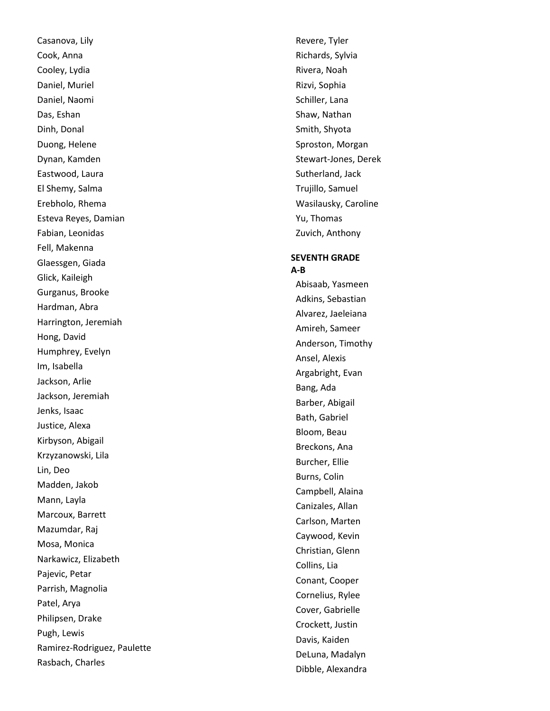Casanova, Lily Cook, Anna Cooley, Lydia Daniel, Muriel Daniel, Naomi Das, Eshan Dinh, Donal Duong, Helene Dynan, Kamden Eastwood, Laura El Shemy, Salma Erebholo, Rhema Esteva Reyes, Damian Fabian, Leonidas Fell, Makenna Glaessgen, Giada Glick, Kaileigh Gurganus, Brooke Hardman, Abra Harrington, Jeremiah Hong, David Humphrey, Evelyn Im, Isabella Jackson, Arlie Jackson, Jeremiah Jenks, Isaac Justice, Alexa Kirbyson, Abigail Krzyzanowski, Lila Lin, Deo Madden, Jakob Mann, Layla Marcoux, Barrett Mazumdar, Raj Mosa, Monica Narkawicz, Elizabeth Pajevic, Petar Parrish, Magnolia Patel, Arya Philipsen, Drake Pugh, Lewis Ramirez -Rodriguez, Paulette Rasbach, Charles

Revere, Tyler Richards, Sylvia Rivera, Noah Rizvi, Sophia Schiller, Lana Shaw, Nathan Smith, Shyota Sproston, Morgan Stewart -Jones, Derek Sutherland, Jack Trujillo, Samuel Wasilausky, Caroline Yu, Thomas Zuvich, Anthony

#### **SEVENTH GRADE A-B**

Abisaab, Yasmeen Adkins, Sebastian Alvarez, Jaeleiana Amireh, Sameer Anderson, Timothy Ansel, Alexis Argabright, Evan Bang, Ada Barber, Abigail Bath, Gabriel Bloom, Beau Breckons, Ana Burcher, Ellie Burns, Colin Campbell, Alaina Canizales, Allan Carlson, Marten Caywood, Kevin Christian, Glenn Collins, Lia Conant, Cooper Cornelius, Rylee Cover, Gabrielle Crockett, Justin Davis, Kaiden DeLuna, Madalyn Dibble, Alexandra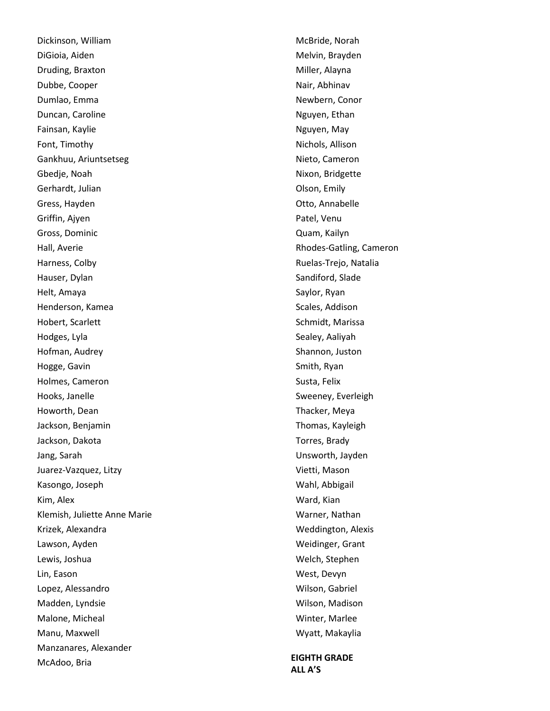Dickinson, William DiGioia, Aiden Druding, Braxton Dubbe, Cooper Dumlao, Emma Duncan, Caroline Fainsan, Kaylie Font, Timothy Gankhuu, Ariuntsetseg Gbedje, Noah Gerhardt, Julian Gress, Hayden Griffin, Ajyen Gross, Dominic Hall, Averie Harness, Colby Hauser, Dylan Helt, Amaya Henderson, Kamea Hobert, Scarlett Hodges, Lyla Hofman, Audrey Hogge, Gavin Holmes, Cameron Hooks, Janelle Howorth, Dean Jackson, Benjamin Jackson, Dakota Jang, Sarah Juarez-Vazquez, Litzy Kasongo, Joseph Kim, Alex Klemish, Juliette Anne Marie Krizek, Alexandra Lawson, Ayden Lewis, Joshua Lin, Eason Lopez, Alessandro Madden, Lyndsie Malone, Micheal Manu, Maxwell Manzanares, Alexander McAdoo, Bria

McBride, Norah Melvin, Brayden Miller, Alayna Nair, Abhinav Newbern, Conor Nguyen, Ethan Nguyen, May Nichols, Allison Nieto, Cameron Nixon, Bridgette Olson, Emily Otto, Annabelle Patel, Venu Quam, Kailyn Rhodes-Gatling, Cameron Ruelas-Trejo, Natalia Sandiford, Slade Saylor, Ryan Scales, Addison Schmidt, Marissa Sealey, Aaliyah Shannon, Juston Smith, Ryan Susta, Felix Sweeney, Everleigh Thacker, Meya Thomas, Kayleigh Torres, Brady Unsworth, Jayden Vietti, Mason Wahl, Abbigail Ward, Kian Warner, Nathan Weddington, Alexis Weidinger, Grant Welch, Stephen West, Devyn Wilson, Gabriel Wilson, Madison Winter, Marlee Wyatt, Makaylia

**EIGHTH GRADE ALL A'S**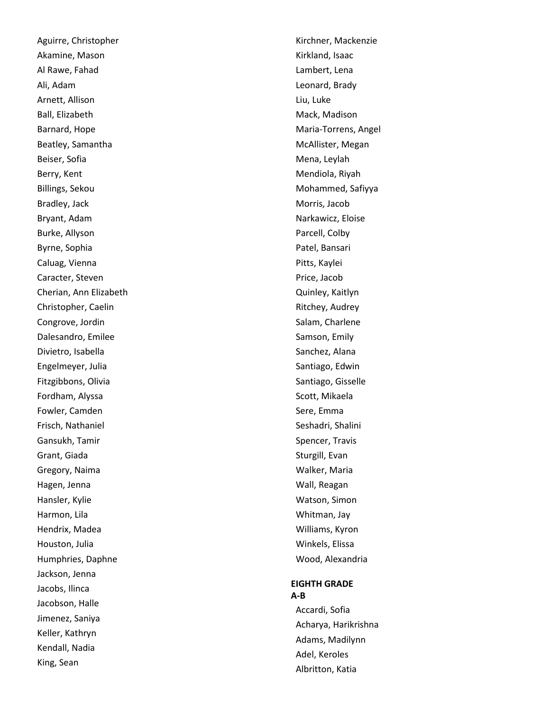Aguirre, Christopher Akamine, Mason Al Rawe, Fahad Ali, Adam Arnett, Allison Ball, Elizabeth Barnard, Hope Beatley, Samantha Beiser, Sofia Berry, Kent Billings, Sekou Bradley, Jack Bryant, Adam Burke, Allyson Byrne, Sophia Caluag, Vienna Caracter, Steven Cherian, Ann Elizabeth Christopher, Caelin Congrove, Jordin Dalesandro, Emilee Divietro, Isabella Engelmeyer, Julia Fitzgibbons, Olivia Fordham, Alyssa Fowler, Camden Frisch, Nathaniel Gansukh, Tamir Grant, Giada Gregory, Naima Hagen, Jenna Hansler, Kylie Harmon, Lila Hendrix, Madea Houston, Julia Humphries, Daphne Jackson, Jenna Jacobs, Ilinca Jacobson, Halle Jimenez, Saniya Keller, Kathryn Kendall, Nadia King, Sean

Kirchner, Mackenzie Kirkland, Isaac Lambert, Lena Leonard, Brady Liu, Luke Mack, Madison Maria -Torrens, Angel McAllister, Megan Mena, Leylah Mendiola, Riyah Mohammed, Safiyya Morris, Jacob Narkawicz, Eloise Parcell, Colby Patel, Bansari Pitts, Kaylei Price, Jacob Quinley, Kaitlyn Ritchey, Audrey Salam, Charlene Samson, Emily Sanchez, Alana Santiago, Edwin Santiago, Gisselle Scott, Mikaela Sere, Emma Seshadri, Shalini Spencer, Travis Sturgill, Evan Walker, Maria Wall, Reagan Watson, Simon Whitman, Jay Williams, Kyron Winkels, Elissa Wood, Alexandria

## **EIGHTH GRADE A-B**

Accardi, Sofia Acharya, Harikrishna Adams, Madilynn Adel, Keroles Albritton, Katia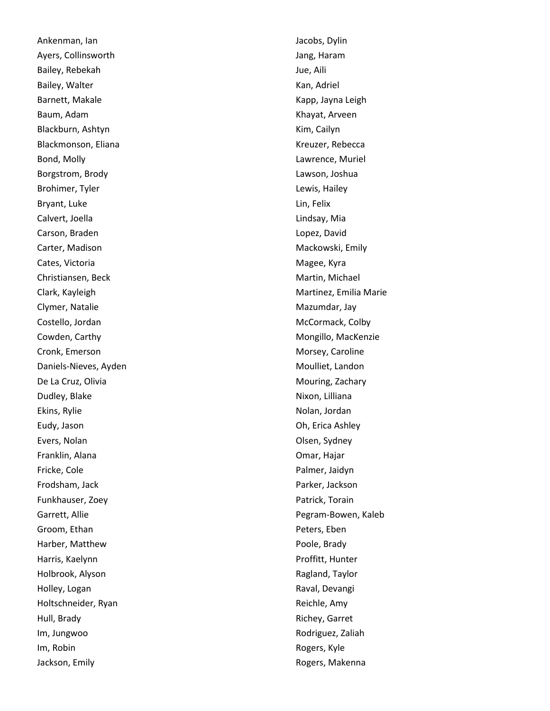Ankenman, Ian Ayers, Collinsworth Bailey, Rebekah Bailey, Walter Barnett, Makale Baum, Adam Blackburn, Ashtyn Blackmonson, Eliana Bond, Molly Borgstrom, Brody Brohimer, Tyler Bryant, Luke Calvert, Joella Carson, Braden Carter, Madison Cates, Victoria Christiansen, Beck Clark, Kayleigh Clymer, Natalie Costello, Jordan Cowden, Carthy Cronk, Emerson Daniels -Nieves, Ayden De La Cruz, Olivia Dudley, Blake Ekins, Rylie Eudy, Jason Evers, Nolan Franklin, Alana Fricke, Cole Frodsham, Jack Funkhauser, Zoey Garrett, Allie Groom, Ethan Harber, Matthew Harris, Kaelynn Holbrook, Alyson Holley, Logan Holtschneider, Ryan Hull, Brady Im, Jungwoo Im, Robin Jackson, Emily

Jacobs, Dylin Jang, Haram Jue, Aili Kan, Adriel Kapp, Jayna Leigh Khayat, Arveen Kim, Cailyn Kreuzer, Rebecca Lawrence, Muriel Lawson, Joshua Lewis, Hailey Lin, Felix Lindsay, Mia Lopez, David Mackowski, Emily Magee, Kyra Martin, Michael Martinez, Emilia Marie Mazumdar, Jay McCormack, Colby Mongillo, MacKenzie Morsey, Caroline Moulliet, Landon Mouring, Zachary Nixon, Lilliana Nolan, Jordan Oh, Erica Ashley Olsen, Sydney Omar, Hajar Palmer, Jaidyn Parker, Jackson Patrick, Torain Pegram -Bowen, Kaleb Peters, Eben Poole, Brady Proffitt, Hunter Ragland, Taylor Raval, Devangi Reichle, Amy Richey, Garret Rodriguez, Zaliah Rogers, Kyle Rogers, Makenna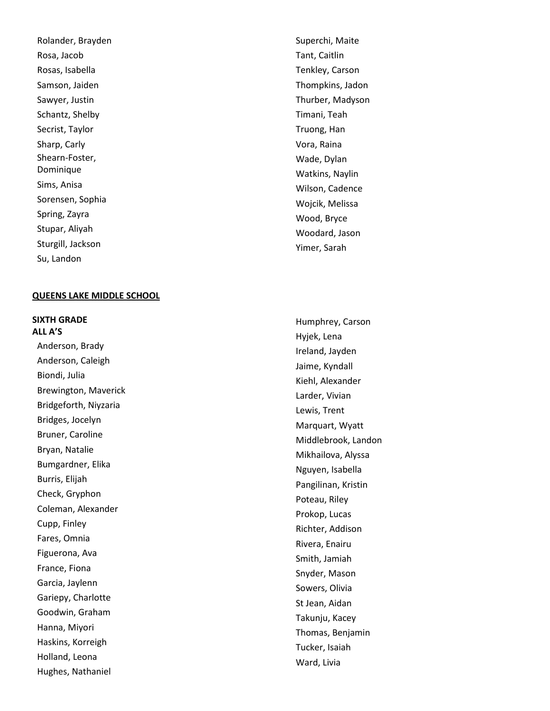Rolander, Brayden Rosa, Jacob Rosas, Isabella Samson, Jaiden Sawyer, Justin Schantz, Shelby Secrist, Taylor Sharp, Carly Shearn -Foster, Dominique Sims, Anisa Sorensen, Sophia Spring, Zayra Stupar, Aliyah Sturgill, Jackson Su, Landon

### **QUEENS LAKE MIDDLE SCHOOL**

**SIXTH GRADE**

**ALL A'S** Anderson, Brady Anderson, Caleigh Biondi, Julia Brewington, Maverick Bridgeforth, Niyzaria Bridges, Jocelyn Bruner, Caroline Bryan, Natalie Bumgardner, Elika Burris, Elijah Check, Gryphon Coleman, Alexander Cupp, Finley Fares, Omnia Figuerona, Ava France, Fiona Garcia, Jaylenn Gariepy, Charlotte Goodwin, Graham Hanna, Miyori Haskins, Korreigh Holland, Leona Hughes, Nathaniel

Superchi, Maite Tant, Caitlin Tenkley, Carson Thompkins, Jadon Thurber, Madyson Timani, Teah Truong, Han Vora, Raina Wade, Dylan Watkins, Naylin Wilson, Cadence Wojcik, Melissa Wood, Bryce Woodard, Jason Yimer, Sarah

Humphrey, Carson Hyjek, Lena Ireland, Jayden Jaime, Kyndall Kiehl, Alexander Larder, Vivian Lewis, Trent Marquart, Wyatt Middlebrook, Landon Mikhailova, Alyssa Nguyen, Isabella Pangilinan, Kristin Poteau, Riley Prokop, Lucas Richter, Addison Rivera, Enairu Smith, Jamiah Snyder, Mason Sowers, Olivia St Jean, Aidan Takunju, Kacey Thomas, Benjamin Tucker, Isaiah Ward, Livia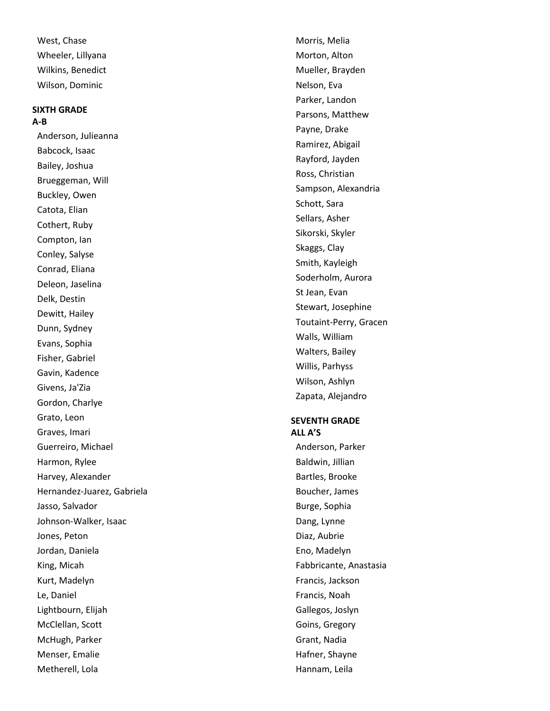West, Chase Wheeler, Lillyana Wilkins, Benedict Wilson, Dominic

#### **SIXTH GRADE A-B**

Anderson, Julieanna Babcock, Isaac Bailey, Joshua Brueggeman, Will Buckley, Owen Catota, Elian Cothert, Ruby Compton, Ian Conley, Salyse Conrad, Eliana Deleon, Jaselina Delk, Destin Dewitt, Hailey Dunn, Sydney Evans, Sophia Fisher, Gabriel Gavin, Kadence Givens, Ja'Zia Gordon, Charlye Grato, Leon Graves, Imari Guerreiro, Michael Harmon, Rylee Harvey, Alexander Hernandez -Juarez, Gabriela Jasso, Salvador Johnson -Walker, Isaac Jones, Peton Jordan, Daniela King, Micah Kurt, Madelyn Le, Daniel Lightbourn, Elijah McClellan, Scott McHugh, Parker Menser, Emalie Metherell, Lola

Morris, Melia Morton, Alton Mueller, Brayden Nelson, Eva Parker, Landon Parsons, Matthew Payne, Drake Ramirez, Abigail Rayford, Jayden Ross, Christian Sampson, Alexandria Schott, Sara Sellars, Asher Sikorski, Skyler Skaggs, Clay Smith, Kayleigh Soderholm, Aurora St Jean, Evan Stewart, Josephine Toutaint -Perry, Gracen Walls, William Walters, Bailey Willis, Parhyss Wilson, Ashlyn Zapata, Alejandro

#### **SEVENTH GRADE ALL A'S**

Anderson, Parker Baldwin, Jillian Bartles, Brooke Boucher, James Burge, Sophia Dang, Lynne Diaz, Aubrie Eno, Madelyn Fabbricante, Anastasia Francis, Jackson Francis, Noah Gallegos, Joslyn Goins, Gregory Grant, Nadia Hafner, Shayne Hannam, Leila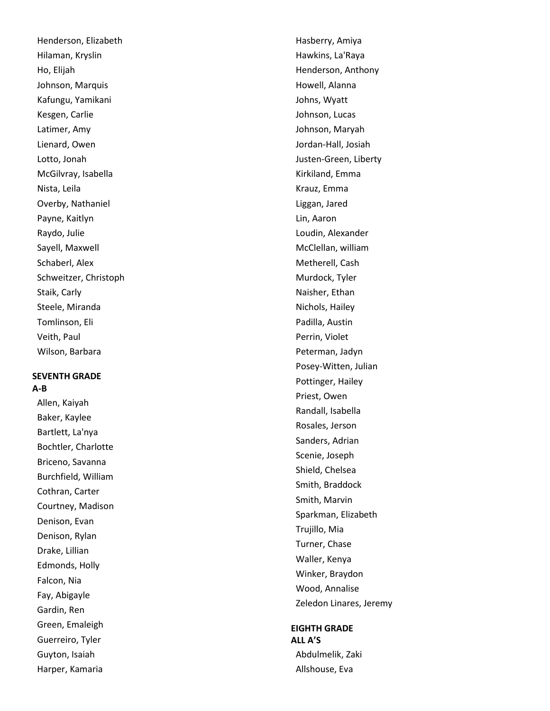Henderson, Elizabeth Hilaman, Kryslin Ho, Elijah Johnson, Marquis Kafungu, Yamikani Kesgen, Carlie Latimer, Amy Lienard, Owen Lotto, Jonah McGilvray, Isabella Nista, Leila Overby, Nathaniel Payne, Kaitlyn Raydo, Julie Sayell, Maxwell Schaberl, Alex Schweitzer, Christoph Staik, Carly Steele, Miranda Tomlinson, Eli Veith, Paul Wilson, Barbara

## **SEVENTH GRADE A-B**

Allen, Kaiyah Baker, Kaylee Bartlett, La'nya Bochtler, Charlotte Briceno, Savanna Burchfield, William Cothran, Carter Courtney, Madison Denison, Evan Denison, Rylan Drake, Lillian Edmonds, Holly Falcon, Nia Fay, Abigayle Gardin, Ren Green, Emaleigh Guerreiro, Tyler Guyton, Isaiah Harper, Kamaria

Hasberry, Amiya Hawkins, La'Raya Henderson, Anthony Howell, Alanna Johns, Wyatt Johnson, Lucas Johnson, Maryah Jordan -Hall, Josiah Justen -Green, Liberty Kirkiland, Emma Krauz, Emma Liggan, Jared Lin, Aaron Loudin, Alexander McClellan, william Metherell, Cash Murdock, Tyler Naisher, Ethan Nichols, Hailey Padilla, Austin Perrin, Violet Peterman, Jadyn Posey -Witten, Julian Pottinger, Hailey Priest, Owen Randall, Isabella Rosales, Jerson Sanders, Adrian Scenie, Joseph Shield, Chelsea Smith, Braddock Smith, Marvin Sparkman, Elizabeth Trujillo, Mia Turner, Chase Waller, Kenya Winker, Braydon Wood, Annalise Zeledon Linares, Jeremy

#### **EIGHTH GRADE ALL A'S**

Abdulmelik, Zaki Allshouse, Eva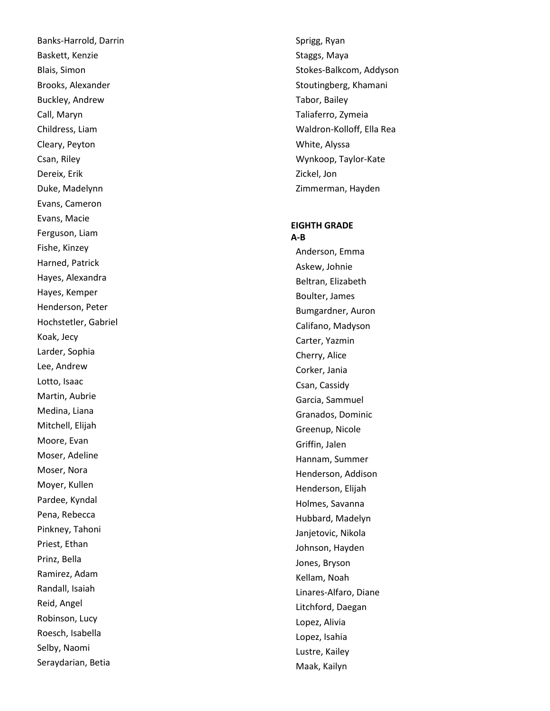Banks -Harrold, Darrin Baskett, Kenzie Blais, Simon Brooks, Alexander Buckley, Andrew Call, Maryn Childress, Liam Cleary, Peyton Csan, Riley Dereix, Erik Duke, Madelynn Evans, Cameron Evans, Macie Ferguson, Liam Fishe, Kinzey Harned, Patrick Hayes, Alexandra Hayes, Kemper Henderson, Peter Hochstetler, Gabriel Koak, Jecy Larder, Sophia Lee, Andrew Lotto, Isaac Martin, Aubrie Medina, Liana Mitchell, Elijah Moore, Evan Moser, Adeline Moser, Nora Moyer, Kullen Pardee, Kyndal Pena, Rebecca Pinkney, Tahoni Priest, Ethan Prinz, Bella Ramirez, Adam Randall, Isaiah Reid, Angel Robinson, Lucy Roesch, Isabella Selby, Naomi Seraydarian, Betia

Sprigg, Ryan Staggs, Maya Stokes -Balkcom, Addyson Stoutingberg, Khamani Tabor, Bailey Taliaferro, Zymeia Waldron -Kolloff, Ella Rea White, Alyssa Wynkoop, Taylor -Kate Zickel, Jon Zimmerman, Hayden

#### **EIGHTH GRADE A-B**

Anderson, Emma Askew, Johnie Beltran, Elizabeth Boulter, James Bumgardner, Auron Califano, Madyson Carter, Yazmin Cherry, Alice Corker, Jania Csan, Cassidy Garcia, Sammuel Granados, Dominic Greenup, Nicole Griffin, Jalen Hannam, Summer Henderson, Addison Henderson, Elijah Holmes, Savanna Hubbard, Madelyn Janjetovic, Nikola Johnson, Hayden Jones, Bryson Kellam, Noah Linares -Alfaro, Diane Litchford, Daegan Lopez, Alivia Lopez, Isahia Lustre, Kailey Maak, Kailyn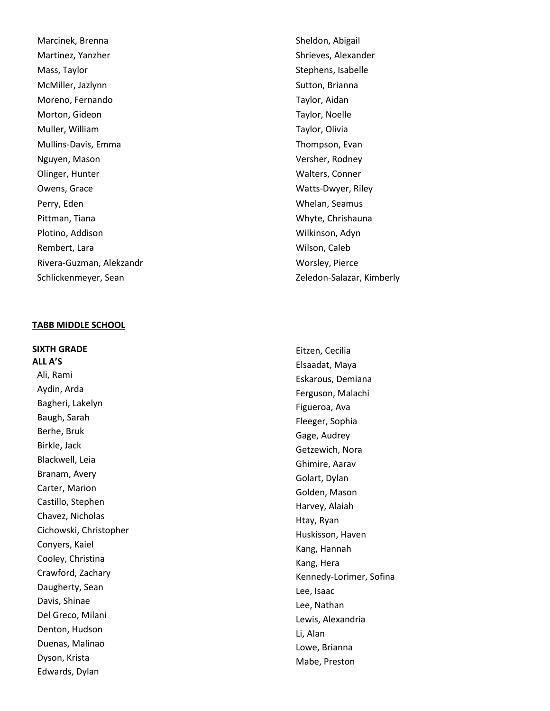Marcinek, Brenna Martinez, Yanzher Mass, Taylor McMiller, Jazlynn Moreno, Fernando Morton, Gideon Muller, William Mullins -Davis, Emma Nguyen, Mason Olinger, Hunter Owens, Grace Perry, Eden Pittman, Tiana Plotino, Addison Rembert, Lara Rivera -Guzman, Alekzandr Schlickenmeyer, Sean

#### **TABB MIDDLE SCHOOL**

**SIXTH GRADE ALL A'S** Ali, Rami Aydin, Arda Bagheri, Lakelyn Baugh, Sarah Berhe, Bruk Birkle, Jack Blackwell, Leia Branam, Avery Carter, Marion Castillo, Stephen Chavez, Nicholas Cichowski, Christopher Conyers, Kaiel Cooley, Christina Crawford, Zachary Daugherty, Sean Davis, Shinae Del Greco, Milani Denton, Hudson Duenas, Malinao Dyson, Krista Edwards, Dylan

Sheldon, Abigail Shrieves, Alexander Stephens, Isabelle Sutton, Brianna Taylor, Aidan Taylor, Noelle Taylor, Olivia Thompson, Evan Versher, Rodney Walters, Conner Watts -Dwyer, Riley Whelan, Seamus Whyte, Chrishauna Wilkinson, Adyn Wilson, Caleb Worsley, Pierce Zeledon -Salazar, Kimberly

Eitzen, Cecilia Elsaadat, Maya Eskarous, Demiana Ferguson, Malachi Figueroa, Ava Fleeger, Sophia Gage, Audrey Getzewich, Nora Ghimire, Aarav Golart, Dylan Golden, Mason Harvey, Alaiah Htay, Ryan Huskisson, Haven Kang, Hannah Kang, Hera Kennedy -Lorimer, Sofina Lee, Isaac Lee, Nathan Lewis, Alexandria Li, Alan Lowe, Brianna Mabe, Preston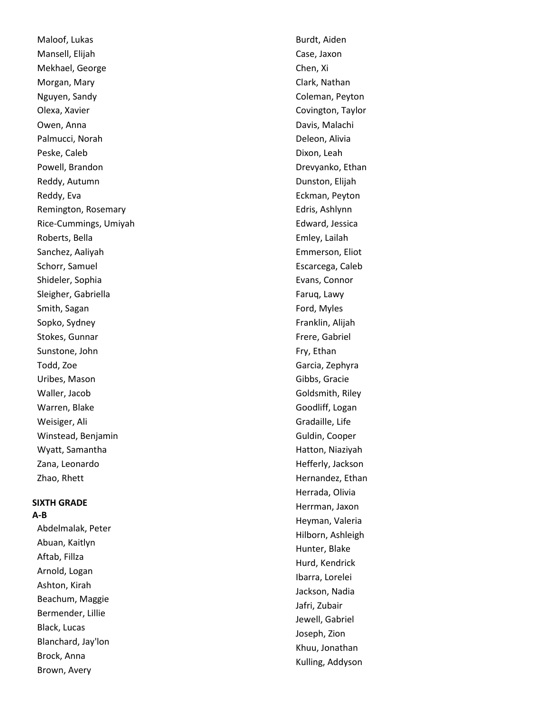Maloof, Lukas Mansell, Elijah Mekhael, George Morgan, Mary Nguyen, Sandy Olexa, Xavier Owen, Anna Palmucci, Norah Peske, Caleb Powell, Brandon Reddy, Autumn Reddy, Eva Remington, Rosemary Rice -Cummings, Umiyah Roberts, Bella Sanchez, Aaliyah Schorr, Samuel Shideler, Sophia Sleigher, Gabriella Smith, Sagan Sopko, Sydney Stokes, Gunnar Sunstone, John Todd, Zoe Uribes, Mason Waller, Jacob Warren, Blake Weisiger, Ali Winstead, Benjamin Wyatt, Samantha Zana, Leonardo Zhao, Rhett

#### **SIXTH GRADE A-B**

Abdelmalak, Peter Abuan, Kaitlyn Aftab, Fillza Arnold, Logan Ashton, Kirah Beachum, Maggie Bermender, Lillie Black, Lucas Blanchard, Jay'lon Brock, Anna Brown, Avery

Burdt, Aiden Case, Jaxon Chen, Xi Clark, Nathan Coleman, Peyton Covington, Taylor Davis, Malachi Deleon, Alivia Dixon, Leah Drevyanko, Ethan Dunston, Elijah Eckman, Peyton Edris, Ashlynn Edward, Jessica Emley, Lailah Emmerson, Eliot Escarcega, Caleb Evans, Connor Faruq, Lawy Ford, Myles Franklin, Alijah Frere, Gabriel Fry, Ethan Garcia, Zephyra Gibbs, Gracie Goldsmith, Riley Goodliff, Logan Gradaille, Life Guldin, Cooper Hatton, Niaziyah Hefferly, Jackson Hernandez, Ethan Herrada, Olivia Herrman, Jaxon Heyman, Valeria Hilborn, Ashleigh Hunter, Blake Hurd, Kendrick Ibarra, Lorelei Jackson, Nadia Jafri, Zubair Jewell, Gabriel Joseph, Zion Khuu, Jonathan Kulling, Addyson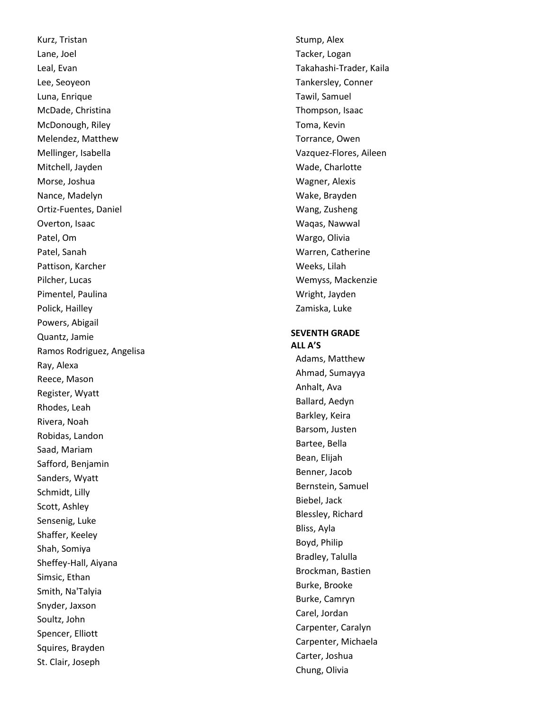Kurz, Tristan Lane, Joel Leal, Evan Lee, Seoyeon Luna, Enrique McDade, Christina McDonough, Riley Melendez, Matthew Mellinger, Isabella Mitchell, Jayden Morse, Joshua Nance, Madelyn Ortiz -Fuentes, Daniel Overton, Isaac Patel, Om Patel, Sanah Pattison, Karcher Pilcher, Lucas Pimentel, Paulina Polick, Hailley Powers, Abigail Quantz, Jamie Ramos Rodriguez, Angelisa Ray, Alexa Reece, Mason Register, Wyatt Rhodes, Leah Rivera, Noah Robidas, Landon Saad, Mariam Safford, Benjamin Sanders, Wyatt Schmidt, Lilly Scott, Ashley Sensenig, Luke Shaffer, Keeley Shah, Somiya Sheffey -Hall, Aiyana Simsic, Ethan Smith, Na'Talyia Snyder, Jaxson Soultz, John Spencer, Elliott Squires, Brayden St. Clair, Joseph

Stump, Alex Tacker, Logan Takahashi -Trader, Kaila Tankersley, Conner Tawil, Samuel Thompson, Isaac Toma, Kevin Torrance, Owen Vazquez -Flores, Aileen Wade, Charlotte Wagner, Alexis Wake, Brayden Wang, Zusheng Waqas, Nawwal Wargo, Olivia Warren, Catherine Weeks, Lilah Wemyss, Mackenzie Wright, Jayden Zamiska, Luke

### **SEVENTH GRADE ALL A'S**

Adams, Matthew Ahmad, Sumayya Anhalt, Ava Ballard, Aedyn Barkley, Keira Barsom, Justen Bartee, Bella Bean, Elijah Benner, Jacob Bernstein, Samuel Biebel, Jack Blessley, Richard Bliss, Ayla Boyd, Philip Bradley, Talulla Brockman, Bastien Burke, Brooke Burke, Camryn Carel, Jordan Carpenter, Caralyn Carpenter, Michaela Carter, Joshua Chung, Olivia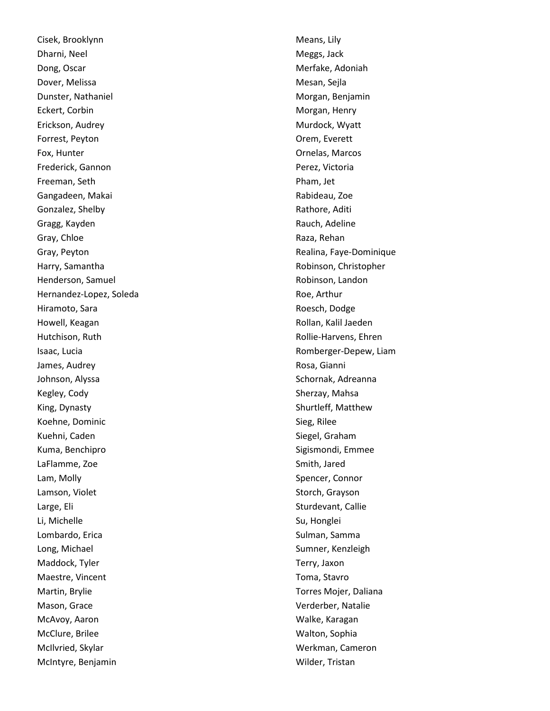Cisek, Brooklynn Dharni, Neel Dong, Oscar Dover, Melissa Dunster, Nathaniel Eckert, Corbin Erickson, Audrey Forrest, Peyton Fox, Hunter Frederick, Gannon Freeman, Seth Gangadeen, Makai Gonzalez, Shelby Gragg, Kayden Gray, Chloe Gray, Peyton Harry, Samantha Henderson, Samuel Hernandez -Lopez, Soleda Hiramoto, Sara Howell, Keagan Hutchison, Ruth Isaac, Lucia James, Audrey Johnson, Alyssa Kegley, Cody King, Dynasty Koehne, Dominic Kuehni, Caden Kuma, Benchipro LaFlamme, Zoe Lam, Molly Lamson, Violet Large, Eli Li, Michelle Lombardo, Erica Long, Michael Maddock, Tyler Maestre, Vincent Martin, Brylie Mason, Grace McAvoy, Aaron McClure, Brilee McIlvried, Skylar McIntyre, Benjamin

Means, Lily Meggs, Jack Merfake, Adoniah Mesan, Sejla Morgan, Benjamin Morgan, Henry Murdock, Wyatt Orem, Everett Ornelas, Marcos Perez, Victoria Pham, Jet Rabideau, Zoe Rathore, Aditi Rauch, Adeline Raza, Rehan Realina, Faye -Dominique Robinson, Christopher Robinson, Landon Roe, Arthur Roesch, Dodge Rollan, Kalil Jaeden Rollie -Harvens, Ehren Romberger -Depew, Liam Rosa, Gianni Schornak, Adreanna Sherzay, Mahsa Shurtleff, Matthew Sieg, Rilee Siegel, Graham Sigismondi, Emmee Smith, Jared Spencer, Connor Storch, Grayson Sturdevant, Callie Su, Honglei Sulman, Samma Sumner, Kenzleigh Terry, Jaxon Toma, Stavro Torres Mojer, Daliana Verderber, Natalie Walke, Karagan Walton, Sophia Werkman, Cameron Wilder, Tristan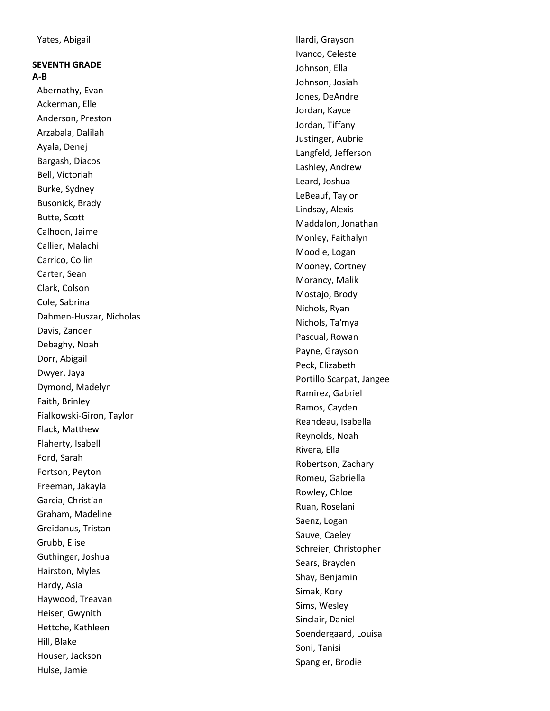### **SEVENTH GRADE A-B**

Abernathy, Evan Ackerman, Elle Anderson, Preston Arzabala, Dalilah Ayala, Denej Bargash, Diacos Bell, Victoriah Burke, Sydney Busonick, Brady Butte, Scott Calhoon, Jaime Callier, Malachi Carrico, Collin Carter, Sean Clark, Colson Cole, Sabrina Dahmen -Huszar, Nicholas Davis, Zander Debaghy, Noah Dorr, Abigail Dwyer, Jaya Dymond, Madelyn Faith, Brinley Fialkowski -Giron, Taylor Flack, Matthew Flaherty, Isabell Ford, Sarah Fortson, Peyton Freeman, Jakayla Garcia, Christian Graham, Madeline Greidanus, Tristan Grubb, Elise Guthinger, Joshua Hairston, Myles Hardy, Asia Haywood, Treavan Heiser, Gwynith Hettche, Kathleen Hill, Blake Houser, Jackson Hulse, Jamie

Ilardi, Grayson Ivanco, Celeste Johnson, Ella Johnson, Josiah Jones, DeAndre Jordan, Kayce Jordan, Tiffany Justinger, Aubrie Langfeld, Jefferson Lashley, Andrew Leard, Joshua LeBeauf, Taylor Lindsay, Alexis Maddalon, Jonathan Monley, Faithalyn Moodie, Logan Mooney, Cortney Morancy, Malik Mostajo, Brody Nichols, Ryan Nichols, Ta'mya Pascual, Rowan Payne, Grayson Peck, Elizabeth Portillo Scarpat, Jangee Ramirez, Gabriel Ramos, Cayden Reandeau, Isabella Reynolds, Noah Rivera, Ella Robertson, Zachary Romeu, Gabriella Rowley, Chloe Ruan, Roselani Saenz, Logan Sauve, Caeley Schreier, Christopher Sears, Brayden Shay, Benjamin Simak, Kory Sims, Wesley Sinclair, Daniel Soendergaard, Louisa Soni, Tanisi Spangler, Brodie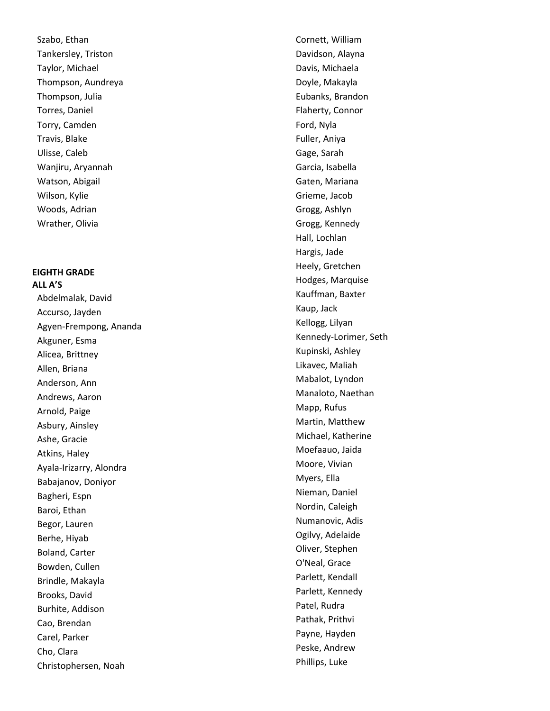Szabo, Ethan Tankersley, Triston Taylor, Michael Thompson, Aundreya Thompson, Julia Torres, Daniel Torry, Camden Travis, Blake Ulisse, Caleb Wanjiru, Aryannah Watson, Abigail Wilson, Kylie Woods, Adrian Wrather, Olivia

## **EIGHTH GRADE ALL A'S**

Abdelmalak, David Accurso, Jayden Agyen -Frempong, Ananda Akguner, Esma Alicea, Brittney Allen, Briana Anderson, Ann Andrews, Aaron Arnold, Paige Asbury, Ainsley Ashe, Gracie Atkins, Haley Ayala -Irizarry, Alondra Babajanov, Doniyor Bagheri, Espn Baroi, Ethan Begor, Lauren Berhe, Hiyab Boland, Carter Bowden, Cullen Brindle, Makayla Brooks, David Burhite, Addison Cao, Brendan Carel, Parker Cho, Clara Christophersen, Noah

Cornett, William Davidson, Alayna Davis, Michaela Doyle, Makayla Eubanks, Brandon Flaherty, Connor Ford, Nyla Fuller, Aniya Gage, Sarah Garcia, Isabella Gaten, Mariana Grieme, Jacob Grogg, Ashlyn Grogg, Kennedy Hall, Lochlan Hargis, Jade Heely, Gretchen Hodges, Marquise Kauffman, Baxter Kaup, Jack Kellogg, Lilyan Kennedy -Lorimer, Seth Kupinski, Ashley Likavec, Maliah Mabalot, Lyndon Manaloto, Naethan Mapp, Rufus Martin, Matthew Michael, Katherine Moefaauo, Jaida Moore, Vivian Myers, Ella Nieman, Daniel Nordin, Caleigh Numanovic, Adis Ogilvy, Adelaide Oliver, Stephen O'Neal, Grace Parlett, Kendall Parlett, Kennedy Patel, Rudra Pathak, Prithvi Payne, Hayden Peske, Andrew Phillips, Luke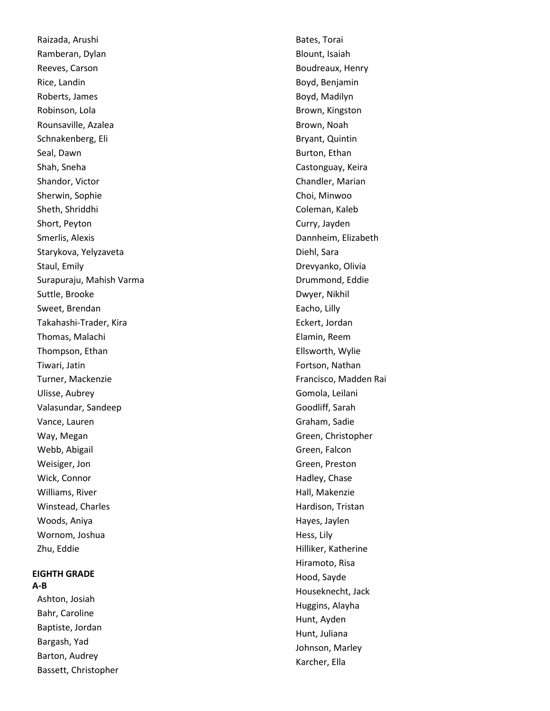Raizada, Arushi Ramberan, Dylan Reeves, Carson Rice, Landin Roberts, James Robinson, Lola Rounsaville, Azalea Schnakenberg, Eli Seal, Dawn Shah, Sneha Shandor, Victor Sherwin, Sophie Sheth, Shriddhi Short, Peyton Smerlis, Alexis Starykova, Yelyzaveta Staul, Emily Surapuraju, Mahish Varma Suttle, Brooke Sweet, Brendan Takahashi -Trader, Kira Thomas, Malachi Thompson, Ethan Tiwari, Jatin Turner, Mackenzie Ulisse, Aubrey Valasundar, Sandeep Vance, Lauren Way, Megan Webb, Abigail Weisiger, Jon Wick, Connor Williams, River Winstead, Charles Woods, Aniya Wornom, Joshua Zhu, Eddie

## **EIGHTH GRADE A-B**

Ashton, Josiah Bahr, Caroline Baptiste, Jordan Bargash, Yad Barton, Audrey Bassett, Christopher Bates, Torai Blount, Isaiah Boudreaux, Henry Boyd, Benjamin Boyd, Madilyn Brown, Kingston Brown, Noah Bryant, Quintin Burton, Ethan Castonguay, Keira Chandler, Marian Choi, Minwoo Coleman, Kaleb Curry, Jayden Dannheim, Elizabeth Diehl, Sara Drevyanko, Olivia Drummond, Eddie Dwyer, Nikhil Eacho, Lilly Eckert, Jordan Elamin, Reem Ellsworth, Wylie Fortson, Nathan Francisco, Madden Rai Gomola, Leilani Goodliff, Sarah Graham, Sadie Green, Christopher Green, Falcon Green, Preston Hadley, Chase Hall, Makenzie Hardison, Tristan Hayes, Jaylen Hess, Lily Hilliker, Katherine Hiramoto, Risa Hood, Sayde Houseknecht, Jack Huggins, Alayha Hunt, Ayden Hunt, Juliana Johnson, Marley Karcher, Ella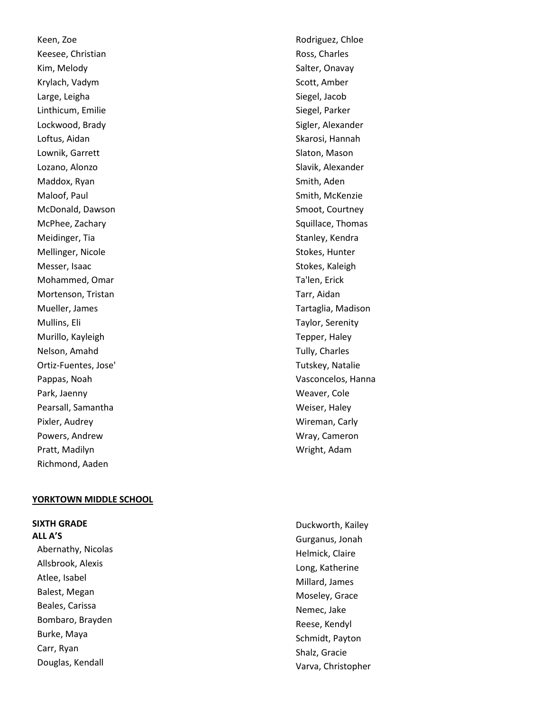Keen, Zoe Keesee, Christian Kim, Melody Krylach, Vadym Large, Leigha Linthicum, Emilie Lockwood, Brady Loftus, Aidan Lownik, Garrett Lozano, Alonzo Maddox, Ryan Maloof, Paul McDonald, Dawson McPhee, Zachary Meidinger, Tia Mellinger, Nicole Messer, Isaac Mohammed, Omar Mortenson, Tristan Mueller, James Mullins, Eli Murillo, Kayleigh Nelson, Amahd Ortiz -Fuentes, Jose' Pappas, Noah Park, Jaenny Pearsall, Samantha Pixler, Audrey Powers, Andrew Pratt, Madilyn Richmond, Aaden

### **YORKTOWN MIDDLE SCHOOL**

## **SIXTH GRADE**

**ALL A'S** Abernathy, Nicolas Allsbrook, Alexis Atlee, Isabel Balest, Megan Beales, Carissa Bombaro, Brayden Burke, Maya Carr, Ryan Douglas, Kendall

Rodriguez, Chloe Ross, Charles Salter, Onavay Scott, Amber Siegel, Jacob Siegel, Parker Sigler, Alexander Skarosi, Hannah Slaton, Mason Slavik, Alexander Smith, Aden Smith, McKenzie Smoot, Courtney Squillace, Thomas Stanley, Kendra Stokes, Hunter Stokes, Kaleigh Ta'len, Erick Tarr, Aidan Tartaglia, Madison Taylor, Serenity Tepper, Haley Tully, Charles Tutskey, Natalie Vasconcelos, Hanna Weaver, Cole Weiser, Haley Wireman, Carly Wray, Cameron Wright, Adam

Duckworth, Kailey Gurganus, Jonah Helmick, Claire Long, Katherine Millard, James Moseley, Grace Nemec, Jake Reese, Kendyl Schmidt, Payton Shalz, Gracie Varva, Christopher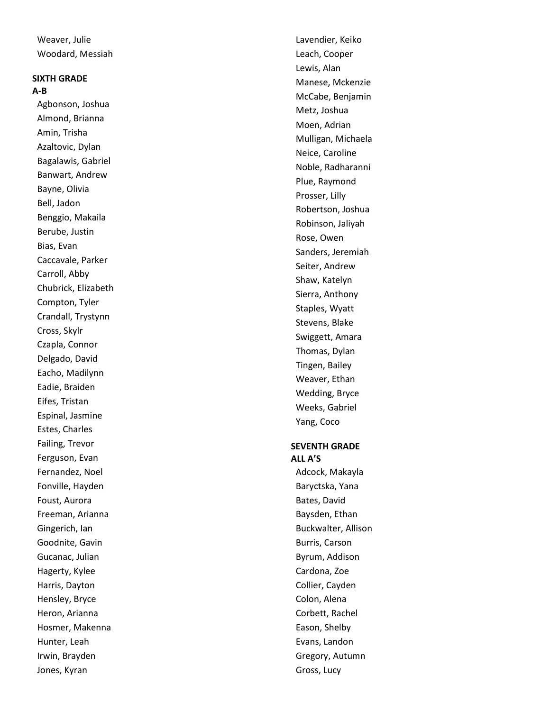Weaver, Julie Woodard, Messiah

# **SIXTH GRADE A-B**

Agbonson, Joshua Almond, Brianna Amin, Trisha Azaltovic, Dylan Bagalawis, Gabriel Banwart, Andrew Bayne, Olivia Bell, Jadon Benggio, Makaila Berube, Justin Bias, Evan Caccavale, Parker Carroll, Abby Chubrick, Elizabeth Compton, Tyler Crandall, Trystynn Cross, Skylr Czapla, Connor Delgado, David Eacho, Madilynn Eadie, Braiden Eifes, Tristan Espinal, Jasmine Estes, Charles Failing, Trevor Ferguson, Evan Fernandez, Noel Fonville, Hayden Foust, Aurora Freeman, Arianna Gingerich, Ian Goodnite, Gavin Gucanac, Julian Hagerty, Kylee Harris, Dayton Hensley, Bryce Heron, Arianna Hosmer, Makenna Hunter, Leah Irwin, Brayden Jones, Kyran

Lavendier, Keiko Leach, Cooper Lewis, Alan Manese, Mckenzie McCabe, Benjamin Metz, Joshua Moen, Adrian Mulligan, Michaela Neice, Caroline Noble, Radharanni Plue, Raymond Prosser, Lilly Robertson, Joshua Robinson, Jaliyah Rose, Owen Sanders, Jeremiah Seiter, Andrew Shaw, Katelyn Sierra, Anthony Staples, Wyatt Stevens, Blake Swiggett, Amara Thomas, Dylan Tingen, Bailey Weaver, Ethan Wedding, Bryce Weeks, Gabriel Yang, Coco

### **SEVENTH GRADE ALL A'S**

Adcock, Makayla Baryctska, Yana Bates, David Baysden, Ethan Buckwalter, Allison Burris, Carson Byrum, Addison Cardona, Zoe Collier, Cayden Colon, Alena Corbett, Rachel Eason, Shelby Evans, Landon Gregory, Autumn Gross, Lucy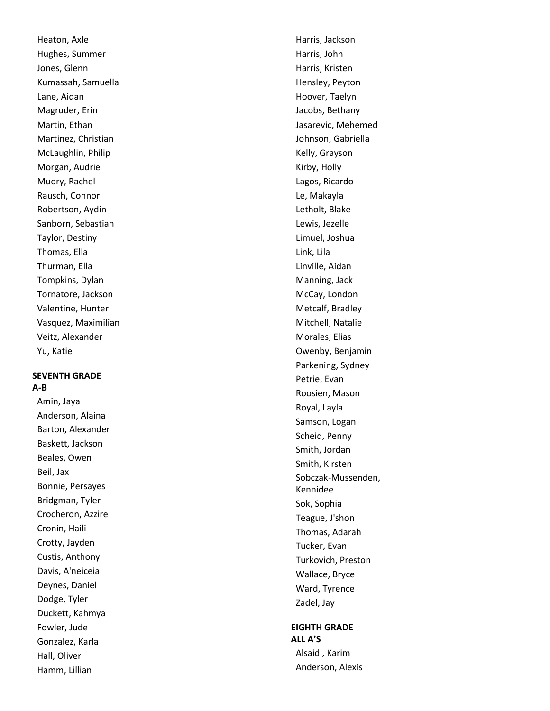Heaton, Axle Hughes, Summer Jones, Glenn Kumassah, Samuella Lane, Aidan Magruder, Erin Martin, Ethan Martinez, Christian McLaughlin, Philip Morgan, Audrie Mudry, Rachel Rausch, Connor Robertson, Aydin Sanborn, Sebastian Taylor, Destiny Thomas, Ella Thurman, Ella Tompkins, Dylan Tornatore, Jackson Valentine, Hunter Vasquez, Maximilian Veitz, Alexander Yu, Katie

## **SEVENTH GRADE A-B**

Amin, Jaya Anderson, Alaina Barton, Alexander Baskett, Jackson Beales, Owen Beil, Jax Bonnie, Persayes Bridgman, Tyler Crocheron, Azzire Cronin, Haili Crotty, Jayden Custis, Anthony Davis, A'neiceia Deynes, Daniel Dodge, Tyler Duckett, Kahmya Fowler, Jude Gonzalez, Karla Hall, Oliver Hamm, Lillian

Harris, Jackson Harris, John Harris, Kristen Hensley, Peyton Hoover, Taelyn Jacobs, Bethany Jasarevic, Mehemed Johnson, Gabriella Kelly, Grayson Kirby, Holly Lagos, Ricardo Le, Makayla Letholt, Blake Lewis, Jezelle Limuel, Joshua Link, Lila Linville, Aidan Manning, Jack McCay, London Metcalf, Bradley Mitchell, Natalie Morales, Elias Owenby, Benjamin Parkening, Sydney Petrie, Evan Roosien, Mason Royal, Layla Samson, Logan Scheid, Penny Smith, Jordan Smith, Kirsten Sobczak -Mussenden, Kennidee Sok, Sophia Teague, J'shon Thomas, Adarah Tucker, Evan Turkovich, Preston Wallace, Bryce Ward, Tyrence Zadel, Jay

# **EIGHTH GRADE ALL A'S** Alsaidi, Karim

Anderson, Alexis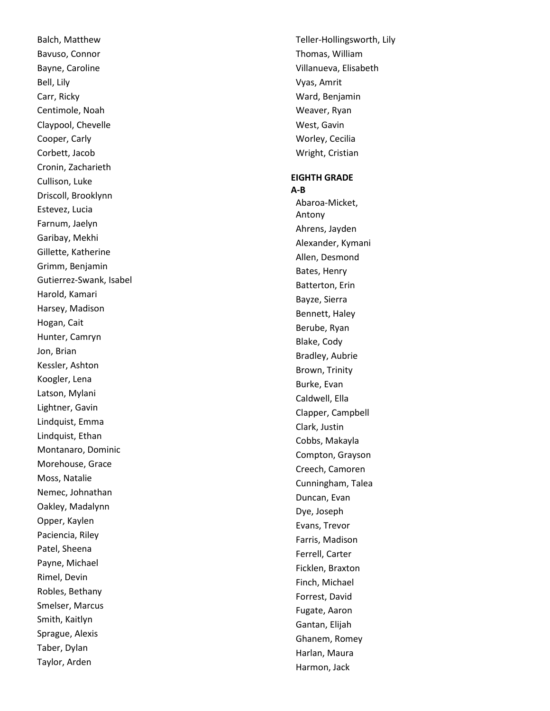Balch, Matthew Bavuso, Connor Bayne, Caroline Bell, Lily Carr, Ricky Centimole, Noah Claypool, Chevelle Cooper, Carly Corbett, Jacob Cronin, Zacharieth Cullison, Luke Driscoll, Brooklynn Estevez, Lucia Farnum, Jaelyn Garibay, Mekhi Gillette, Katherine Grimm, Benjamin Gutierrez -Swank, Isabel Harold, Kamari Harsey, Madison Hogan, Cait Hunter, Camryn Jon, Brian Kessler, Ashton Koogler, Lena Latson, Mylani Lightner, Gavin Lindquist, Emma Lindquist, Ethan Montanaro, Dominic Morehouse, Grace Moss, Natalie Nemec, Johnathan Oakley, Madalynn Opper, Kaylen Paciencia, Riley Patel, Sheena Payne, Michael Rimel, Devin Robles, Bethany Smelser, Marcus Smith, Kaitlyn Sprague, Alexis Taber, Dylan Taylor, Arden

Teller -Hollingsworth, Lily Thomas, William Villanueva, Elisabeth Vyas, Amrit Ward, Benjamin Weaver, Ryan West, Gavin Worley, Cecilia Wright, Cristian **EIGHTH GRADE A-B** Abaroa -Micket, Antony Ahrens, Jayden Alexander, Kymani Allen, Desmond Bates, Henry Batterton, Erin Bayze, Sierra Bennett, Haley Berube, Ryan Blake, Cody Bradley, Aubrie Brown, Trinity Burke, Evan Caldwell, Ella Clapper, Campbell Clark, Justin Cobbs, Makayla Compton, Grayson Creech, Camoren Cunningham, Talea Duncan, Evan Dye, Joseph Evans, Trevor Farris, Madison Ferrell, Carter Ficklen, Braxton Finch, Michael Forrest, David Fugate, Aaron Gantan, Elijah Ghanem, Romey Harlan, Maura Harmon, Jack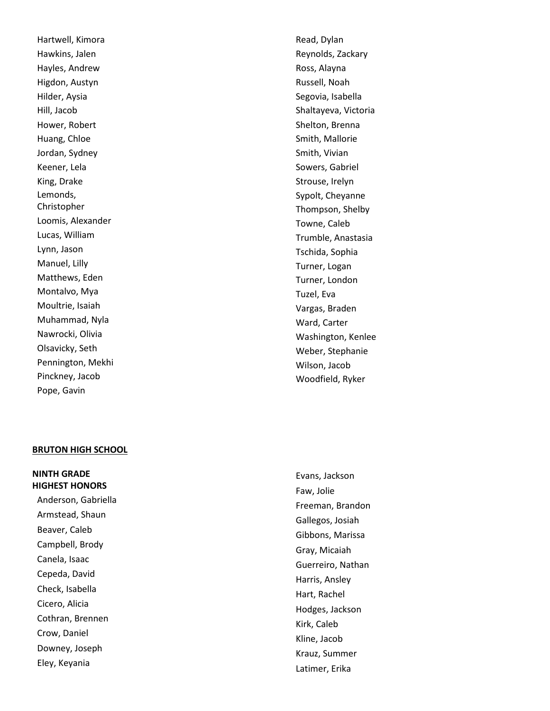Hartwell, Kimora Hawkins, Jalen Hayles, Andrew Higdon, Austyn Hilder, Aysia Hill, Jacob Hower, Robert Huang, Chloe Jordan, Sydney Keener, Lela King, Drake Lemonds, Christopher Loomis, Alexander Lucas, William Lynn, Jason Manuel, Lilly Matthews, Eden Montalvo, Mya Moultrie, Isaiah Muhammad, Nyla Nawrocki, Olivia Olsavicky, Seth Pennington, Mekhi Pinckney, Jacob Pope, Gavin

#### **BRUTON HIGH SCHOOL**

**NINTH GRADE HIGHEST HONORS**  Anderson, Gabriella Armstead, Shaun Beaver, Caleb Campbell, Brody Canela, Isaac Cepeda, David Check, Isabella Cicero, Alicia Cothran, Brennen Crow, Daniel Downey, Joseph Eley, Keyania

Read, Dylan Reynolds, Zackary Ross, Alayna Russell, Noah Segovia, Isabella Shaltayeva, Victoria Shelton, Brenna Smith, Mallorie Smith, Vivian Sowers, Gabriel Strouse, Irelyn Sypolt, Cheyanne Thompson, Shelby Towne, Caleb Trumble, Anastasia Tschida, Sophia Turner, Logan Turner, London Tuzel, Eva Vargas, Braden Ward, Carter Washington, Kenlee Weber, Stephanie Wilson, Jacob Woodfield, Ryker

Evans, Jackson Faw, Jolie Freeman, Brandon Gallegos, Josiah Gibbons, Marissa Gray, Micaiah Guerreiro, Nathan Harris, Ansley Hart, Rachel Hodges, Jackson Kirk, Caleb Kline, Jacob Krauz, Summer Latimer, Erika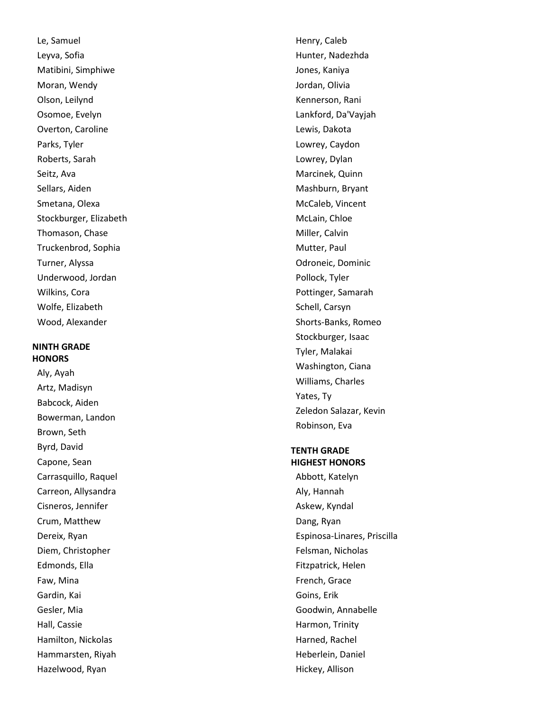Le, Samuel Leyva, Sofia Matibini, Simphiwe Moran, Wendy Olson, Leilynd Osomoe, Evelyn Overton, Caroline Parks, Tyler Roberts, Sarah Seitz, Ava Sellars, Aiden Smetana, Olexa Stockburger, Elizabeth Thomason, Chase Truckenbrod, Sophia Turner, Alyssa Underwood, Jordan Wilkins, Cora Wolfe, Elizabeth Wood, Alexander

## **NINTH GRADE HONORS**

Aly, Ayah Artz, Madisyn Babcock, Aiden Bowerman, Landon Brown, Seth Byrd, David Capone, Sean Carrasquillo, Raquel Carreon, Allysandra Cisneros, Jennifer Crum, Matthew Dereix, Ryan Diem, Christopher Edmonds, Ella Faw, Mina Gardin, Kai Gesler, Mia Hall, Cassie Hamilton, Nickolas Hammarsten, Riyah Hazelwood, Ryan

Henry, Caleb Hunter, Nadezhda Jones, Kaniya Jordan, Olivia Kennerson, Rani Lankford, Da'Vayjah Lewis, Dakota Lowrey, Caydon Lowrey, Dylan Marcinek, Quinn Mashburn, Bryant McCaleb, Vincent McLain, Chloe Miller, Calvin Mutter, Paul Odroneic, Dominic Pollock, Tyler Pottinger, Samarah Schell, Carsyn Shorts -Banks, Romeo Stockburger, Isaac Tyler, Malakai Washington, Ciana Williams, Charles Yates, Ty Zeledon Salazar, Kevin Robinson, Eva

## **TENTH GRADE HIGHEST HONORS**

Abbott, Katelyn Aly, Hannah Askew, Kyndal Dang, Ryan Espinosa -Linares, Priscilla Felsman, Nicholas Fitzpatrick, Helen French, Grace Goins, Erik Goodwin, Annabelle Harmon, Trinity Harned, Rachel Heberlein, Daniel Hickey, Allison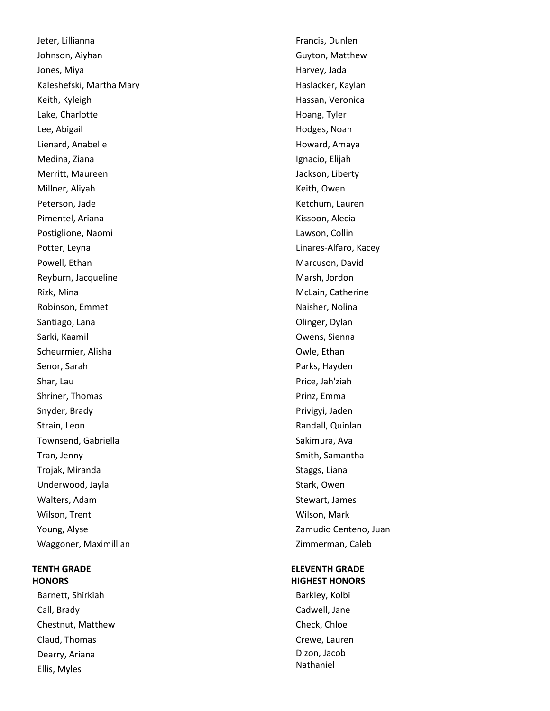Jeter, Lillianna Johnson, Aiyhan Jones, Miya Kaleshefski, Martha Mary Keith, Kyleigh Lake, Charlotte Lee, Abigail Lienard, Anabelle Medina, Ziana Merritt, Maureen Millner, Aliyah Peterson, Jade Pimentel, Ariana Postiglione, Naomi Potter, Leyna Powell, Ethan Reyburn, Jacqueline Rizk, Mina Robinson, Emmet Santiago, Lana Sarki, Kaamil Scheurmier, Alisha Senor, Sarah Shar, Lau Shriner, Thomas Snyder, Brady Strain, Leon Townsend, Gabriella Tran, Jenny Trojak, Miranda Underwood, Jayla Walters, Adam Wilson, Trent Young, Alyse Waggoner, Maximillian

# **TENTH GRADE HONORS**

Barnett, Shirkiah Call, Brady Chestnut, Matthew Claud, Thomas Dearry, Ariana Ellis, Myles

Francis, Dunlen Guyton, Matthew Harvey, Jada Haslacker, Kaylan Hassan, Veronica Hoang, Tyler Hodges, Noah Howard, Amaya Ignacio, Elijah Jackson, Liberty Keith, Owen Ketchum, Lauren Kissoon, Alecia Lawson, Collin Linares-Alfaro, Kacey Marcuson, David Marsh, Jordon McLain, Catherine Naisher, Nolina Olinger, Dylan Owens, Sienna Owle, Ethan Parks, Hayden Price, Jah'ziah Prinz, Emma Privigyi, Jaden Randall, Quinlan Sakimura, Ava Smith, Samantha Staggs, Liana Stark, Owen Stewart, James Wilson, Mark Zamudio Centeno, Juan Zimmerman, Caleb

# **ELEVENTH GRADE HIGHEST HONORS**

Barkley, Kolbi Cadwell, Jane Check, Chloe Crewe, Lauren Dizon, Jacob Nathaniel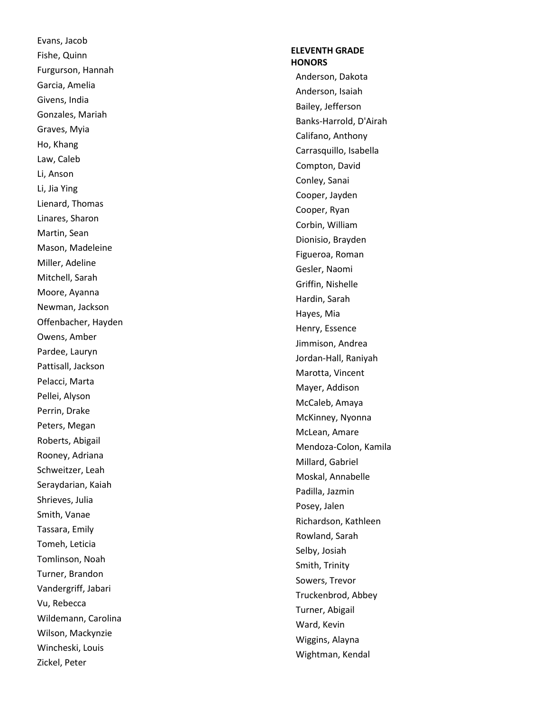Evans, Jacob Fishe, Quinn Furgurson, Hannah Garcia, Amelia Givens, India Gonzales, Mariah Graves, Myia Ho, Khang Law, Caleb Li, Anson Li, Jia Ying Lienard, Thomas Linares, Sharon Martin, Sean Mason, Madeleine Miller, Adeline Mitchell, Sarah Moore, Ayanna Newman, Jackson Offenbacher, Hayden Owens, Amber Pardee, Lauryn Pattisall, Jackson Pelacci, Marta Pellei, Alyson Perrin, Drake Peters, Megan Roberts, Abigail Rooney, Adriana Schweitzer, Leah Seraydarian, Kaiah Shrieves, Julia Smith, Vanae Tassara, Emily Tomeh, Leticia Tomlinson, Noah Turner, Brandon Vandergriff, Jabari Vu, Rebecca Wildemann, Carolina Wilson, Mackynzie Wincheski, Louis Zickel, Peter

# **ELEVENTH GRADE HONORS**

Anderson, Dakota Anderson, Isaiah Bailey, Jefferson Banks -Harrold, D'Airah Califano, Anthony Carrasquillo, Isabella Compton, David Conley, Sanai Cooper, Jayden Cooper, Ryan Corbin, William Dionisio, Brayden Figueroa, Roman Gesler, Naomi Griffin, Nishelle Hardin, Sarah Hayes, Mia Henry, Essence Jimmison, Andrea Jordan -Hall, Raniyah Marotta, Vincent Mayer, Addison McCaleb, Amaya McKinney, Nyonna McLean, Amare Mendoza -Colon, Kamila Millard, Gabriel Moskal, Annabelle Padilla, Jazmin Posey, Jalen Richardson, Kathleen Rowland, Sarah Selby, Josiah Smith, Trinity Sowers, Trevor Truckenbrod, Abbey Turner, Abigail Ward, Kevin Wiggins, Alayna Wightman, Kendal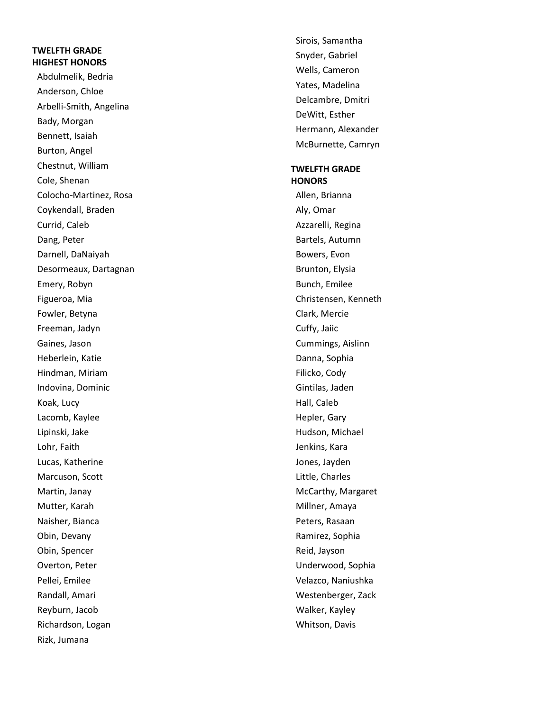# **TWELFTH GRADE HIGHEST HONORS**

Abdulmelik, Bedria Anderson, Chloe Arbelli -Smith, Angelina Bady, Morgan Bennett, Isaiah Burton, Angel Chestnut, William Cole, Shenan Colocho -Martinez, Rosa Coykendall, Braden Currid, Caleb Dang, Peter Darnell, DaNaiyah Desormeaux, Dartagnan Emery, Robyn Figueroa, Mia Fowler, Betyna Freeman, Jadyn Gaines, Jason Heberlein, Katie Hindman, Miriam Indovina, Dominic Koak, Lucy Lacomb, Kaylee Lipinski, Jake Lohr, Faith Lucas, Katherine Marcuson, Scott Martin, Janay Mutter, Karah Naisher, Bianca Obin, Devany Obin, Spencer Overton, Peter Pellei, Emilee Randall, Amari Reyburn, Jacob Richardson, Logan Rizk, Jumana

Sirois, Samantha Snyder, Gabriel Wells, Cameron Yates, Madelina Delcambre, Dmitri DeWitt, Esther Hermann, Alexander McBurnette, Camryn

### **TWELFTH GRADE HONORS**

Allen, Brianna Aly, Omar Azzarelli, Regina Bartels, Autumn Bowers, Evon Brunton, Elysia Bunch, Emilee Christensen, Kenneth Clark, Mercie Cuffy, Jaiic Cummings, Aislinn Danna, Sophia Filicko, Cody Gintilas, Jaden Hall, Caleb Hepler, Gary Hudson, Michael Jenkins, Kara Jones, Jayden Little, Charles McCarthy, Margaret Millner, Amaya Peters, Rasaan Ramirez, Sophia Reid, Jayson Underwood, Sophia Velazco, Naniushka Westenberger, Zack Walker, Kayley Whitson, Davis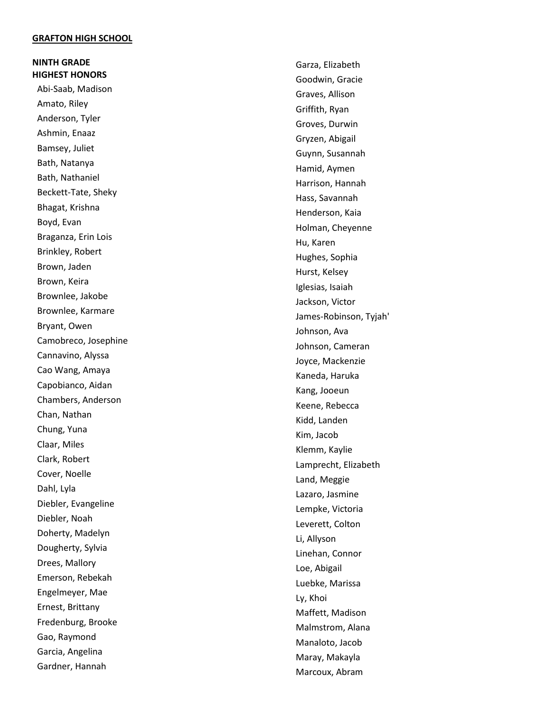#### **GRAFTON HIGH SCHOOL**

**NINTH GRADE HIGHEST HONORS**  Abi -Saab, Madison Amato, Riley Anderson, Tyler Ashmin, Enaaz Bamsey, Juliet Bath, Natanya Bath, Nathaniel Beckett -Tate, Sheky Bhagat, Krishna Boyd, Evan Braganza, Erin Lois Brinkley, Robert Brown, Jaden Brown, Keira Brownlee, Jakobe Brownlee, Karmare Bryant, Owen Camobreco, Josephine Cannavino, Alyssa Cao Wang, Amaya Capobianco, Aidan Chambers, Anderson Chan, Nathan Chung, Yuna Claar, Miles Clark, Robert Cover, Noelle Dahl, Lyla Diebler, Evangeline Diebler, Noah Doherty, Madelyn Dougherty, Sylvia Drees, Mallory Emerson, Rebekah Engelmeyer, Mae Ernest, Brittany Fredenburg, Brooke Gao, Raymond Garcia, Angelina Gardner, Hannah

Garza, Elizabeth Goodwin, Gracie Graves, Allison Griffith, Ryan Groves, Durwin Gryzen, Abigail Guynn, Susannah Hamid, Aymen Harrison, Hannah Hass, Savannah Henderson, Kaia Holman, Cheyenne Hu, Karen Hughes, Sophia Hurst, Kelsey Iglesias, Isaiah Jackson, Victor James -Robinson, Tyjah' Johnson, Ava Johnson, Cameran Joyce, Mackenzie Kaneda, Haruka Kang, Jooeun Keene, Rebecca Kidd, Landen Kim, Jacob Klemm, Kaylie Lamprecht, Elizabeth Land, Meggie Lazaro, Jasmine Lempke, Victoria Leverett, Colton Li, Allyson Linehan, Connor Loe, Abigail Luebke, Marissa Ly, Khoi Maffett, Madison Malmstrom, Alana Manaloto, Jacob Maray, Makayla Marcoux, Abram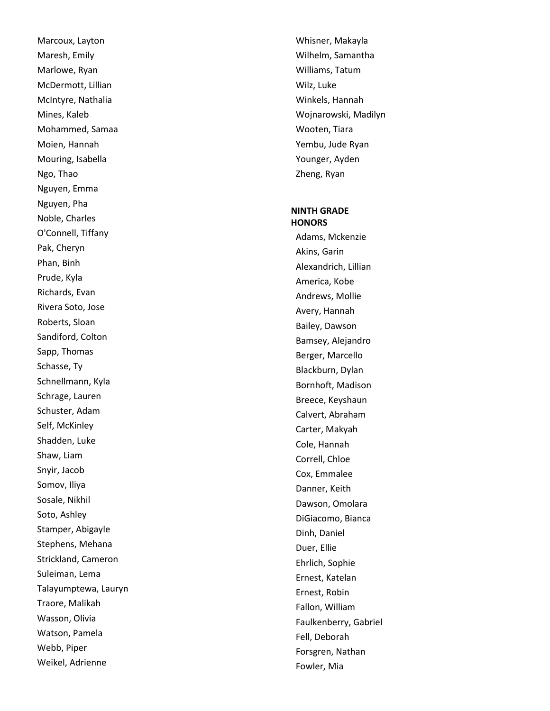Marcoux, Layton Maresh, Emily Marlowe, Ryan McDermott, Lillian McIntyre, Nathalia Mines, Kaleb Mohammed, Samaa Moien, Hannah Mouring, Isabella Ngo, Thao Nguyen, Emma Nguyen, Pha Noble, Charles O'Connell, Tiffany Pak, Cheryn Phan, Binh Prude, Kyla Richards, Evan Rivera Soto, Jose Roberts, Sloan Sandiford, Colton Sapp, Thomas Schasse, Ty Schnellmann, Kyla Schrage, Lauren Schuster, Adam Self, McKinley Shadden, Luke Shaw, Liam Snyir, Jacob Somov, Iliya Sosale, Nikhil Soto, Ashley Stamper, Abigayle Stephens, Mehana Strickland, Cameron Suleiman, Lema Talayumptewa, Lauryn Traore, Malikah Wasson, Olivia Watson, Pamela Webb, Piper Weikel, Adrienne

Whisner, Makayla Wilhelm, Samantha Williams, Tatum Wilz, Luke Winkels, Hannah Wojnarowski, Madilyn Wooten, Tiara Yembu, Jude Ryan Younger, Ayden Zheng, Ryan

#### **NINTH GRADE HONORS**

Adams, Mckenzie Akins, Garin Alexandrich, Lillian America, Kobe Andrews, Mollie Avery, Hannah Bailey, Dawson Bamsey, Alejandro Berger, Marcello Blackburn, Dylan Bornhoft, Madison Breece, Keyshaun Calvert, Abraham Carter, Makyah Cole, Hannah Correll, Chloe Cox, Emmalee Danner, Keith Dawson, Omolara DiGiacomo, Bianca Dinh, Daniel Duer, Ellie Ehrlich, Sophie Ernest, Katelan Ernest, Robin Fallon, William Faulkenberry, Gabriel Fell, Deborah Forsgren, Nathan Fowler, Mia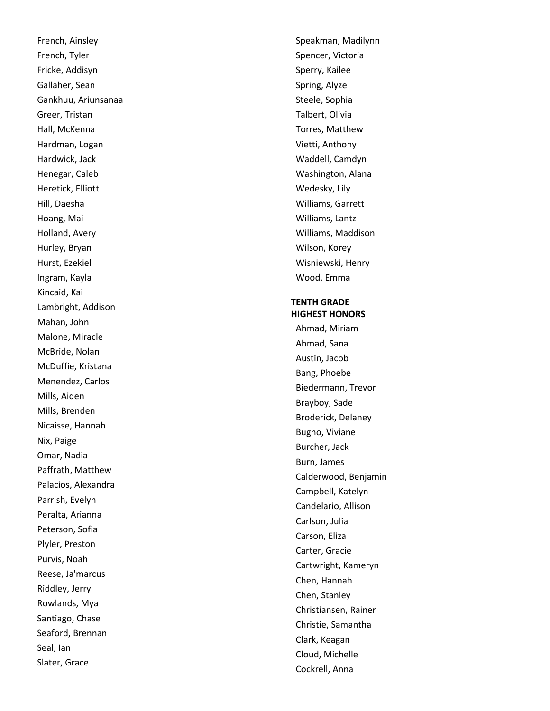French, Ainsley French, Tyler Fricke, Addisyn Gallaher, Sean Gankhuu, Ariunsanaa Greer, Tristan Hall, McKenna Hardman, Logan Hardwick, Jack Henegar, Caleb Heretick, Elliott Hill, Daesha Hoang, Mai Holland, Avery Hurley, Bryan Hurst, Ezekiel Ingram, Kayla Kincaid, Kai Lambright, Addison Mahan, John Malone, Miracle McBride, Nolan McDuffie, Kristana Menendez, Carlos Mills, Aiden Mills, Brenden Nicaisse, Hannah Nix, Paige Omar, Nadia Paffrath, Matthew Palacios, Alexandra Parrish, Evelyn Peralta, Arianna Peterson, Sofia Plyler, Preston Purvis, Noah Reese, Ja'marcus Riddley, Jerry Rowlands, Mya Santiago, Chase Seaford, Brennan Seal, Ian Slater, Grace

Speakman, Madilynn Spencer, Victoria Sperry, Kailee Spring, Alyze Steele, Sophia Talbert, Olivia Torres, Matthew Vietti, Anthony Waddell, Camdyn Washington, Alana Wedesky, Lily Williams, Garrett Williams, Lantz Williams, Maddison Wilson, Korey Wisniewski, Henry Wood, Emma

# **TENTH GRADE HIGHEST HONORS**

Ahmad, Miriam Ahmad, Sana Austin, Jacob Bang, Phoebe Biedermann, Trevor Brayboy, Sade Broderick, Delaney Bugno, Viviane Burcher, Jack Burn, James Calderwood, Benjamin Campbell, Katelyn Candelario, Allison Carlson, Julia Carson, Eliza Carter, Gracie Cartwright, Kameryn Chen, Hannah Chen, Stanley Christiansen, Rainer Christie, Samantha Clark, Keagan Cloud, Michelle Cockrell, Anna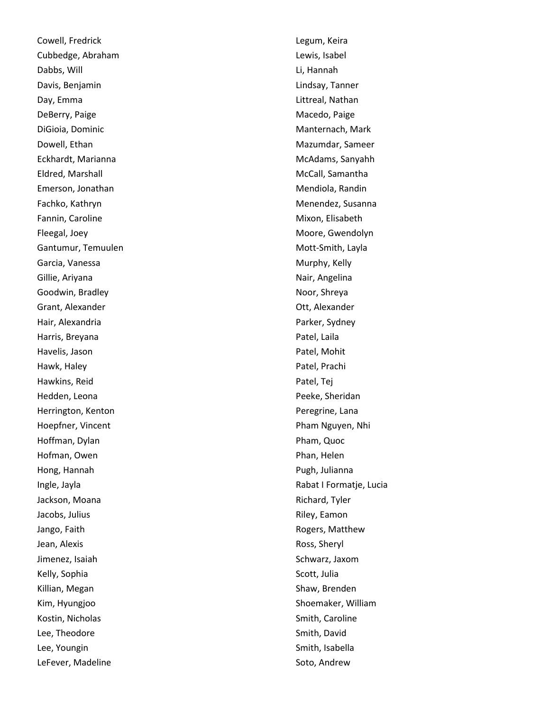Cowell, Fredrick Cubbedge, Abraham Dabbs, Will Davis, Benjamin Day, Emma DeBerry, Paige DiGioia, Dominic Dowell, Ethan Eckhardt, Marianna Eldred, Marshall Emerson, Jonathan Fachko, Kathryn Fannin, Caroline Fleegal, Joey Gantumur, Temuulen Garcia, Vanessa Gillie, Ariyana Goodwin, Bradley Grant, Alexander Hair, Alexandria Harris, Breyana Havelis, Jason Hawk, Haley Hawkins, Reid Hedden, Leona Herrington, Kenton Hoepfner, Vincent Hoffman, Dylan Hofman, Owen Hong, Hannah Ingle, Jayla Jackson, Moana Jacobs, Julius Jango, Faith Jean, Alexis Jimenez, Isaiah Kelly, Sophia Killian, Megan Kim, Hyungjoo Kostin, Nicholas Lee, Theodore Lee, Youngin LeFever, Madeline

Legum, Keira Lewis, Isabel Li, Hannah Lindsay, Tanner Littreal, Nathan Macedo, Paige Manternach, Mark Mazumdar, Sameer McAdams, Sanyahh McCall, Samantha Mendiola, Randin Menendez, Susanna Mixon, Elisabeth Moore, Gwendolyn Mott -Smith, Layla Murphy, Kelly Nair, Angelina Noor, Shreya Ott, Alexander Parker, Sydney Patel, Laila Patel, Mohit Patel, Prachi Patel, Tej Peeke, Sheridan Peregrine, Lana Pham Nguyen, Nhi Pham, Quoc Phan, Helen Pugh, Julianna Rabat I Formatje, Lucia Richard, Tyler Riley, Eamon Rogers, Matthew Ross, Sheryl Schwarz, Jaxom Scott, Julia Shaw, Brenden Shoemaker, William Smith, Caroline Smith, David Smith, Isabella Soto, Andrew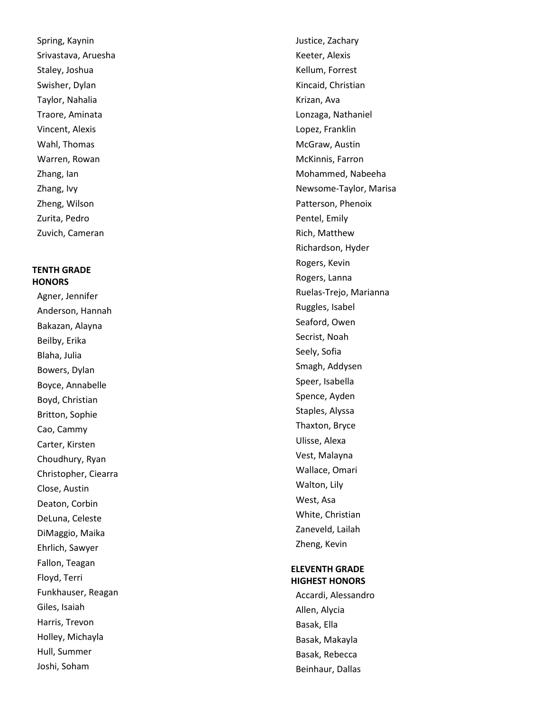Spring, Kaynin Srivastava, Aruesha Staley, Joshua Swisher, Dylan Taylor, Nahalia Traore, Aminata Vincent, Alexis Wahl, Thomas Warren, Rowan Zhang, Ian Zhang, Ivy Zheng, Wilson Zurita, Pedro Zuvich, Cameran

## **TENTH GRADE HONORS**

Agner, Jennifer Anderson, Hannah Bakazan, Alayna Beilby, Erika Blaha, Julia Bowers, Dylan Boyce, Annabelle Boyd, Christian Britton, Sophie Cao, Cammy Carter, Kirsten Choudhury, Ryan Christopher, Ciearra Close, Austin Deaton, Corbin DeLuna, Celeste DiMaggio, Maika Ehrlich, Sawyer Fallon, Teagan Floyd, Terri Funkhauser, Reagan Giles, Isaiah Harris, Trevon Holley, Michayla Hull, Summer Joshi, Soham

Justice, Zachary Keeter, Alexis Kellum, Forrest Kincaid, Christian Krizan, Ava Lonzaga, Nathaniel Lopez, Franklin McGraw, Austin McKinnis, Farron Mohammed, Nabeeha Newsome -Taylor, Marisa Patterson, Phenoix Pentel, Emily Rich, Matthew Richardson, Hyder Rogers, Kevin Rogers, Lanna Ruelas -Trejo, Marianna Ruggles, Isabel Seaford, Owen Secrist, Noah Seely, Sofia Smagh, Addysen Speer, Isabella Spence, Ayden Staples, Alyssa Thaxton, Bryce Ulisse, Alexa Vest, Malayna Wallace, Omari Walton, Lily West, Asa White, Christian Zaneveld, Lailah Zheng, Kevin

# **ELEVENTH GRADE HIGHEST HONORS**

Accardi, Alessandro Allen, Alycia Basak, Ella Basak, Makayla Basak, Rebecca Beinhaur, Dallas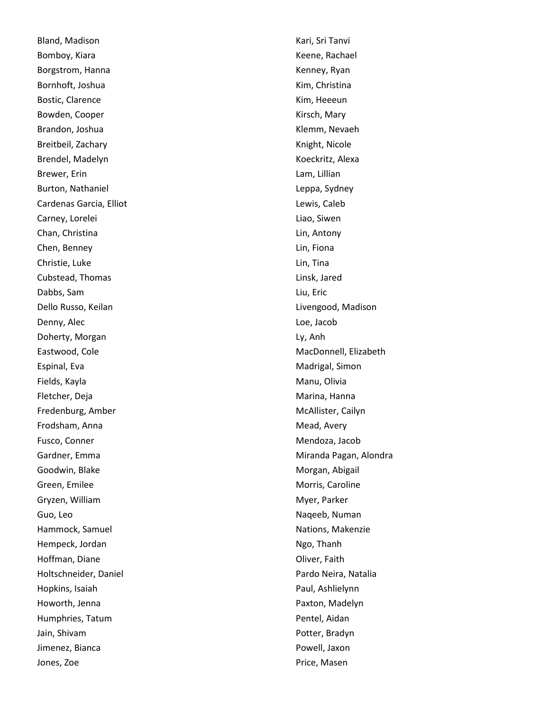Bland, Madison Bomboy, Kiara Borgstrom, Hanna Bornhoft, Joshua Bostic, Clarence Bowden, Cooper Brandon, Joshua Breitbeil, Zachary Brendel, Madelyn Brewer, Erin Burton, Nathaniel Cardenas Garcia, Elliot Carney, Lorelei Chan, Christina Chen, Benney Christie, Luke Cubstead, Thomas Dabbs, Sam Dello Russo, Keilan Denny, Alec Doherty, Morgan Eastwood, Cole Espinal, Eva Fields, Kayla Fletcher, Deja Fredenburg, Amber Frodsham, Anna Fusco, Conner Gardner, Emma Goodwin, Blake Green, Emilee Gryzen, William Guo, Leo Hammock, Samuel Hempeck, Jordan Hoffman, Diane Holtschneider, Daniel Hopkins, Isaiah Howorth, Jenna Humphries, Tatum Jain, Shivam Jimenez, Bianca Jones, Zoe

Kari, Sri Tanvi Keene, Rachael Kenney, Ryan Kim, Christina Kim, Heeeun Kirsch, Mary Klemm, Nevaeh Knight, Nicole Koeckritz, Alexa Lam, Lillian Leppa, Sydney Lewis, Caleb Liao, Siwen Lin, Antony Lin, Fiona Lin, Tina Linsk, Jared Liu, Eric Livengood, Madison Loe, Jacob Ly, Anh MacDonnell, Elizabeth Madrigal, Simon Manu, Olivia Marina, Hanna McAllister, Cailyn Mead, Avery Mendoza, Jacob Miranda Pagan, Alondra Morgan, Abigail Morris, Caroline Myer, Parker Naqeeb, Numan Nations, Makenzie Ngo, Thanh Oliver, Faith Pardo Neira, Natalia Paul, Ashlielynn Paxton, Madelyn Pentel, Aidan Potter, Bradyn Powell, Jaxon Price, Masen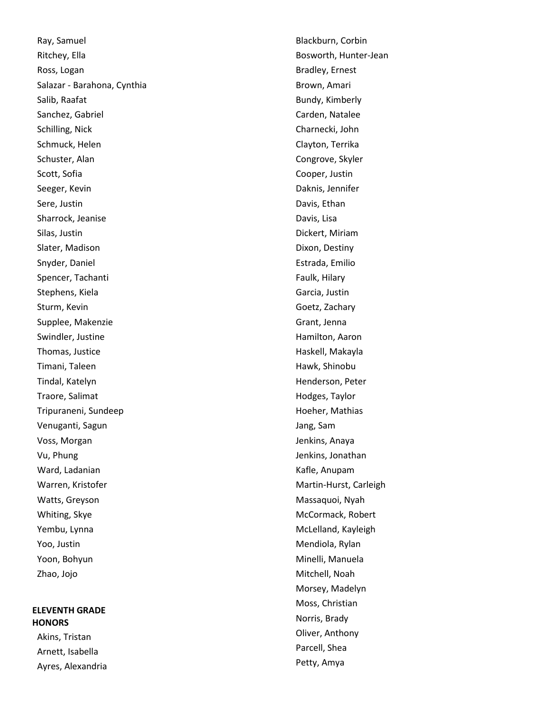Ray, Samuel Ritchey, Ella Ross, Logan Salazar - Barahona, Cynthia Salib, Raafat Sanchez, Gabriel Schilling, Nick Schmuck, Helen Schuster, Alan Scott, Sofia Seeger, Kevin Sere, Justin Sharrock, Jeanise Silas, Justin Slater, Madison Snyder, Daniel Spencer, Tachanti Stephens, Kiela Sturm, Kevin Supplee, Makenzie Swindler, Justine Thomas, Justice Timani, Taleen Tindal, Katelyn Traore, Salimat Tripuraneni, Sundeep Venuganti, Sagun Voss, Morgan Vu, Phung Ward, Ladanian Warren, Kristofer Watts, Greyson Whiting, Skye Yembu, Lynna Yoo, Justin Yoon, Bohyun Zhao, Jojo

## **ELEVENTH GRADE HONORS**

Akins, Tristan Arnett, Isabella Ayres, Alexandria Blackburn, Corbin Bosworth, Hunter -Jean Bradley, Ernest Brown, Amari Bundy, Kimberly Carden, Natalee Charnecki, John Clayton, Terrika Congrove, Skyler Cooper, Justin Daknis, Jennifer Davis, Ethan Davis, Lisa Dickert, Miriam Dixon, Destiny Estrada, Emilio Faulk, Hilary Garcia, Justin Goetz, Zachary Grant, Jenna Hamilton, Aaron Haskell, Makayla Hawk, Shinobu Henderson, Peter Hodges, Taylor Hoeher, Mathias Jang, Sam Jenkins, Anaya Jenkins, Jonathan Kafle, Anupam Martin -Hurst, Carleigh Massaquoi, Nyah McCormack, Robert McLelland, Kayleigh Mendiola, Rylan Minelli, Manuela Mitchell, Noah Morsey, Madelyn Moss, Christian Norris, Brady Oliver, Anthony Parcell, Shea Petty, Amya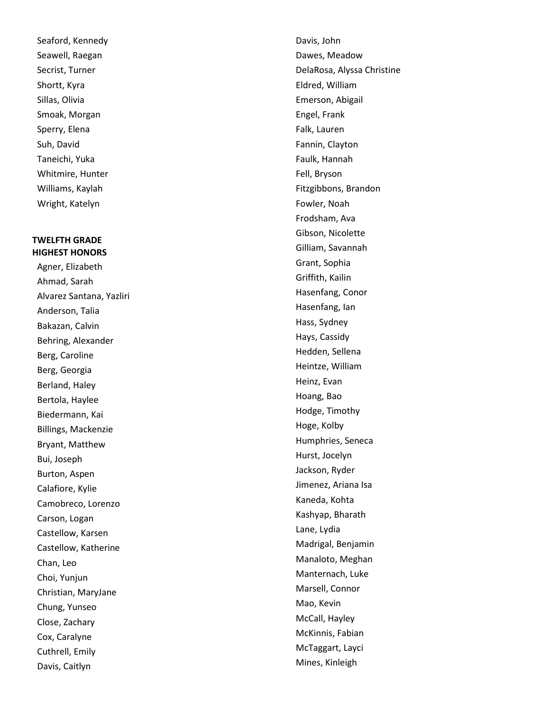Seaford, Kennedy Seawell, Raegan Secrist, Turner Shortt, Kyra Sillas, Olivia Smoak, Morgan Sperry, Elena Suh, David Taneichi, Yuka Whitmire, Hunter Williams, Kaylah Wright, Katelyn

# **TWELFTH GRADE HIGHEST HONORS**

Agner, Elizabeth Ahmad, Sarah Alvarez Santana, Yazliri Anderson, Talia Bakazan, Calvin Behring, Alexander Berg, Caroline Berg, Georgia Berland, Haley Bertola, Haylee Biedermann, Kai Billings, Mackenzie Bryant, Matthew Bui, Joseph Burton, Aspen Calafiore, Kylie Camobreco, Lorenzo Carson, Logan Castellow, Karsen Castellow, Katherine Chan, Leo Choi, Yunjun Christian, MaryJane Chung, Yunseo Close, Zachary Cox, Caralyne Cuthrell, Emily Davis, Caitlyn

Davis, John Dawes, Meadow DelaRosa, Alyssa Christine Eldred, William Emerson, Abigail Engel, Frank Falk, Lauren Fannin, Clayton Faulk, Hannah Fell, Bryson Fitzgibbons, Brandon Fowler, Noah Frodsham, Ava Gibson, Nicolette Gilliam, Savannah Grant, Sophia Griffith, Kailin Hasenfang, Conor Hasenfang, Ian Hass, Sydney Hays, Cassidy Hedden, Sellena Heintze, William Heinz, Evan Hoang, Bao Hodge, Timothy Hoge, Kolby Humphries, Seneca Hurst, Jocelyn Jackson, Ryder Jimenez, Ariana Isa Kaneda, Kohta Kashyap, Bharath Lane, Lydia Madrigal, Benjamin Manaloto, Meghan Manternach, Luke Marsell, Connor Mao, Kevin McCall, Hayley McKinnis, Fabian McTaggart, Layci Mines, Kinleigh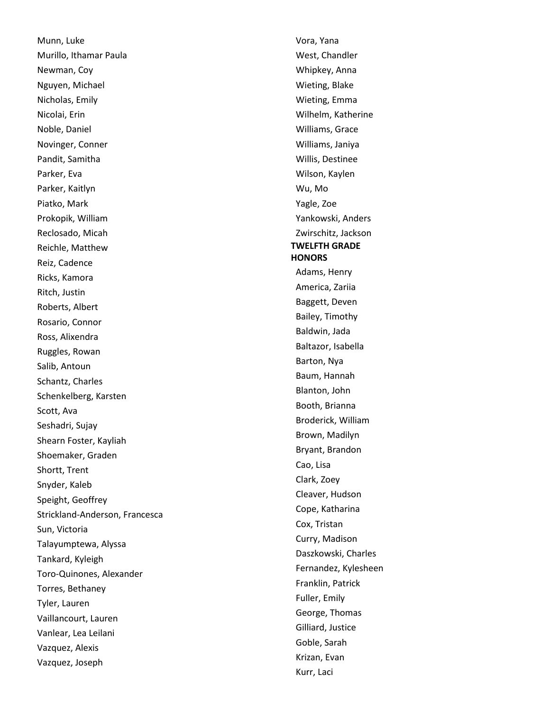Munn, Luke Murillo, Ithamar Paula Newman, Coy Nguyen, Michael Nicholas, Emily Nicolai, Erin Noble, Daniel Novinger, Conner Pandit, Samitha Parker, Eva Parker, Kaitlyn Piatko, Mark Prokopik, William Reclosado, Micah Reichle, Matthew Reiz, Cadence Ricks, Kamora Ritch, Justin Roberts, Albert Rosario, Connor Ross, Alixendra Ruggles, Rowan Salib, Antoun Schantz, Charles Schenkelberg, Karsten Scott, Ava Seshadri, Sujay Shearn Foster, Kayliah Shoemaker, Graden Shortt, Trent Snyder, Kaleb Speight, Geoffrey Strickland -Anderson, Francesca Sun, Victoria Talayumptewa, Alyssa Tankard, Kyleigh Toro -Quinones, Alexander Torres, Bethaney Tyler, Lauren Vaillancourt, Lauren Vanlear, Lea Leilani Vazquez, Alexis Vazquez, Joseph

Vora, Yana West, Chandler Whipkey, Anna Wieting, Blake Wieting, Emma Wilhelm, Katherine Williams, Grace Williams, Janiya Willis, Destinee Wilson, Kaylen Wu, Mo Yagle, Zoe Yankowski, Anders Zwirschitz, Jackson **TWELFTH GRADE HONORS**  Adams, Henry America, Zariia Baggett, Deven Bailey, Timothy Baldwin, Jada Baltazor, Isabella Barton, Nya Baum, Hannah Blanton, John Booth, Brianna Broderick, William Brown, Madilyn Bryant, Brandon Cao, Lisa Clark, Zoey Cleaver, Hudson Cope, Katharina Cox, Tristan Curry, Madison Daszkowski, Charles Fernandez, Kylesheen Franklin, Patrick Fuller, Emily George, Thomas Gilliard, Justice Goble, Sarah Krizan, Evan Kurr, Laci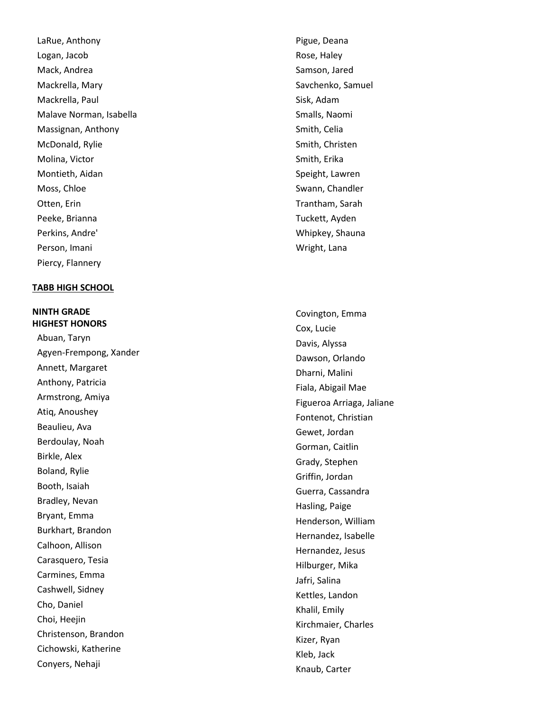LaRue, Anthony Logan, Jacob Mack, Andrea Mackrella, Mary Mackrella, Paul Malave Norman, Isabella Massignan, Anthony McDonald, Rylie Molina, Victor Montieth, Aidan Moss, Chloe Otten, Erin Peeke, Brianna Perkins, Andre' Person, Imani Piercy, Flannery

### **TABB HIGH SCHOOL**

**NINTH GRADE HIGHEST HONORS**  Abuan, Taryn Agyen -Frempong, Xander Annett, Margaret Anthony, Patricia Armstrong, Amiya Atiq, Anoushey Beaulieu, Ava Berdoulay, Noah Birkle, Alex Boland, Rylie Booth, Isaiah Bradley, Nevan Bryant, Emma Burkhart, Brandon Calhoon, Allison Carasquero, Tesia Carmines, Emma Cashwell, Sidney Cho, Daniel Choi, Heejin Christenson, Brandon Cichowski, Katherine Conyers, Nehaji

Pigue, Deana Rose, Haley Samson, Jared Savchenko, Samuel Sisk, Adam Smalls, Naomi Smith, Celia Smith, Christen Smith, Erika Speight, Lawren Swann, Chandler Trantham, Sarah Tuckett, Ayden Whipkey, Shauna Wright, Lana

Covington, Emma Cox, Lucie Davis, Alyssa Dawson, Orlando Dharni, Malini Fiala, Abigail Mae Figueroa Arriaga, Jaliane Fontenot, Christian Gewet, Jordan Gorman, Caitlin Grady, Stephen Griffin, Jordan Guerra, Cassandra Hasling, Paige Henderson, William Hernandez, Isabelle Hernandez, Jesus Hilburger, Mika Jafri, Salina Kettles, Landon Khalil, Emily Kirchmaier, Charles Kizer, Ryan Kleb, Jack Knaub, Carter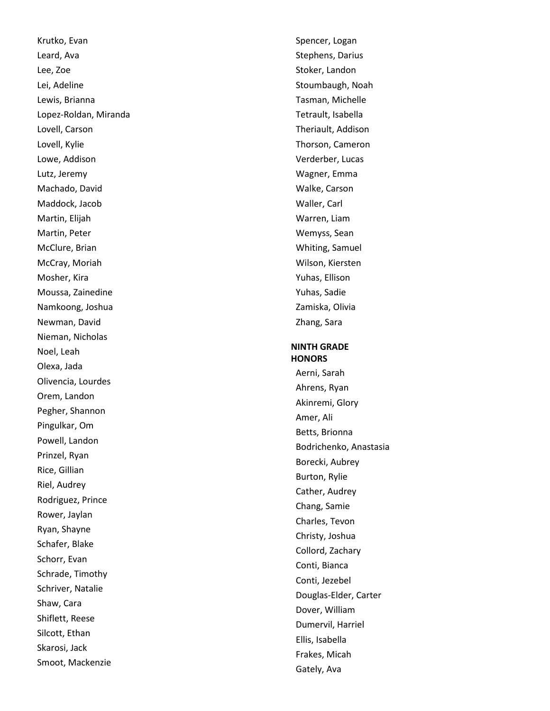Krutko, Evan Leard, Ava Lee, Zoe Lei, Adeline Lewis, Brianna Lopez -Roldan, Miranda Lovell, Carson Lovell, Kylie Lowe, Addison Lutz, Jeremy Machado, David Maddock, Jacob Martin, Elijah Martin, Peter McClure, Brian McCray, Moriah Mosher, Kira Moussa, Zainedine Namkoong, Joshua Newman, David Nieman, Nicholas Noel, Leah Olexa, Jada Olivencia, Lourdes Orem, Landon Pegher, Shannon Pingulkar, Om Powell, Landon Prinzel, Ryan Rice, Gillian Riel, Audrey Rodriguez, Prince Rower, Jaylan Ryan, Shayne Schafer, Blake Schorr, Evan Schrade, Timothy Schriver, Natalie Shaw, Cara Shiflett, Reese Silcott, Ethan Skarosi, Jack Smoot, Mackenzie

Spencer, Logan Stephens, Darius Stoker, Landon Stoumbaugh, Noah Tasman, Michelle Tetrault, Isabella Theriault, Addison Thorson, Cameron Verderber, Lucas Wagner, Emma Walke, Carson Waller, Carl Warren, Liam Wemyss, Sean Whiting, Samuel Wilson, Kiersten Yuhas, Ellison Yuhas, Sadie Zamiska, Olivia Zhang, Sara

### **NINTH GRADE HONORS**

Aerni, Sarah Ahrens, Ryan Akinremi, Glory Amer, Ali Betts, Brionna Bodrichenko, Anastasia Borecki, Aubrey Burton, Rylie Cather, Audrey Chang, Samie Charles, Tevon Christy, Joshua Collord, Zachary Conti, Bianca Conti, Jezebel Douglas -Elder, Carter Dover, William Dumervil, Harriel Ellis, Isabella Frakes, Micah Gately, Ava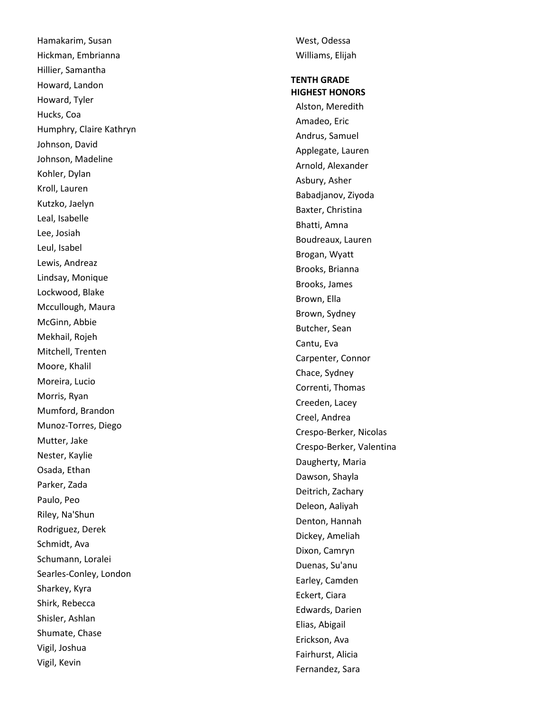Hamakarim, Susan Hickman, Embrianna Hillier, Samantha Howard, Landon Howard, Tyler Hucks, Coa Humphry, Claire Kathryn Johnson, David Johnson, Madeline Kohler, Dylan Kroll, Lauren Kutzko, Jaelyn Leal, Isabelle Lee, Josiah Leul, Isabel Lewis, Andreaz Lindsay, Monique Lockwood, Blake Mccullough, Maura McGinn, Abbie Mekhail, Rojeh Mitchell, Trenten Moore, Khalil Moreira, Lucio Morris, Ryan Mumford, Brandon Munoz -Torres, Diego Mutter, Jake Nester, Kaylie Osada, Ethan Parker, Zada Paulo, Peo Riley, Na'Shun Rodriguez, Derek Schmidt, Ava Schumann, Loralei Searles -Conley, London Sharkey, Kyra Shirk, Rebecca Shisler, Ashlan Shumate, Chase Vigil, Joshua Vigil, Kevin

West, Odessa Williams, Elijah

# **TENTH GRADE HIGHEST HONORS**

Alston, Meredith Amadeo, Eric Andrus, Samuel Applegate, Lauren Arnold, Alexander Asbury, Asher Babadjanov, Ziyoda Baxter, Christina Bhatti, Amna Boudreaux, Lauren Brogan, Wyatt Brooks, Brianna Brooks, James Brown, Ella Brown, Sydney Butcher, Sean Cantu, Eva Carpenter, Connor Chace, Sydney Correnti, Thomas Creeden, Lacey Creel, Andrea Crespo -Berker, Nicolas Crespo -Berker, Valentina Daugherty, Maria Dawson, Shayla Deitrich, Zachary Deleon, Aaliyah Denton, Hannah Dickey, Ameliah Dixon, Camryn Duenas, Su'anu Earley, Camden Eckert, Ciara Edwards, Darien Elias, Abigail Erickson, Ava Fairhurst, Alicia Fernandez, Sara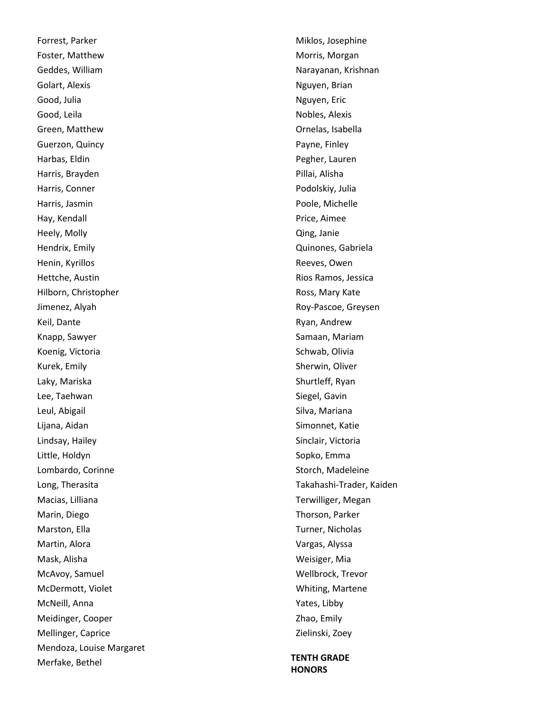Forrest, Parker Foster, Matthew Geddes, William Golart, Alexis Good, Julia Good, Leila Green, Matthew Guerzon, Quincy Harbas, Eldin Harris, Brayden Harris, Conner Harris, Jasmin Hay, Kendall Heely, Molly Hendrix, Emily Henin, Kyrillos Hettche, Austin Hilborn, Christopher Jimenez, Alyah Keil, Dante Knapp, Sawyer Koenig, Victoria Kurek, Emily Laky, Mariska Lee, Taehwan Leul, Abigail Lijana, Aidan Lindsay, Hailey Little, Holdyn Lombardo, Corinne Long, Therasita Macias, Lilliana Marin, Diego Marston, Ella Martin, Alora Mask, Alisha McAvoy, Samuel McDermott, Violet McNeill, Anna Meidinger, Cooper Mellinger, Caprice Mendoza, Louise Margaret Merfake, Bethel

Miklos, Josephine Morris, Morgan Narayanan, Krishnan Nguyen, Brian Nguyen, Eric Nobles, Alexis Ornelas, Isabella Payne, Finley Pegher, Lauren Pillai, Alisha Podolskiy, Julia Poole, Michelle Price, Aimee Qing, Janie Quinones, Gabriela Reeves, Owen Rios Ramos, Jessica Ross, Mary Kate Roy-Pascoe, Greysen Ryan, Andrew Samaan, Mariam Schwab, Olivia Sherwin, Oliver Shurtleff, Ryan Siegel, Gavin Silva, Mariana Simonnet, Katie Sinclair, Victoria Sopko, Emma Storch, Madeleine Takahashi-Trader, Kaiden Terwilliger, Megan Thorson, Parker Turner, Nicholas Vargas, Alyssa Weisiger, Mia Wellbrock, Trevor Whiting, Martene Yates, Libby Zhao, Emily Zielinski, Zoey

**TENTH GRADE HONORS**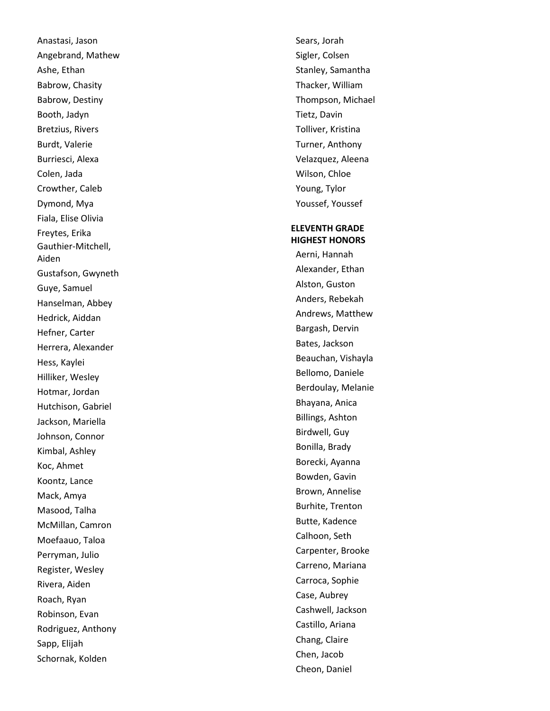Anastasi, Jason Angebrand, Mathew Ashe, Ethan Babrow, Chasity Babrow, Destiny Booth, Jadyn Bretzius, Rivers Burdt, Valerie Burriesci, Alexa Colen, Jada Crowther, Caleb Dymond, Mya Fiala, Elise Olivia Freytes, Erika Gauthier -Mitchell, Aiden Gustafson, Gwyneth Guye, Samuel Hanselman, Abbey Hedrick, Aiddan Hefner, Carter Herrera, Alexander Hess, Kaylei Hilliker, Wesley Hotmar, Jordan Hutchison, Gabriel Jackson, Mariella Johnson, Connor Kimbal, Ashley Koc, Ahmet Koontz, Lance Mack, Amya Masood, Talha McMillan, Camron Moefaauo, Taloa Perryman, Julio Register, Wesley Rivera, Aiden Roach, Ryan Robinson, Evan Rodriguez, Anthony Sapp, Elijah Schornak, Kolden

Sears, Jorah Sigler, Colsen Stanley, Samantha Thacker, William Thompson, Michael Tietz, Davin Tolliver, Kristina Turner, Anthony Velazquez, Aleena Wilson, Chloe Young, Tylor Youssef, Youssef **ELEVENTH GRADE HIGHEST HONORS**  Aerni, Hannah Alexander, Ethan

Alston, Guston Anders, Rebekah Andrews, Matthew Bargash, Dervin Bates, Jackson Beauchan, Vishayla Bellomo, Daniele Berdoulay, Melanie Bhayana, Anica Billings, Ashton Birdwell, Guy Bonilla, Brady Borecki, Ayanna Bowden, Gavin Brown, Annelise Burhite, Trenton Butte, Kadence Calhoon, Seth Carpenter, Brooke Carreno, Mariana Carroca, Sophie Case, Aubrey Cashwell, Jackson Castillo, Ariana Chang, Claire Chen, Jacob Cheon, Daniel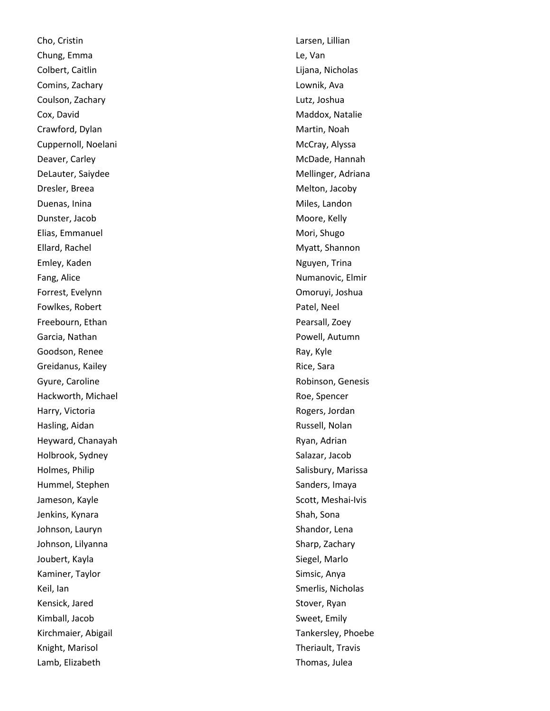Cho, Cristin Chung, Emma Colbert, Caitlin Comins, Zachary Coulson, Zachary Cox, David Crawford, Dylan Cuppernoll, Noelani Deaver, Carley DeLauter, Saiydee Dresler, Breea Duenas, Inina Dunster, Jacob Elias, Emmanuel Ellard, Rachel Emley, Kaden Fang, Alice Forrest, Evelynn Fowlkes, Robert Freebourn, Ethan Garcia, Nathan Goodson, Renee Greidanus, Kailey Gyure, Caroline Hackworth, Michael Harry, Victoria Hasling, Aidan Heyward, Chanayah Holbrook, Sydney Holmes, Philip Hummel, Stephen Jameson, Kayle Jenkins, Kynara Johnson, Lauryn Johnson, Lilyanna Joubert, Kayla Kaminer, Taylor Keil, Ian Kensick, Jared Kimball, Jacob Kirchmaier, Abigail Knight, Marisol Lamb, Elizabeth

Larsen, Lillian Le, Van Lijana, Nicholas Lownik, Ava Lutz, Joshua Maddox, Natalie Martin, Noah McCray, Alyssa McDade, Hannah Mellinger, Adriana Melton, Jacoby Miles, Landon Moore, Kelly Mori, Shugo Myatt, Shannon Nguyen, Trina Numanovic, Elmir Omoruyi, Joshua Patel, Neel Pearsall, Zoey Powell, Autumn Ray, Kyle Rice, Sara Robinson, Genesis Roe, Spencer Rogers, Jordan Russell, Nolan Ryan, Adrian Salazar, Jacob Salisbury, Marissa Sanders, Imaya Scott, Meshai -Ivis Shah, Sona Shandor, Lena Sharp, Zachary Siegel, Marlo Simsic, Anya Smerlis, Nicholas Stover, Ryan Sweet, Emily Tankersley, Phoebe Theriault, Travis Thomas, Julea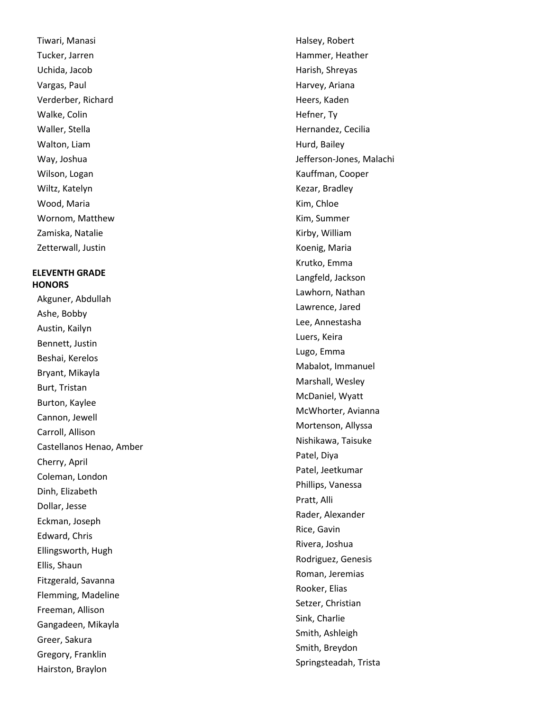Tiwari, Manasi Tucker, Jarren Uchida, Jacob Vargas, Paul Verderber, Richard Walke, Colin Waller, Stella Walton, Liam Way, Joshua Wilson, Logan Wiltz, Katelyn Wood, Maria Wornom, Matthew Zamiska, Natalie Zetterwall, Justin

# **ELEVENTH GRADE HONORS**

Akguner, Abdullah Ashe, Bobby Austin, Kailyn Bennett, Justin Beshai, Kerelos Bryant, Mikayla Burt, Tristan Burton, Kaylee Cannon, Jewell Carroll, Allison Castellanos Henao, Amber Cherry, April Coleman, London Dinh, Elizabeth Dollar, Jesse Eckman, Joseph Edward, Chris Ellingsworth, Hugh Ellis, Shaun Fitzgerald, Savanna Flemming, Madeline Freeman, Allison Gangadeen, Mikayla Greer, Sakura Gregory, Franklin Hairston, Braylon

Halsey, Robert Hammer, Heather Harish, Shreyas Harvey, Ariana Heers, Kaden Hefner, Ty Hernandez, Cecilia Hurd, Bailey Jefferson -Jones, Malachi Kauffman, Cooper Kezar, Bradley Kim, Chloe Kim, Summer Kirby, William Koenig, Maria Krutko, Emma Langfeld, Jackson Lawhorn, Nathan Lawrence, Jared Lee, Annestasha Luers, Keira Lugo, Emma Mabalot, Immanuel Marshall, Wesley McDaniel, Wyatt McWhorter, Avianna Mortenson, Allyssa Nishikawa, Taisuke Patel, Diya Patel, Jeetkumar Phillips, Vanessa Pratt, Alli Rader, Alexander Rice, Gavin Rivera, Joshua Rodriguez, Genesis Roman, Jeremias Rooker, Elias Setzer, Christian Sink, Charlie Smith, Ashleigh Smith, Breydon Springsteadah, Trista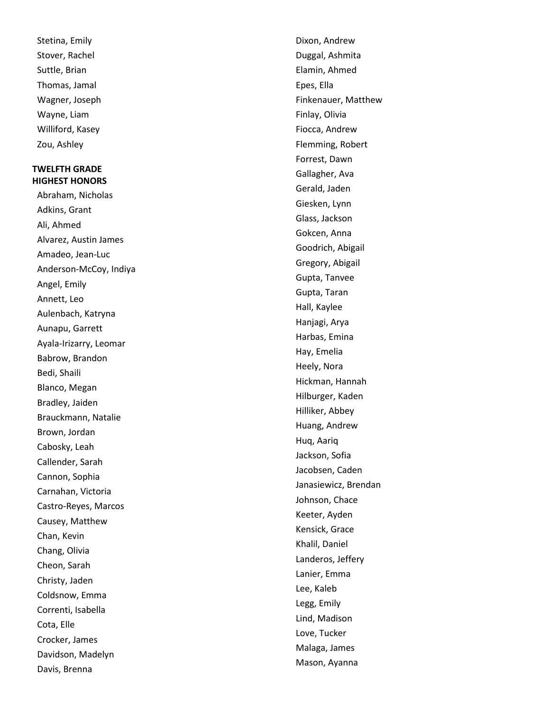Stetina, Emily Stover, Rachel Suttle, Brian Thomas, Jamal Wagner, Joseph Wayne, Liam Williford, Kasey Zou, Ashley

# **TWELFTH GRADE HIGHEST HONORS**

Abraham, Nicholas Adkins, Grant Ali, Ahmed Alvarez, Austin James Amadeo, Jean -Luc Anderson -McCoy, Indiya Angel, Emily Annett, Leo Aulenbach, Katryna Aunapu, Garrett Ayala -Irizarry, Leomar Babrow, Brandon Bedi, Shaili Blanco, Megan Bradley, Jaiden Brauckmann, Natalie Brown, Jordan Cabosky, Leah Callender, Sarah Cannon, Sophia Carnahan, Victoria Castro -Reyes, Marcos Causey, Matthew Chan, Kevin Chang, Olivia Cheon, Sarah Christy, Jaden Coldsnow, Emma Correnti, Isabella Cota, Elle Crocker, James Davidson, Madelyn Davis, Brenna

Dixon, Andrew Duggal, Ashmita Elamin, Ahmed Epes, Ella Finkenauer, Matthew Finlay, Olivia Fiocca, Andrew Flemming, Robert Forrest, Dawn Gallagher, Ava Gerald, Jaden Giesken, Lynn Glass, Jackson Gokcen, Anna Goodrich, Abigail Gregory, Abigail Gupta, Tanvee Gupta, Taran Hall, Kaylee Hanjagi, Arya Harbas, Emina Hay, Emelia Heely, Nora Hickman, Hannah Hilburger, Kaden Hilliker, Abbey Huang, Andrew Huq, Aariq Jackson, Sofia Jacobsen, Caden Janasiewicz, Brendan Johnson, Chace Keeter, Ayden Kensick, Grace Khalil, Daniel Landeros, Jeffery Lanier, Emma Lee, Kaleb Legg, Emily Lind, Madison Love, Tucker Malaga, James Mason, Ayanna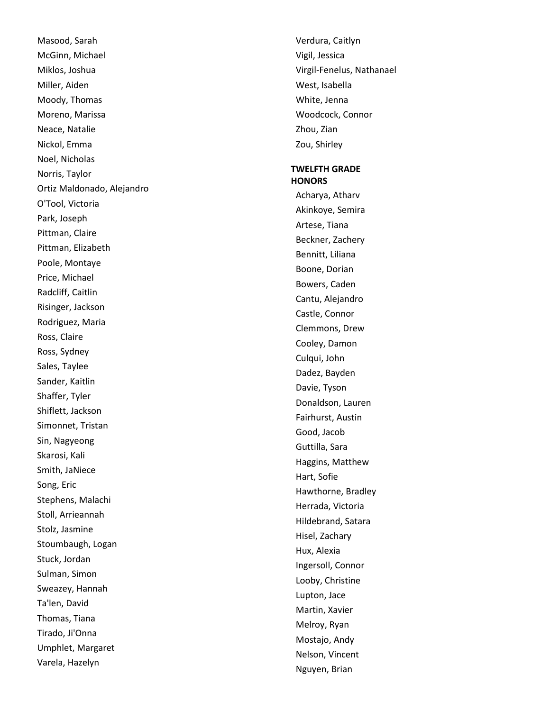Masood, Sarah McGinn, Michael Miklos, Joshua Miller, Aiden Moody, Thomas Moreno, Marissa Neace, Natalie Nickol, Emma Noel, Nicholas Norris, Taylor Ortiz Maldonado, Alejandro O'Tool, Victoria Park, Joseph Pittman, Claire Pittman, Elizabeth Poole, Montaye Price, Michael Radcliff, Caitlin Risinger, Jackson Rodriguez, Maria Ross, Claire Ross, Sydney Sales, Taylee Sander, Kaitlin Shaffer, Tyler Shiflett, Jackson Simonnet, Tristan Sin, Nagyeong Skarosi, Kali Smith, JaNiece Song, Eric Stephens, Malachi Stoll, Arrieannah Stolz, Jasmine Stoumbaugh, Logan Stuck, Jordan Sulman, Simon Sweazey, Hannah Ta'len, David Thomas, Tiana Tirado, Ji'Onna Umphlet, Margaret Varela, Hazelyn

Verdura, Caitlyn Vigil, Jessica Virgil -Fenelus, Nathanael West, Isabella White, Jenna Woodcock, Connor Zhou, Zian Zou, Shirley

### **TWELFTH GRADE HONORS**

Acharya, Atharv Akinkoye, Semira Artese, Tiana Beckner, Zachery Bennitt, Liliana Boone, Dorian Bowers, Caden Cantu, Alejandro Castle, Connor Clemmons, Drew Cooley, Damon Culqui, John Dadez, Bayden Davie, Tyson Donaldson, Lauren Fairhurst, Austin Good, Jacob Guttilla, Sara Haggins, Matthew Hart, Sofie Hawthorne, Bradley Herrada, Victoria Hildebrand, Satara Hisel, Zachary Hux, Alexia Ingersoll, Connor Looby, Christine Lupton, Jace Martin, Xavier Melroy, Ryan Mostajo, Andy Nelson, Vincent Nguyen, Brian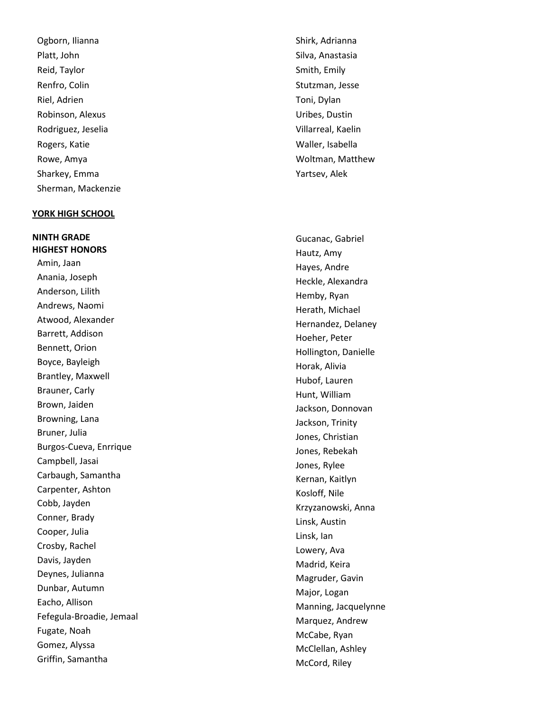Ogborn, Ilianna Platt, John Reid, Taylor Renfro, Colin Riel, Adrien Robinson, Alexus Rodriguez, Jeselia Rogers, Katie Rowe, Amya Sharkey, Emma Sherman, Mackenzie

### **YORK HIGH SCHOOL**

**NINTH GRADE HIGHEST HONORS**  Amin, Jaan Anania, Joseph Anderson, Lilith Andrews, Naomi Atwood, Alexander Barrett, Addison Bennett, Orion Boyce, Bayleigh Brantley, Maxwell Brauner, Carly Brown, Jaiden Browning, Lana Bruner, Julia Burgos -Cueva, Enrrique Campbell, Jasai Carbaugh, Samantha Carpenter, Ashton Cobb, Jayden Conner, Brady Cooper, Julia Crosby, Rachel Davis, Jayden Deynes, Julianna Dunbar, Autumn Eacho, Allison Fefegula -Broadie, Jemaal Fugate, Noah Gomez, Alyssa Griffin, Samantha

Shirk, Adrianna Silva, Anastasia Smith, Emily Stutzman, Jesse Toni, Dylan Uribes, Dustin Villarreal, Kaelin Waller, Isabella Woltman, Matthew Yartsev, Alek

Gucanac, Gabriel Hautz, Amy Hayes, Andre Heckle, Alexandra Hemby, Ryan Herath, Michael Hernandez, Delaney Hoeher, Peter Hollington, Danielle Horak, Alivia Hubof, Lauren Hunt, William Jackson, Donnovan Jackson, Trinity Jones, Christian Jones, Rebekah Jones, Rylee Kernan, Kaitlyn Kosloff, Nile Krzyzanowski, Anna Linsk, Austin Linsk, Ian Lowery, Ava Madrid, Keira Magruder, Gavin Major, Logan Manning, Jacquelynne Marquez, Andrew McCabe, Ryan McClellan, Ashley McCord, Riley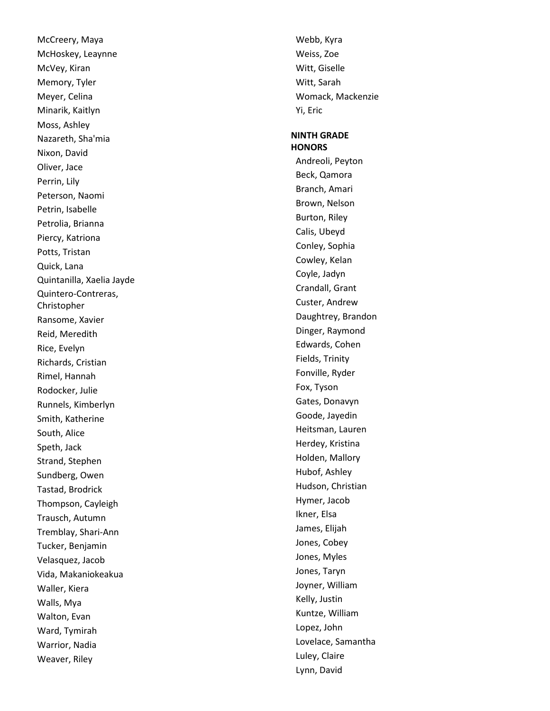McCreery, Maya McHoskey, Leaynne McVey, Kiran Memory, Tyler Meyer, Celina Minarik, Kaitlyn Moss, Ashley Nazareth, Sha'mia Nixon, David Oliver, Jace Perrin, Lily Peterson, Naomi Petrin, Isabelle Petrolia, Brianna Piercy, Katriona Potts, Tristan Quick, Lana Quintanilla, Xaelia Jayde Quintero -Contreras, Christopher Ransome, Xavier Reid, Meredith Rice, Evelyn Richards, Cristian Rimel, Hannah Rodocker, Julie Runnels, Kimberlyn Smith, Katherine South, Alice Speth, Jack Strand, Stephen Sundberg, Owen Tastad, Brodrick Thompson, Cayleigh Trausch, Autumn Tremblay, Shari -Ann Tucker, Benjamin Velasquez, Jacob Vida, Makaniokeakua Waller, Kiera Walls, Mya Walton, Evan Ward, Tymirah Warrior, Nadia Weaver, Riley

Webb, Kyra Weiss, Zoe Witt, Giselle Witt, Sarah Womack, Mackenzie Yi, Eric

### **NINTH GRADE HONORS**

Andreoli, Peyton Beck, Qamora Branch, Amari Brown, Nelson Burton, Riley Calis, Ubeyd Conley, Sophia Cowley, Kelan Coyle, Jadyn Crandall, Grant Custer, Andrew Daughtrey, Brandon Dinger, Raymond Edwards, Cohen Fields, Trinity Fonville, Ryder Fox, Tyson Gates, Donavyn Goode, Jayedin Heitsman, Lauren Herdey, Kristina Holden, Mallory Hubof, Ashley Hudson, Christian Hymer, Jacob Ikner, Elsa James, Elijah Jones, Cobey Jones, Myles Jones, Taryn Joyner, William Kelly, Justin Kuntze, William Lopez, John Lovelace, Samantha Luley, Claire Lynn, David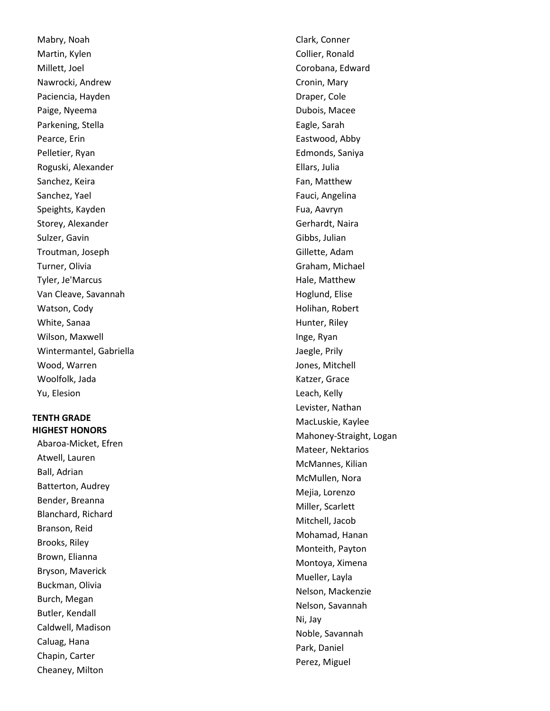Mabry, Noah Martin, Kylen Millett, Joel Nawrocki, Andrew Paciencia, Hayden Paige, Nyeema Parkening, Stella Pearce, Erin Pelletier, Ryan Roguski, Alexander Sanchez, Keira Sanchez, Yael Speights, Kayden Storey, Alexander Sulzer, Gavin Troutman, Joseph Turner, Olivia Tyler, Je'Marcus Van Cleave, Savannah Watson, Cody White, Sanaa Wilson, Maxwell Wintermantel, Gabriella Wood, Warren Woolfolk, Jada Yu, Elesion

# **TENTH GRADE HIGHEST HONORS**

Abaroa -Micket, Efren Atwell, Lauren Ball, Adrian Batterton, Audrey Bender, Breanna Blanchard, Richard Branson, Reid Brooks, Riley Brown, Elianna Bryson, Maverick Buckman, Olivia Burch, Megan Butler, Kendall Caldwell, Madison Caluag, Hana Chapin, Carter Cheaney, Milton

Clark, Conner Collier, Ronald Corobana, Edward Cronin, Mary Draper, Cole Dubois, Macee Eagle, Sarah Eastwood, Abby Edmonds, Saniya Ellars, Julia Fan, Matthew Fauci, Angelina Fua, Aavryn Gerhardt, Naira Gibbs, Julian Gillette, Adam Graham, Michael Hale, Matthew Hoglund, Elise Holihan, Robert Hunter, Riley Inge, Ryan Jaegle, Prily Jones, Mitchell Katzer, Grace Leach, Kelly Levister, Nathan MacLuskie, Kaylee Mahoney -Straight, Logan Mateer, Nektarios McMannes, Kilian McMullen, Nora Mejia, Lorenzo Miller, Scarlett Mitchell, Jacob Mohamad, Hanan Monteith, Payton Montoya, Ximena Mueller, Layla Nelson, Mackenzie Nelson, Savannah Ni, Jay Noble, Savannah Park, Daniel Perez, Miguel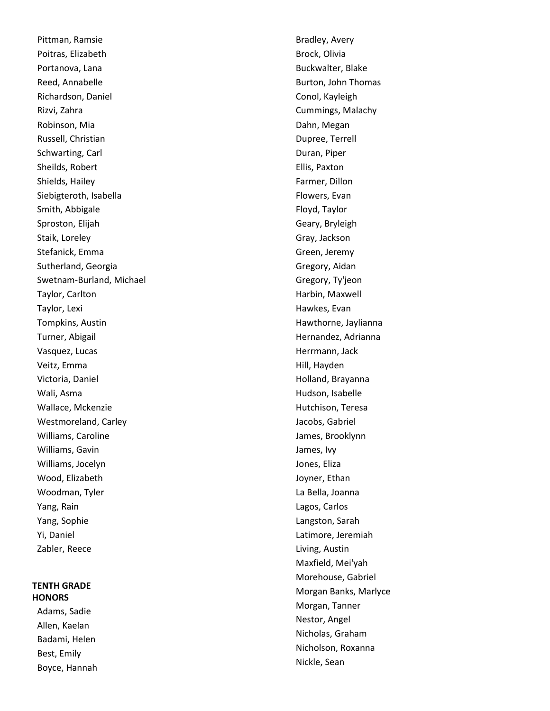Pittman, Ramsie Poitras, Elizabeth Portanova, Lana Reed, Annabelle Richardson, Daniel Rizvi, Zahra Robinson, Mia Russell, Christian Schwarting, Carl Sheilds, Robert Shields, Hailey Siebigteroth, Isabella Smith, Abbigale Sproston, Elijah Staik, Loreley Stefanick, Emma Sutherland, Georgia Swetnam -Burland, Michael Taylor, Carlton Taylor, Lexi Tompkins, Austin Turner, Abigail Vasquez, Lucas Veitz, Emma Victoria, Daniel Wali, Asma Wallace, Mckenzie Westmoreland, Carley Williams, Caroline Williams, Gavin Williams, Jocelyn Wood, Elizabeth Woodman, Tyler Yang, Rain Yang, Sophie Yi, Daniel Zabler, Reece

## **TENTH GRADE HONORS**

Adams, Sadie Allen, Kaelan Badami, Helen Best, Emily Boyce, Hannah Bradley, Avery Brock, Olivia Buckwalter, Blake Burton, John Thomas Conol, Kayleigh Cummings, Malachy Dahn, Megan Dupree, Terrell Duran, Piper Ellis, Paxton Farmer, Dillon Flowers, Evan Floyd, Taylor Geary, Bryleigh Gray, Jackson Green, Jeremy Gregory, Aidan Gregory, Ty'jeon Harbin, Maxwell Hawkes, Evan Hawthorne, Jaylianna Hernandez, Adrianna Herrmann, Jack Hill, Hayden Holland, Brayanna Hudson, Isabelle Hutchison, Teresa Jacobs, Gabriel James, Brooklynn James, Ivy Jones, Eliza Joyner, Ethan La Bella, Joanna Lagos, Carlos Langston, Sarah Latimore, Jeremiah Living, Austin Maxfield, Mei'yah Morehouse, Gabriel Morgan Banks, Marlyce Morgan, Tanner Nestor, Angel Nicholas, Graham Nicholson, Roxanna Nickle, Sean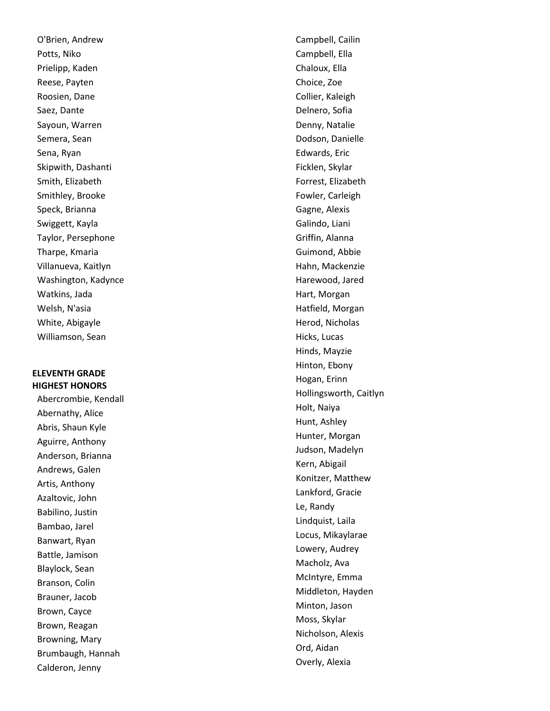O'Brien, Andrew Potts, Niko Prielipp, Kaden Reese, Payten Roosien, Dane Saez, Dante Sayoun, Warren Semera, Sean Sena, Ryan Skipwith, Dashanti Smith, Elizabeth Smithley, Brooke Speck, Brianna Swiggett, Kayla Taylor, Persephone Tharpe, Kmaria Villanueva, Kaitlyn Washington, Kadynce Watkins, Jada Welsh, N'asia White, Abigayle Williamson, Sean

## **ELEVENTH GRADE HIGHEST HONORS**

Abercrombie, Kendall Abernathy, Alice Abris, Shaun Kyle Aguirre, Anthony Anderson, Brianna Andrews, Galen Artis, Anthony Azaltovic, John Babilino, Justin Bambao, Jarel Banwart, Ryan Battle, Jamison Blaylock, Sean Branson, Colin Brauner, Jacob Brown, Cayce Brown, Reagan Browning, Mary Brumbaugh, Hannah Calderon, Jenny

Campbell, Cailin Campbell, Ella Chaloux, Ella Choice, Zoe Collier, Kaleigh Delnero, Sofia Denny, Natalie Dodson, Danielle Edwards, Eric Ficklen, Skylar Forrest, Elizabeth Fowler, Carleigh Gagne, Alexis Galindo, Liani Griffin, Alanna Guimond, Abbie Hahn, Mackenzie Harewood, Jared Hart, Morgan Hatfield, Morgan Herod, Nicholas Hicks, Lucas Hinds, Mayzie Hinton, Ebony Hogan, Erinn Hollingsworth, Caitlyn Holt, Naiya Hunt, Ashley Hunter, Morgan Judson, Madelyn Kern, Abigail Konitzer, Matthew Lankford, Gracie Le, Randy Lindquist, Laila Locus, Mikaylarae Lowery, Audrey Macholz, Ava McIntyre, Emma Middleton, Hayden Minton, Jason Moss, Skylar Nicholson, Alexis Ord, Aidan Overly, Alexia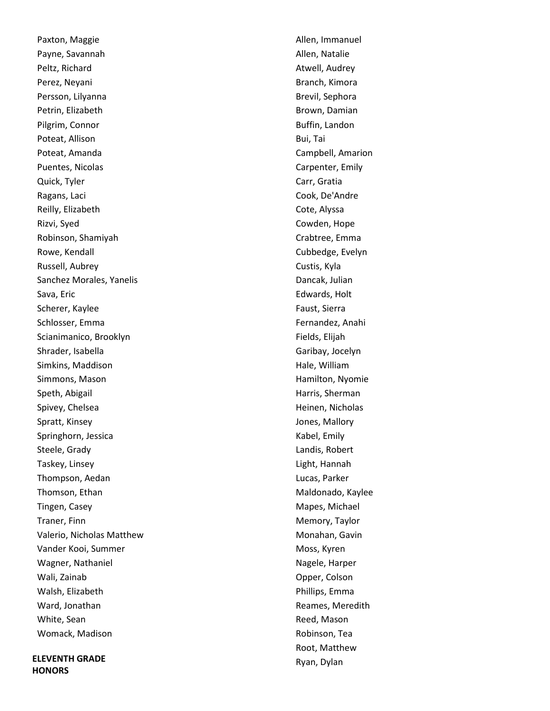Paxton, Maggie Payne, Savannah Peltz, Richard Perez, Neyani Persson, Lilyanna Petrin, Elizabeth Pilgrim, Connor Poteat, Allison Poteat, Amanda Puentes, Nicolas Quick, Tyler Ragans, Laci Reilly, Elizabeth Rizvi, Syed Robinson, Shamiyah Rowe, Kendall Russell, Aubrey Sanchez Morales, Yanelis Sava, Eric Scherer, Kaylee Schlosser, Emma Scianimanico, Brooklyn Shrader, Isabella Simkins, Maddison Simmons, Mason Speth, Abigail Spivey, Chelsea Spratt, Kinsey Springhorn, Jessica Steele, Grady Taskey, Linsey Thompson, Aedan Thomson, Ethan Tingen, Casey Traner, Finn Valerio, Nicholas Matthew Vander Kooi, Summer Wagner, Nathaniel Wali, Zainab Walsh, Elizabeth Ward, Jonathan White, Sean Womack, Madison

**ELEVENTH GRADE HONORS** 

Allen, Immanuel Allen, Natalie Atwell, Audrey Branch, Kimora Brevil, Sephora Brown, Damian Buffin, Landon Bui, Tai Campbell, Amarion Carpenter, Emily Carr, Gratia Cook, De'Andre Cote, Alyssa Cowden, Hope Crabtree, Emma Cubbedge, Evelyn Custis, Kyla Dancak, Julian Edwards, Holt Faust, Sierra Fernandez, Anahi Fields, Elijah Garibay, Jocelyn Hale, William Hamilton, Nyomie Harris, Sherman Heinen, Nicholas Jones, Mallory Kabel, Emily Landis, Robert Light, Hannah Lucas, Parker Maldonado, Kaylee Mapes, Michael Memory, Taylor Monahan, Gavin Moss, Kyren Nagele, Harper Opper, Colson Phillips, Emma Reames, Meredith Reed, Mason Robinson, Tea Root, Matthew Ryan, Dylan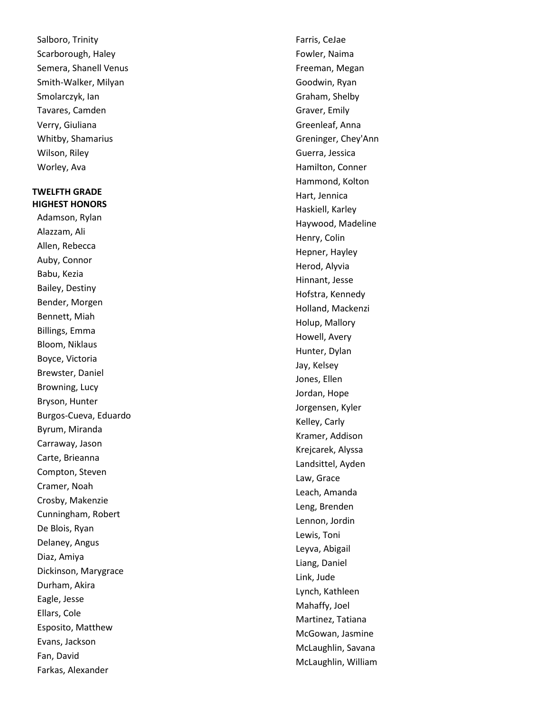Salboro, Trinity Scarborough, Haley Semera, Shanell Venus Smith -Walker, Milyan Smolarczyk, Ian Tavares, Camden Verry, Giuliana Whitby, Shamarius Wilson, Riley Worley, Ava

## **TWELFTH GRADE HIGHEST HONORS**

Adamson, Rylan Alazzam, Ali Allen, Rebecca Auby, Connor Babu, Kezia Bailey, Destiny Bender, Morgen Bennett, Miah Billings, Emma Bloom, Niklaus Boyce, Victoria Brewster, Daniel Browning, Lucy Bryson, Hunter Burgos -Cueva, Eduardo Byrum, Miranda Carraway, Jason Carte, Brieanna Compton, Steven Cramer, Noah Crosby, Makenzie Cunningham, Robert De Blois, Ryan Delaney, Angus Diaz, Amiya Dickinson, Marygrace Durham, Akira Eagle, Jesse Ellars, Cole Esposito, Matthew Evans, Jackson Fan, David Farkas, Alexander

Farris, CeJae Fowler, Naima Freeman, Megan Goodwin, Ryan Graham, Shelby Graver, Emily Greenleaf, Anna Greninger, Chey'Ann Guerra, Jessica Hamilton, Conner Hammond, Kolton Hart, Jennica Haskiell, Karley Haywood, Madeline Henry, Colin Hepner, Hayley Herod, Alyvia Hinnant, Jesse Hofstra, Kennedy Holland, Mackenzi Holup, Mallory Howell, Avery Hunter, Dylan Jay, Kelsey Jones, Ellen Jordan, Hope Jorgensen, Kyler Kelley, Carly Kramer, Addison Krejcarek, Alyssa Landsittel, Ayden Law, Grace Leach, Amanda Leng, Brenden Lennon, Jordin Lewis, Toni Leyva, Abigail Liang, Daniel Link, Jude Lynch, Kathleen Mahaffy, Joel Martinez, Tatiana McGowan, Jasmine McLaughlin, Savana McLaughlin, William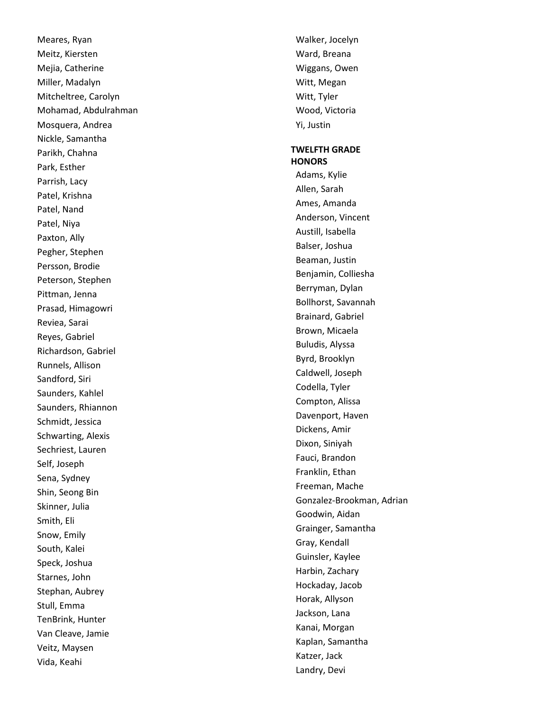Meares, Ryan Meitz, Kiersten Mejia, Catherine Miller, Madalyn Mitcheltree, Carolyn Mohamad, Abdulrahman Mosquera, Andrea Nickle, Samantha Parikh, Chahna Park, Esther Parrish, Lacy Patel, Krishna Patel, Nand Patel, Niya Paxton, Ally Pegher, Stephen Persson, Brodie Peterson, Stephen Pittman, Jenna Prasad, Himagowri Reviea, Sarai Reyes, Gabriel Richardson, Gabriel Runnels, Allison Sandford, Siri Saunders, Kahlel Saunders, Rhiannon Schmidt, Jessica Schwarting, Alexis Sechriest, Lauren Self, Joseph Sena, Sydney Shin, Seong Bin Skinner, Julia Smith, Eli Snow, Emily South, Kalei Speck, Joshua Starnes, John Stephan, Aubrey Stull, Emma TenBrink, Hunter Van Cleave, Jamie Veitz, Maysen Vida, Keahi

Walker, Jocelyn Ward, Breana Wiggans, Owen Witt, Megan Witt, Tyler Wood, Victoria Yi, Justin

## **TWELFTH GRADE HONORS**

Adams, Kylie Allen, Sarah Ames, Amanda Anderson, Vincent Austill, Isabella Balser, Joshua Beaman, Justin Benjamin, Colliesha Berryman, Dylan Bollhorst, Savannah Brainard, Gabriel Brown, Micaela Buludis, Alyssa Byrd, Brooklyn Caldwell, Joseph Codella, Tyler Compton, Alissa Davenport, Haven Dickens, Amir Dixon, Siniyah Fauci, Brandon Franklin, Ethan Freeman, Mache Gonzalez -Brookman, Adrian Goodwin, Aidan Grainger, Samantha Gray, Kendall Guinsler, Kaylee Harbin, Zachary Hockaday, Jacob Horak, Allyson Jackson, Lana Kanai, Morgan Kaplan, Samantha Katzer, Jack Landry, Devi